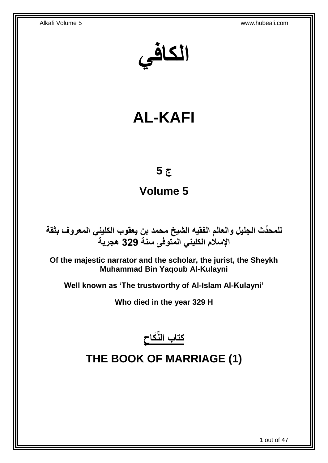**الكافي**

# **AL-KAFI**

# **ج 5**

# **Volume 5**

**دث الجليل والعالم الفقيه الشيخ محمد بن يعقوب الكليني المعروف بثقة للمح ِّ اإلسالم الكليني المتوفى سنة 329 هجرية**

**Of the majestic narrator and the scholar, the jurist, the Sheykh Muhammad Bin Yaqoub Al-Kulayni**

**Well known as 'The trustworthy of Al-Islam Al-Kulayni'**

**Who died in the year 329 H**



# <span id="page-0-0"></span>**THE BOOK OF MARRIAGE (1)**

1 out of 47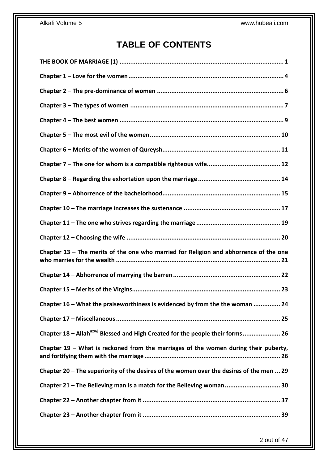# **TABLE OF CONTENTS**

| Chapter $13$ – The merits of the one who married for Religion and abhorrence of the one   |
|-------------------------------------------------------------------------------------------|
|                                                                                           |
|                                                                                           |
| Chapter 16 - What the praiseworthiness is evidenced by from the the woman  24             |
|                                                                                           |
| Chapter 18 - Allah <sup>azwj</sup> Blessed and High Created for the people their forms 26 |
| Chapter 19 - What is reckoned from the marriages of the women during their puberty,       |
| Chapter 20 - The superiority of the desires of the women over the desires of the men  29  |
| Chapter 21 - The Believing man is a match for the Believing woman 30                      |
|                                                                                           |
|                                                                                           |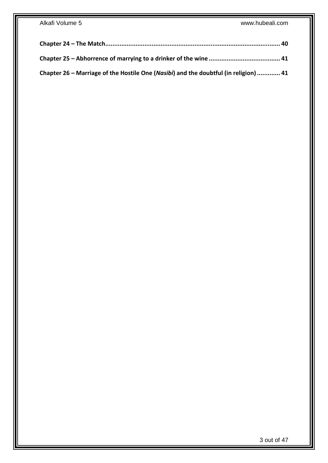| Chapter 26 – Marriage of the Hostile One (Nasibi) and the doubtful (in religion)  41 |  |
|--------------------------------------------------------------------------------------|--|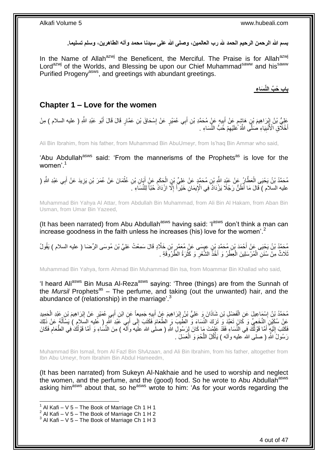بسم الله الرحمن الرحيم الحمد لله رب العالمين، وصلى الله على سيدنا محمد وآله الطاهرين، وسلم تسليما<sub>.</sub>

In the Name of Allah<sup>azwj</sup> the Beneficent, the Merciful. The Praise is for Allah<sup>azwj</sup> Lord<sup>azwj</sup> of the Worlds, and Blessing be upon our Chief Muhammad<sup>saww</sup> and his<sup>saww</sup> Purified Progeny<sup>asws</sup>, and greetings with abundant greetings.

**باب ُح ِّب الِّن َسا ء**

## <span id="page-3-0"></span>**Chapter 1 – Love for the women**

عَلِيُّ بْنُ إِبْرَاهِيمَ بْنِ هَاشِمٍ عَنْ أَبِيهِ عَنٍْ مُحَمَّدِ بْنِ أَبِي عُمَيْرٍ عَنْ إِسْحَاقَ بْنِ عَمَّارٍ قَالَ قَالَ أَبُو عَبْدِ اللَّهِ ( عليه السلام ) مِنْ ِ َ ِ َ ٍ ِ ا أَخْلَاقِ الْأُنْبِيَاءِ صٰلَلَّى اللَّهُ كَلَيْهِمْ خُبُّ النِّسَاءِ . ِ **!** َ

Ali Bin Ibrahim, from his father, from Muhammad Bin AbuUmeyr, from Is'haq Bin Ammar who said,

'Abu Abdullah<sup>asws</sup> said: 'From the mannerisms of the Prophets<sup>as</sup> is love for the women'<sup>1</sup>

مُحَمَّدُ بْنُ يَحْيَى الْعَطَّارُ عَنْ عَيْدِ اللَّهِ بْنِ مُحَمَّدٍ عَنْ عَلِيِّ بْنِ الْحَكَمِ عَنْ أَيِّانِ بْنِ عُثْمَانَ عَنْ عُمَرَ بْنِ يَزِيدَ عَنْ أَبِي عَبْدِ اللَّهِ ( ْ َ ِ ْ َ ِ عليه السلام ) قَالَ مَا أَظُنُّ رَجُلًا يَزْدَادُ فِي الْإِيمَانِ خَيْراً إِلَّا ازْدَادَ حُبّاً لِلنِّسَاءِ [ ِ

Muhammad Bin Yahya Al Attar, from Abdullah Bin Muhammad, from Ali Bin Al Hakam, from Aban Bin Usman, from Umar Bin Yazeed,

(It has been narrated) from Abu Abdullah<sup>asws</sup> having said: ' $I^{asws}$  don't think a man can increase goodness in the faith unless he increases (his) love for the women'.<sup>2</sup>

مُحَمَّدُ بْنُ يَحْيَى عَنْ أَحْمَدَ بْنِ مُحَمَّدٍ بْنِ عِيِسَى عَنْ مُعَمَّرٍ بْنِ خَلَّادٍ قَالَ سَمِعْتُ عَلِيَّ بْنَ مُوسَى الرِّضَا ( عليه السلام ) يَقُولُ<br>بَهِ مَنْ يَحْيَى عَنْ أَحْمَدَ بْنِ مُحَمَّدٍ بْنِ عِيِسَى ِ َ نْلَاثٌ مِنْ سُنَنِ الْمُرْسَلِينَ الْعِطْرُ وَ أَخْذُ الشَّعْرِ وَ كَثْرَةُ الظَّرُوَقَةِ . **ٔ** ِ َ ْ ْ

Muhammad Bin Yahya, form Ahmad Bin Muhammad Bin Isa, from Moammar Bin Khallad who said,

'I heard Ali<sup>asws</sup> Bin Musa Al-Reza<sup>asws</sup> saying: 'Three (things) are from the Sunnah of the *Mursil* Prophets<sup>as</sup> – The perfume, and taking (out the unwanted) hair, and the abundance of (relationship) in the marriage'.<sup>3</sup>

مُحَمَّدُ بِنُ إِسْمَاعِيلَ عَنِ الْفَضْلِ بْنِ شَاذَانَ وَ عَلِيُّ بْنُ إِبْرَاهِيمَ عَنْ أَبِيهِ جَمِيعاً عَنِ ابْنِ أَبِي عُمَيْرٍ عَنْ إِبْرَاهِيمَ بْنِ عَبْدِ الْحَمِيدِ ِ َ ِ ْ ِ ْ ِ َ عَنِْ سُكَيْنَ النَّخَعِيِّ وَ كَانَ تَعَدَّدَ وَ َتَرَكَ النَّسَاءَ وَّ الطَّيِّبَ وَ الطَّعَامَ فَكَتَبَ إِلَى أَبَِي عََيْدَ النَّهِ ( عَليه السلام ) يَسْأَلُهُ عَنْ ذَلِكَ َ  $\frac{1}{2}$  $\overline{a}$ َ فَكَتَبَ إِلَيْهِ أَمَّا قَوْلُكَ فِي النِّسَاءِ فَقَدْ عَلِمْتَ مَا كَانَ لِرَسُولِ اللَّهِ ( صلى الله عَليه وآلله ) مِنَ النِّسَاءِ وَ أَمَّا قَوْلُكَ فِي الطَّعَامِ فَكَانَ َ لَ  $\frac{1}{2}$ اُ أَ ِ رَسُولُ اللَّهِ ( صلى الله ّعليه وألمه ) يَأْكُلُ اللَّحْمَ وَ الْعَسَلَ ۚ. ْ َّ .<br>ا

Muhammad Bin Ismail, from Al Fazl Bin Sh*Azaan*, and Ali Bin Ibrahim, from his father, altogether from Ibn Abu Umeyr, from Ibrahim Bin Abdul Hameedm,

(It has been narrated) from Sukeyn Al-Nakhaie and he used to worship and neglect the women, and the perfume, and the (good) food. So he wrote to Abu Abdullah<sup>asws</sup> asking him<sup>asws</sup> about that, so he<sup>asws</sup> wrote to him: 'As for your words regarding the

 $1$  Al Kafi – V 5 – The Book of Marriage Ch 1 H 1

 $2$  Al Kafi – V 5 – The Book of Marriage Ch 1 H 2

 $3$  Al Kafi – V 5 – The Book of Marriage Ch 1 H 3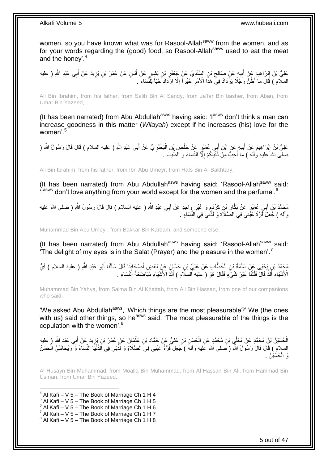women, so you have known what was for Rasool-Allah<sup>saww</sup> from the women, and as for your words regarding the (good) food, so Rasool-Allahsaww used to eat the meat and the honey'.<sup>4</sup>

عْلِيُّ بْنُ إِبْرَاهِيمَ عَنْ أَبِيهِ عَنْ صَالِحِ بْنِ السِّنْدِيِّ عَنْ جَعْفَرٍ بْنِ بَشِيرٍ عَنْ أَبَانٍ عَنْ عُمَرَ بْنِ يَزِيدَ عَنْ أَبِي عَبْدِ اللَّهِ ( عليه َ ِ  $\zeta$ **!** יִי יִי َ ِ السلّام ) قَالَ مَا أَظُنُّ رَجُلًا يَزْدَادُ فِيَّ هَذَا الْأَمْرِ خَيْراً إِلَّا ازْدَادَ حُبّاً لِلنِّسَاءِ ِ ِ

Ali Bin Ibrahim, from his father, from Salih Bin Al Sandy, from Ja'far Bin basher, from Aban, from Umar Bin Yazeed,

(It has been narrated) from Abu Abdullah<sup>asws</sup> having said: ' $I^{asws}$  don't think a man can increase goodness in this matter (*Wilayah*) except if he increases (his) love for the women'<sup>5</sup>

عَلِيُّ بْنُ إِبْرَاهِيمَ عَنْ أَبِيهِ عَنِ ابْنِ أَبِي عُمَيْرٍ عَنْ حَفْصِ بِْنِ الْبَخْتَرِيِّ عَنْ أَبِي عَبْدِ اللَّهِ ( عليه السلام ) قَالَ قَالَ رَسُولُ اللَّهِ ( َ ِ ْ َ **!** َ ِ صلَّى اللهُ عليه وآله ) مَا أُحِبُّ مِنَّ ذُنْيَاكُمْ إِلَّا النِّسَاءَ وَ الطِّيبَ . ِ ا<br>أ

Ali Bin Ibrahim, from his father, from Ibn Abu Umeyr, from Hafs Bin Al-Bakhtary,

(It has been narrated) from Abu Abdullah<sup>asws</sup> having said: 'Rasool-Allah<sup>saww</sup> said: flasws don't love anything from your world except for the women and the perfume'.<sup>6</sup>

مُحَمَّدُ بْنُ أَبِـي عُمَيْرٍ عَنْ بَكَّارِ بْنِ كَرْدٍ وَ غَيْرِ وَاحِدٍ عَنْ أَبِـي عَبْدِ اللَّهِ ( عليه السلام ) قَالَ قَالَ رَسُولُ اللَّهِ ( صلـى الله عليه َ ِ م ِ وآله ) جُعِلَ قُرَّةُ عَيْنِي فِي الصَّلَاَةِ وَ لَذَّنِّنِي فِي النِّسَاءِ .

Muhammad Bin Abu Umeyr, from Bakkar Bin Kardam, and someone else,

(It has been narrated) from Abu Abdullah<sup>asws</sup> having said: 'Rasool-Allah<sup>saww</sup> said: 'The delight of my eyes is in the Salat (Prayer) and the pleasure in the women'.<sup>7</sup>

مُحَمَّدُ بْنُ يَحْيَى عَنْ سَلَمَةَ بْنِ الْخَطَّابِ عَنْ عَلِيِّ بْنِ حَسَّإِنَ عَنْ بَعْضٍ أَصْحَابِنَا قَالَ سَأَلَنَا أَبُو عَبْدِ اللَّهِ ( عليه السلام ) أَيُّ َ ĺ **∶** َ ْ َ الْأَشْيَاءِ أَلَذُّ قَالَ فَقُلْنَا غَيْرَ شَيٍّءٍ فَقَالَ هُوَ ( عليه السلّام ) أَلَذُّ الْأَشْيَاءِ مُبَاضَعَةُ النِّسَاءِ . ْ َ َ

Muhammad Bin Yahya, from Salma Bin Al Khattab, from Ali Bin Hassan, from one of our companions who said,

'We asked Abu Abdullah<sup>asws</sup>, 'Which things are the most pleasurable?' We (the ones with us) said other things, so he<sup>asws</sup> said: 'The most pleasurable of the things is the copulation with the women'.<sup>8</sup>

الْحُسَيْنُ بْنُ مُحَمَّدٍ عَنْ مُعَلَّي بْنِ مُحَمَّدٍ عَنِ الْحَسَنِ بْنِ عَلِيٍّ عَنْ حَمَّادِ بْنِ عُثْمَانَ عَنٍْ عُمَرَ بْنِ يَزِيدَ عَنْ أَبِي عَبْدِ اللَّهِ ( عليه **ٔ** ْ ِ َ السلام ) قَالَ قَالَ رَسُولُ اللَّهِ ( صَلى الله عَليه وآلهَ ) جُعِلَ قُرَّةُ عَيْنِي فِيَ الصَّلَاةِ وَ لَذَّتِي فِي الدُّنْيَا النِّسَاءُ وَ رَيْحَانَتَيَّ الْحَسَنُ ْ َوَ الْمُسَيْنُ . ْ

Al Husayn Bin Muhammad, from Moalla Bin Muhammad, from Al Hassan Bin Ali, from Hammad Bin Usman, from Umar Bin Yazeed,

1  $4$  Al Kafi – V 5 – The Book of Marriage Ch 1 H 4

- $5$  Al Kafi V 5 The Book of Marriage Ch 1 H 5
- $6$  Al Kafi V 5 The Book of Marriage Ch 1 H 6
- $^7$  Al Kafi V 5 The Book of Marriage Ch 1 H 7
- $8$  Al Kafi V 5 The Book of Marriage Ch 1 H 8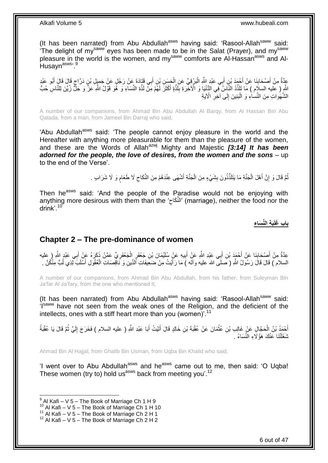(It has been narrated) from Abu Abdullah<sup>asws</sup> having said: 'Rasool-Allah<sup>saww</sup> said: 'The delight of my<sup>saww'</sup> eyes has been made to be in the Salat (Prayer), and my<sup>saww</sup> pleasure in the world is the women, and my<sup>saww</sup> comforts are Al-Hassan<sup>asws</sup> and Al-Husayn<sup>asws, 9</sup>

عِدَّةٌ مِنْ أَصْحَابِذَا عَنْ أَجْمَدَ بْنِ أَبِي عَبْدِ اللَّهِ الْبَرْقِيِّ عَنِ الْجَسَنِ بْنِ أَبِي قَتَادَةَ عَنْ رَجُلٍ عَنْ جَمِيلِ بْنِ دَرَّاجٍ قَالَ قَالَ أَبُو عَبْدِ َ ْ ْ َ َ ِ َ ٍ ِ اللَّهِ ( عليه السلام ) مَا تَلَذَّذَ النَّاسُ فِي الدُّنْيَا وَ الْآخْرَةِ بِلَذَّةٍ أَكْثَرَ لَهُمْ مَنْ لَذَّةِ النِّسَاءِ وَ هُوَ قَوْلُ اللَّهِ عَنَّ وَ جَلِّ زُبِّنَ لِلنَّاسِ حُبُّ َ َ الشَّهَواتِ مِنَ النِّساءِ وَ الْبَنِينَ إِلَى آخِرِ الْآيَةِ **∶** ِ :<br>ا

A number of our companions, from Ahmad Bin Abu Abdullah Al Barqy, from Al Hassan Bin Abu Qatada, from a man, from Jameel Bin Darraj who said,

'Abu Abdullah<sup>asws</sup> said: 'The people cannot enjoy pleasure in the world and the Hereafter with anything more pleasurable for them than the pleasure of the women, and these are the Words of Allah<sup>azwj</sup> Mighty and Majestic [3:14] It has been *adorned for the people, the love of desires, from the women and the sons – up* to the end of the Verse'.

> نُّمَّ قَالَ وَ إِنَّ أَهْلَ الْجَنَّةِ مَا يَتَلَذَّذُونَ بِشَيْءٍ مِنَ الْجَنَّةِ أَشْهَى عِنْدَهُمْ مِنَ النِّكَاحِ لَا طَعَامِ وَ لَا شَرَابٍ . **!** ْ َ יִי (ֽו ُ ֧֖֖֖֧֧֖֧֧֧֧֧ׅ֧֧֧֧֧֚֚֚֚֓֝֝֝֝֟֓֟֓֝֬֝֓֝֓֝֬֟֓֟֓֟֓֟֓֝֬֝֬֝֓֝֬֜֓֝֬֝֓֝֬֝֬֝ ِ َ ْ

Then he<sup>asws</sup> said: 'And the people of the Paradise would not be enjoying with anything more desirous with them than the 'النَّكَاح' (marriage), neither the food nor the  $\zeta$ drink'<sup>10</sup>

**َب ة الِّن َسا ء باب َغلَ**

### <span id="page-5-0"></span>**Chapter 2 – The pre-dominance of women**

عِدَّةٌ مِنْ أَصْحَابِنَا عَنْ أَحْمَدَ بْنِ أَبِي عَبْدِ اللَّهِ عَنِْ الْبِيهِ عَنٍْ سُلَيْمَانَ بْنِ جَعْفَرٍ الْجَعْفَرِيِّ عَمَّنْ ذَكَرَهُ عَنْ أَبِي عَبْدٍ اللَّهِ ( عِليه ِ ْ ِ َ َ َ ِ َ َ َ السلام ) قَالَ قَالَ رَسُولُ اللَّهِ ( صَلَّى الله عليه وأله )َ مَا رَأَيْتُ مِنْ ضَعَيفَاتِ أَلدِّينِ وَ نَـاقِصَاتِ الْعُقُولِ أَسْلَبَ لِّذِي لُمبٍّ مِنْكُنَّ . ْ َ ُ

A number of our companions, from Ahmad Bin Abu Abdullah, from his father, from Suleyman Bin Ja'far Al Ja'fary, from the one who mentioned it,

(It has been narrated) from Abu Abdullah<sup>asws</sup> having said: 'Rasool-Allah<sup>saww</sup> said: 'Isaww have not seen from the weak ones of the Religion, and the deficient of the intellects, ones with a stiff heart more than you (women)<sup>'.11</sup>

أَحْمَدُ بْنُ الْحَجَّالِ عَنْ غَالِب بْنِ عُثْمَانَ عَنْ عُقْبَةَ بْنِ خَالِدٍ قَالَ أَتَيْتُ أَبَا عَبْدِ اللَّهِ ( عليه السلام ) فَخَرَجَ إِلَيَّ ثُمَّ قَالَ يَا عُقْبَةُ َ َ **ٔ** ْ َ ر<br>: لَ ِ نْتَغَلَّتْنَا عَنْكَ هَؤُلَاءِ النِّسَاءُ .

Ahmad Bin Al Hajjal, from Ghalib Bin Usman, from Uqba Bin Khalid who said,

'I went over to Abu Abdullah<sup>asws</sup> and he<sup>asws</sup> came out to me, then said: 'O Uqba! These women (try to) hold us<sup>asws</sup> back from meeting you'.<sup>12</sup>

 9 Al Kafi – V 5 – The Book of Marriage Ch 1 H 9

 $10$  Al Kafi – V 5 – The Book of Marriage Ch 1 H 10

 $11$  Al Kafi – V  $5$  – The Book of Marriage Ch 2 H 1

 $12$  Al Kafi – V 5 – The Book of Marriage Ch 2 H 2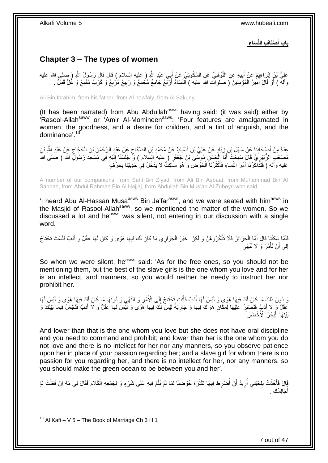**ْصَنا ف الِّن َسا ء باب أ َ**

# <span id="page-6-0"></span>**Chapter 3 – The types of women**

عَلِيُّ بْنُ إِبْرَاهِيمَ عَنْ أَبِيهِ عَنِ النَّوْفَلِيِّ عَنِ السَّكُونِيِّ عَنْ أَبِي عَبْدِ اللَّهِ ( عليه السلام ) قَالَ قَالَ رَسُولُ اللَّهِ ( صلى الله عليه **ֽוּ** َ ِ َ ِ وآلمْ ) أَوْ قَالَ أَمِيرُ الْمُؤْمِنِينَ ( صلوات الله عليه ) النِّسَاءُ أَرْبَعٌ جَامِعٌ مُجْمِعٌ وَ رَبِيعٌ مُرْبِعٌ وَ كَرْبٌ مُقْمِعٌ وَ غُلٌّ قَمِلٌ . ِ َ ْ َ َ

Ali Bin Ibrahim, from his father, from Al nowfaly, from Al Sakuny,

(It has been narrated) from Abu Abdullah<sup>asws</sup> having said: (it was said) either by 'Rasool-Allah<sup>saww</sup> or 'Amir Al-Momineen<sup>asws</sup>: 'Four features are amalgamated in women, the goodness, and a desire for children, and a tint of anguish, and the dominance'.<sup>13</sup>

عِدَّةٌ مِنْ أَصْحَابِنَا عَنْ سَهْلِ بْنِ زِيَادٍ عَنْ عَلِيِّ بْنِ أَسْبَاطٍ عَنْ مُحَمَّدِ بْنِ الصَّبَّاحِ عَنْ عَبْدٍ الرَّحْمَنِ بْنِ الْحَجَّاجِ عَنْ عَبْدِ الثَّهِ بْنِ ِ َ ِ **∣** َ  $\zeta$ ْ مُصْعَبِ الزُّبَيْرِيِّ قَالَ سَمِعْتُ أَبَاَ الْحَسَنِ مُوسَى َبْنَ جَعْفَرٍ ( عِليه السَلام ) وَ ْ جَلَسْنَا إِلَيْهِ فِي مَسْجِدِ رَسُولِ اللَّهِ ( صلى الله لَ ِ ْ َ ِ عليه وآله ) فَتَذَاكُرْنَا أَمْرَ النُّسَاءِ فَأَكْثَرْنَا الْخَوْضَ وَ هُوَ سَّاكِتٌ لَا يَدْخُلُ فِي حَدِيثِنَا بِحَرْفٍ ْ ة<br>ا َ َ ِ

A number of our companions, from Sahl Bin Ziyad, from Ali Bin Asbaat, from Muhammad Bin Al Sabbah, from Abdul Rahman Bin Al Hajjaj, from Abdullah Bin Mus'ab Al Zubeyri who said,

'I heard Abu Al-Hassan Musa<sup>asws</sup> Bin Ja'far<sup>asws</sup>, and we were seated with him<sup>asws</sup> in the Masjid of Rasool-Allah<sup>saww</sup>, so we mentioned the matter of the women. So we discussed a lot and he<sup>asws</sup> was silent, not entering in our discussion with a single word.

ْ فَلَمَّا سَكَّتْنَا قَالَ أَمَّا الْحَرَائِرُ فَلَا تَذْكُرُوهُنَّ وَ لَكِنْ ۚ خَيْرُ الْجَوَارِي مَا كَانَ لَكَ فِيهَا هَوًى وَ كَانَ لَهَا عَقْلٌ وَ أَدَبٌ فَلَسْتَ تَحْتَاجُ َ َ ْ إِلَى أَنْ تَأْمُرَ وَ لَا تَنْهَى ٔ<br>: َ ِ

So when we were silent, he<sup>asws</sup> said: 'As for the free ones, so you should not be mentioning them, but the best of the slave girls is the one whom you love and for her is an intellect, and manners, so you would neither be needy to instruct her nor prohibit her.

َى دُونَ ذَلِكَ مَا كَانَ لَكَ فِيهَا هَوًى وَ لَيْسَ لَهَا أَدَبٌ فَأَنْتَ تَحْتَاجُ إِلَى الْأَمْرِ وَ النَّهْيِ وَ دُونَهَا مَا كَانَ لَكَ فِيهَا هَوًى وَ لَيْسَ لَهَا َ َ ِ ِ  $\frac{1}{2}$ عَقْلٌ وَ لَا أَدَبٍّ فَتَصْبِرُ عَلَيْهَا لِمَكَانِ هَوَاكَ فِيهَا وَ جَارِيَةٌ لَيْسَ لَكَ فِيهَا هَوًى وَ لَيْسَ لَهَا عَقْلٌ وَ لَا أَدَبٌ فَتَجْعَلُ فِيمَا بَيْنَكَ وَ لَ ِ **∣** َ َ بَيْنَهَا الْبَحْرَ الْأَخْضَرَ :<br>ا

And lower than that is the one whom you love but she does not have oral discipline and you need to command and prohibit; and lower than her is the one whom you do not love and there is no intellect for her nor any manners, so you observe patience upon her in place of your passion regarding her; and a slave girl for whom there is no passion for you regarding her, and there is no intellect for her, nor any manners, so you should make the green ocean to be between you and her'.

َفَالَ فَأَخَذْتُ بِلِحْيَتِي أَرِيدُ أَنْ أَصْرِطَ فِيهَا لِكَثْرَةِ خَوْضِنَا لِمَا لَمْ نَقُمْ فِيهِ عَلَى شَيْءٍ وَ لِجَمْعِهِ الْكَلَامَ فَقَالَ لِي مَهْ إِنْ فَعَلْتَ لَمْ **ٔ ∶** ا<br>ا َ ِ ُ ِ ْ َ ْ ِ ْ جَالِسْكَ <sub>.</sub> ا<br>ا أ

<sup>1</sup>  $13$  Al Kafi – V 5 – The Book of Marriage Ch 3 H 1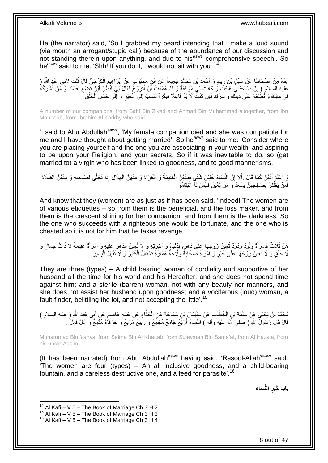He (the narrator) said, 'So I grabbed my beard intending that I make a loud sound (via mouth an arrogant/stupid call) because of the abundance of our discussion and not standing therein upon anything, and due to his<sup>asws</sup> comprehensive speech'. So heasws said to me: 'Shh! If you do it, I would not sit with you'.<sup>14</sup>

عِدَّةٌ مِنْ أَصْحَابِنَا عَنْ سَهْلِ بْنِ زِيَادٍ وَ أَحْمَدَ بْنِ مُحَمَّدٍ جَمِيعاً عَنِ ابْنِ مَحْبُوبٍ عَنْ إِبْرَاهِيمَ الْكَرْخِيِّ قَالَ قُلْتُ لِأَبِي عَبْدٍ الثَّهِ ( ْ ِ َ **∶** ِ ْ َ عليه السلام ) إِنَّ صَاحِبَتِي هَلَكَتْ وَ كَانَتْ لِيَ مُوَافِقَةً وَ قَدْ هَمَمْتُ أَنْ أَتَزِّوَّجَ فَقَالَ لِيَ انْظُرْ أَيْنَ تُضْعَ نَفْسَكَ وَ مَنْ تُشْرِكُهُ ِ َ َ لَ ِ فِي مَالِكَ وَ تُطْلِعُهُ عَلَى دِينِّكَ وَ سِرِّكَ فَإِنْ كُنْثَ لَا بُدَّ فَاعِلًا فَبِكْراً تُنْسَبُ إِلَى الْخَيْرِ وَ إِلَى حُسْنِ الْخُلُقِ ِ ْ ِ ِ ِ ُ

A number of our companions, from Sahl Bin Ziyad and Ahmad Bin Muhammad altogether, from Ibn Mahboub, from Ibrahim Al Karkhy who said,

'I said to Abu Abdullah<sup>asws</sup>, 'My female companion died and she was compatible for me and I have thought about getting married'. So he<sup>asws</sup> said to me: 'Consider where you are placing yourself and the one you are associating in your wealth, and aspiring to be upon your Religion, and your secrets. So if it was inevitable to do, so (get married to) a virgin who has been linked to goodness, and to good mannerisms.

وَ اعْلَمْ أَنَّهُنَّ كَمَا قَالَ .أَلَا إِنَّ النِّسَاءَ خُلِقْنَ شَتَّى فَمِنْهُنَّ الْغَنِيمَةُ وَ الْغَرَامُ وَ مِنْهُنَّ الْهِلَالُ إِذَا تَجَلَّى لِصَاحِبِهِ وَ مِنْهُنَّ الظَّلَامُ ْ ْ ِ َ َ ِ ِ ْ فَمَنْ يَظْفَرْ بِصَالِحِهِنَّ يَسْعَدْ َو مَنْ يُغْبَنْ فَلَيْسَ لَهُ انْتِقَامُوَ ِ ِ

And know that they (women) are as just as if has been said, 'Indeed! The women are of various etiquettes – so from them is the beneficial, and the loss maker, and from them is the crescent shining for her companion, and from them is the darkness. So the one who succeeds with a righteous one would be fortunate, and the one who is cheated so it is not for him that he takes revenge.

هُنَّ فَامْرَأَةٌ وَلُودٌ وَدُودٌ تُعِينُ زَوْجَهَا عِلَى دَهْرٍهِ لِدُنْيَاهُ وَ آخِرَتِهِ وَ لَا تُعِينُ الذَهْرَ عَلَيْهِ وَ امْرَأَةٌ عَقِيمَةٌ لَا ذَاتُ جَمَالٍ وَ ِ َ َ لَا خُلُقٍ وَ لَا تُعِينُ زَوْجَهَا عَلَى خَيْرٍ وَ امْرَأَةٌ صَخَّابَةٌ وَلَّاجَةٌ هَمَّازَةٌ تَسْتَقِلُّ الْكَثِيرَ وَ لَا تَقْبَلُ الْيَسِيرَ . ْ َ .<br>ا ْ

They are three (types) – A child bearing woman of cordiality and supportive of her husband all the time for his world and his Hereafter, and she does not spend time against him; and a sterile (barren) woman, not with any beauty nor manners, and she does not assist her husband upon goodness; and a vociferous (loud) woman, a fault-finder, belittling the lot, and not accepting the little'.<sup>15</sup>

مُحَمَّدُ بْنُ يَحْيَي عَنْ سَلَمَةَ بْنِ الْخَطَّابِ عَنْ سُلَيْمَانَ بْنِ سَمَاعَةَ عَنِ الْحَذَّاءِ عَنْ عَمِّهِ عَاصِمٍ عَنْ أَبِي عَبْدِ الثَّهِ ( عليه السلام )<br>. ٍ ْ ْ َ قَالَ قَالَ رَسُولٌ اللَّهِ ( صلى الله عليه وأله ) النِّسَاءُ أَرْبَعٌ جَامِعٌ مُجْمِعٌ وَ رَبِيعٌ مُرْبِعٌ وَ خَرْقَاءُ مُقْمِعٌ وَ غُلٌّ قَمِلٌ . اُ ِ ِ

Muhammad Bin Yahya, from Salma Bin Al Khattab, from Suleyman Bin Sama'at, from Al Haza'a, from his uncle Aasim,

(It has been narrated) from Abu Abdullah $a<sup>asws</sup>$  having said: 'Rasool-Allah $<sup>saww</sup>$  said:</sup> 'The women are four (types) – An all inclusive goodness, and a child-bearing fountain, and a careless destructive one, and a feed for parasite'.<sup>16</sup>

> **الِّن َسا ء باب َخْير**

<sup>&</sup>lt;sup>14</sup> Al Kafi – V 5 – The Book of Marriage Ch 3 H 2

 $15$  Al Kafi – V  $5$  – The Book of Marriage Ch 3 H 3

 $16$  Al Kafi – V 5 – The Book of Marriage Ch 3 H 4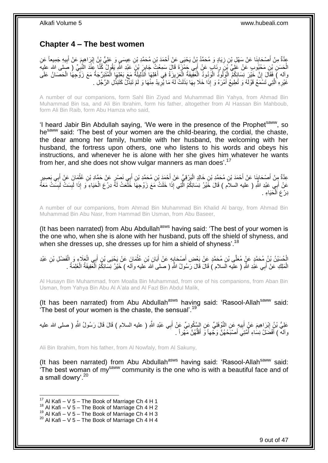## <span id="page-8-0"></span>**Chapter 4 – The best women**

عِدَّةٌ مِنْ أَصْحَابِذَا عَنْ سَهْلِ بْنِ زِيَادٍ وَ مُحَمَّدُ بْنُ يَحْيَىِ عَنْ أَحْمَدَ بْنِ مُحَمَّدِ بْنِ عِيسَىٍ وَ عَلِيُّ بْنِ الْذِرَاهِيِمَ عَنْ أَبِيهِ جَمِيعاً عَنِ ِ **∣** َ ِ َ ِ َ الْحَسَنِ بْنِ مَحْبُوبٍ عَنْ عَلِّيٍّ بِّنَ رِذَابٍ عَنْ أَبِي حَمْزَةَ قَالَ سَمِعْتُ جَابِرَ بْنَ عَبْدِ اللَّهِ يَقُولُ كُنَّا عَنْدَ النَّبِيِّ ( صَلى الله عليه **!** َ ِ ِ وآله ) فَقَالَ إِنَّ خَيْرَ نِسَائِكُمْ الْوَلُودُ الْعَفِّيقَةُ الْعَزِيزَةُ فِي أَهْلِهَا الذَّلِيلَةُ مَعَ بَعْلِهَا الْمُتَبَرِّجَةُ مَعَ زَوْجِهَا الْحَصَانُ عَلَى َ **∶** ْ ْ :<br>ا ْ ِ ْ ْ ِ غَيْرِهِ ٰ الَّتِي تَسْمَعُ قَوْلَهُ وَ تُطِيعُ أَمْرَهُ وَ إِذَا خَلَا بِهَا بَذَلَتْ لَهُ مَا يُرِّيدُ مِنْهَا وَ لَمْ تَبَذَّلْ كَتَبَذُّلِ الرَّجْلِ . َ َّ ِ ِ ِ

A number of our companions, form Sahl Bin Ziyad and Muhammad Bin Yahya, from Ahmad Bin Muhammad Bin Isa, and Ali Bin Ibrahim, form his father, altogether from Al Hassan Bin Mahboub, form Ali Bin Raib, form Abu Hamza who said,

'I heard Jabir Bin Abdullah saying, 'We were in the presence of the Prophet<sup>saww</sup>, so he<sup>saww</sup> said: 'The best of your women are the child-bearing, the cordial, the chaste, the dear among her family, humble with her husband, the welcoming with her husband, the fortress upon others, one who listens to his words and obeys his instructions, and whenever he is alone with her she gives him whatever he wants from her, and she does not show vulgar manners as man does'.<sup>17</sup>

عِدَّةٌ مِِنْ أَصْحَابِنَا عَنْ أَحْمَدَ بْنِ مُحَمَّدِ بْنِ خَالِدٍ الْبَرْقِيِّ عَنْ أَحْمَدَ بْنِ مُحَمَّدِ بْنِ أَبِي نَصْرٍ عَنْ حَمَّادِ بْنِ عُثْمَانَِ عَنْ أَبِي بَصِيرٍ َ َ ْ َ ¦ َ َ ْ عَنْ أَبِي عَبْدِ اللَّهِ ( عليه السلاَم ) قَالَ خَيْرُ نِسَائِكُمُ الَّتِي إِذَا خَلَتْ مَعَ زَوْجِهَا خَلَّعَتْ لَهً دِرْعَ الْحَيَاءِ َوَ إِذَا لَبِسَتْ لَبِسَّتْ مَعَهً ِ ِ ْ َّ دِرْعَ الْحَيَاءِ ۚ ْ

A number of our companions, from Ahmad Bin Muhammad Bin Khalid Al barqy, from Ahmad Bin Muhammad Bin Abu Nasr, from Hammad Bin Usman, from Abu Baseer,

(It has been narrated) from Abu Abdullah<sup>asws</sup> having said: 'The best of your women is the one who, when she is alone with her husband, puts off the shield of shyness, and when she dresses up, she dresses up for him a shield of shyness'.<sup>18</sup>

الْحُسَيْنُ بْنُ مُحَمَّدٍ عَنْ مُعَلَّى بْنِ مُحَمَّدٍ عَنْ بَعْضِ أَصْحَابِهِ عَنْ أَبَانِ بْنِ عُثْمَانَ عَنْ يَحْيَى بْنِ أَبِي الْعَلَاءِ وَ الْفَضْلِ بْنِ عَبْدِ **ٔ** َ **∶** َ ْ ْ َ الْمَلِكِ عَنْ أَبِي عَلْدِ اللَّهِ ( عليه السلام ) قَالَ قَالَ رَسُولُ اللَّهِ ( صلى الله عليه وأله ) خَيْرُ نِسَائِكُمُ الْمَُفِيفَةُ الْغَلِمَةُ . َ ْ ْ ْ

Al Husayn Bin Muhammad, from Moalla Bin Muhammad, from one of his companions, from Aban Bin Usman, from Yahya Bin Abu Al A'ala and Al Fazl Bin Abdul Malik,

(It has been narrated) from Abu Abdullah<sup>asws</sup> having said: 'Rasool-Allah<sup>saww</sup> said: 'The best of your women is the chaste, the sensual'.<sup>19</sup>

عَلِيُّ بْنُ إِبْرَاهِيمَ عَنْ أَبِيهِ عَنِ النَّوْفَلِيِّ عَنِ السَّكُونِيِّ عَنْ أَبِي عَبْدِ اللَّهِ ( عليه السلام ) قَالَ قَالَ رَسُولُ اللَّهِ ( صلى الله عليه َ **!** َ ِ وآله ) أَفْضَلُ نِسَاءِ أَمَّتِيَ أَصْبَحُهُنَّ وَجْهاً وَ أَقَلَّهُنَّ مَهْراً . ُّ َ َ ر<br>ا َ

Ali Bin Ibrahim, from his father, from Al Nowfaly, from Al Sakuny,

(It has been narrated) from Abu Abdullah $^{asws}$  having said: 'Rasool-Allah $^{saww}$  said: The best woman of  $m\gamma^{\text{saww}}$  community is the one who is with a beautiful face and of a small dowry'.<sup>20</sup>

 $17$  Al Kafi – V 5 – The Book of Marriage Ch 4 H 1

 $18$  Al Kafi – V 5 – The Book of Marriage Ch 4 H 2

 $^{19}$  Al Kafi – V  $\frac{3}{5}$  – The Book of Marriage Ch 4 H 3

 $20$  Al Kafi – V 5 – The Book of Marriage Ch 4 H 4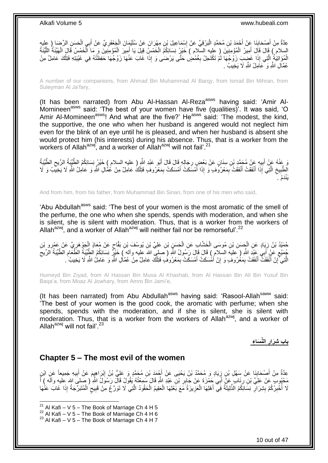عِدَّةٌ مِنْ أَصْحَابِذَا عَنْ أَحْمَدَ بْنِ مُحَمَّدٍ الْبَرْقِيِّ عَنْ إِسْمَاعِيلَ بْنِ مِهْرَانَ عَنْ سُلَيْمَانَ الْجَعْفَرِيِّ عَنْ أَبِي الْحَسَنِ الرِّضَا ( عِليه<br>وَيَدَّةٌ مِنْ أَصْحَابِذَا عَنْ أَحْمَدَ بْنِ مُحَ ْ ∣l<br>∶ ْ ¦ َ ْ َ **∶** ا<br>ا السلام ) قَالَ قَالَ أَمِيرُ الْمُؤْمِنِينَ ( عَليه السّلام ) خَيْرُ نِسَائِكُمُ الْخَمْسُِ قِيلَ يَا أَمِيرَ الْمُؤْمِنِينَ وَ مَا الْخَمْسُ قَالَ الْهَيِّنَةُ اللَّيِّنَةُ َ ْ ْ َ َّ ْ ْ الْمُؤَاتِيَةُ الَّتِي إِذَا غَضِبِ زَوْجُهَا لَمْ تَكْتَحِلْ بِغُمْضِ حَتَّى يَرْضَى وَ إِذَا غَابَ عَنْهَا زَوْجُهَا حَفِظَتْهُ فِي غَيْبَتِهِ فَتِلْكَ عَامِلٌ مِنْ ِ َّ ْ عُمَّالِ اللَّهِ وَ ْعَاَمِلُ اللَّهِ لَا يَخِيبُ .

A number of our companions, from Ahmad Bin Muhammad Al Barqy, from Ismail Bin Mihran, from Suleyman Al Ja'fary,

(It has been narrated) from Abu Al-Hassan Al-Reza<sup>asws</sup> having said: 'Amir Al-Momineen<sup>asws</sup> said: 'The best of your women have five (qualities)'. It was said, 'O Amir Al-Momineen<sup>asws</sup>! And what are the five?' He<sup>asws</sup> said: 'The modest, the kind, the supportive, the one who when her husband is angered would not neglect him even for the blink of an eye until he is pleased, and when her husband is absent she would protect him (his interests) during his absence. Thus, that is a worker from the workers of Allah<sup>azwj</sup>, and a worker of Allah<sup>azwj</sup> will not fail'.<sup>21</sup>

وَ عَنْهُ عَنْ أَبِيهِ عَنْ مُحَمَّدٍ بْنِ سِنَانٍ عَنْ بَعْضٍ رِجَالِهِ قَالَ قَالَ أَبُو عَبْدِ اللَّهِ ( عليه السلام ) خَيْرُ نِسَائِكُمُ الطَّيِّبَةُ الرِّيحِ الطَّيِّبَةُ الرِّيحِ الطَّيِّبَةُ َ **∶ !** َ  $\zeta$ الطَّبِيخِ الَّتِي إِذَا أَنْفَقَتْ أَنْفَقَتْ بِمَعْرُوَفٍ وَ إِذَا أَمْسَكَتْ أَمْسَكَتْ بِمَعْرُوفٍ فَتِلْكُ عَامِلٌ مِنْ عُمَّالِ اللَّهِ وَ عَامِلُ اللَّهِ لَا يَخِيبُ وَ لَا ِ َ َ َّ ِ **∣** ْ ِ َ َ َدُم . َينْ

And from him, from his father, from Muhammad Bin Sinan, from one of his men who said,

'Abu Abdullah<sup>asws</sup> said: 'The best of your women is the most aromatic of the smell of the perfume, the one who when she spends, spends with moderation, and when she is silent, she is silent with moderation. Thus, that is a worker from the workers of Allah<sup>azwj</sup>, and a worker of Allah<sup>azwj</sup> will neither fail nor be remorseful'.<sup>22</sup>

حُمَيْدُ بْنُ زِيَادٍ عَنِ الْجَسَنِ بْنِ مُوسَى الْخَشَّابِ عَنِ الْحَسَنِ بْنِ عَلِيِّ بْنِ يُوسُفَ بْنِ بَقَاحٍ عَنْ مُعَاذٍ الْجَوْهَرِ مِيِّ عَنْ عَمْرِ و بْنِ<br>مُدَيَّدَ بِّنَّ مُرْغَ وَسَيِّدَ مِنْ يَسْتُمْرَ بِنَ ا ٍ ْ ْ ْ ِ ِ ْ مُجِمَّدِ عَنْ أَبِي عَنْدِ اللَّهِ ( عليهَ السلام ) قَالَ وَسُولُ اللَّهِ ( َصلى اللهَ عليه وأله ) خَلْرٍ نِسَائِكُمُ الطِّيِّبَةُ الطَّعْامِ الطُّيِّبَةُ الرِّيحَ ٍ  $\zeta$ ِ الَّتِي ۗ إِنْ أَنْفَقَتْ أَنْفَقَتْ بِمَغْرُوفٍ وَ إِنْ أَمْسَكَتْ أَمْسَكَتْ بِمَعْرُوفٍ فَتِلْكَ عَامِلٌ مِنْ عُمَّالِ اللَّهِ وَ عَامِلُ اللَّهِ لَا يَخِيبُ ۚ ـ ْ ِ َ َ ِ ِ َ اً<br>ا اٍ

Humeyd Bin Ziyad, from Al Hassan Bin Musa Al Khashab, from Al Hassan Bin Ali Bin Yusuf Bin Baqa'a, from Moaz Al Jowhary, from Amro Bin Jami'e,

(It has been narrated) from Abu Abdullah<sup>asws</sup> having said: 'Rasool-Allah<sup>saww</sup> said: 'The best of your women is the good cook, the aromatic with perfume; when she spends, spends with the moderation, and if she is silent, she is silent with  $m$  moderation. Thus, that is a worker from the workers of Allah $a$ <sup>azwj</sup>, and a worker of Allah $a^{2xy}$  will not fail'.<sup>23</sup>

> **الِّن َسا ء باب شَرار**

### <span id="page-9-0"></span>**Chapter 5 – The most evil of the women**

عِدَّةٌ مِنْ أَصْحَابِنَا عَنْ سَهْلِ بْنِ زِيَادٍ وَ مُحَمَّدُ بْنُ يَحْيَى عَنْ أَجْمَدَ بْنِ مُحَمَّدٍ وَ عَلِيُّ بْنُ إِبْرَاهِيمَ عَنْ أَبِيهِ جَمِيعاً عَنِ ابْنِ ِ َ ِ ِ َ ِ َ مَعْبُوبٍ عَنْ عَلِيٍّ بْنِ رِئَابٍ عَنْ أَبَى حَمْزَةَ عَنْ جَابِرِ بْنِّ عَبْدِ اللَّهِ قَالَ بَسَمِعْتُهُ يَقُولُ قَالَ رَسُولُ اللَّهِ ( صلى الله عليه وآلَه ) أَ ِ َ ِ َ َّ لَا أُخْبِرُكُمْ بِشِرَالِّ نِسَّائِكُمْ الذَّلِيلَةُ فَي أَهْلِهَا الْعَزِيزَةُ مَّعَ بَعْلِهَا الْعَقِيمُ الْحَقُودُ الَّتِي لَا تَوَرَّعُ مِنْ قَبِيحِ الْمُتَبَرِّجَةُ إِذَا غَابَ عَنْهَا ْ ْ **∶** ْ َ ِ **!** ِ :<br>ا ْ ٍ ِ

<sup>&</sup>lt;sup>21</sup> Al Kafi – V 5 – The Book of Marriage Ch 4 H 5

 $22$  Al Kafi – V 5 – The Book of Marriage Ch 4 H 6

 $23$  Al Kafi – V 5 – The Book of Marriage Ch 4 H 7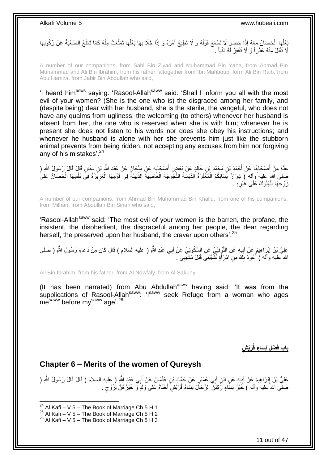بَعْلُهَا الْحَصَانُ مَعَهُ إِذَا حَضَنَ لَا تَسْمَعُ قَوْلَهُ وَ لَا تُطِيعُ أَمْرَهُ وَ إِذَا خَلَا بِهَا بَعْلُهَا تَمَنَّعَتْ مِنْهُ كَمَا تَمَنَّعُ الصَّعْبَةُ عَنْ رُكُوبِهَا ُ ِ َ ْ :<br>با **∶** َلَا تَقْبَلُ مِنْهُ عُذْرٍ أَ وَ لَا تَغْفِرُ لَهُ ذَنْباً . **ٔ** 

A number of our companions, from Sahl Bin Ziyad and Muhammad Bin Yaha, from Ahmad Bin Muhammad and Ali Bin Ibrahim, from his father, altogether from Ibn Mahboub, form Ali Bin Raib, from Abu Hamza, from Jabir Bin Abdullah who said,

'I heard him<sup>asws</sup> saying: 'Rasool-Allah<sup>saww</sup> said: 'Shall I inform you all with the most evil of your women? (She is the one who is) the disgraced among her family, and (despite being) dear with her husband, she is the sterile, the vengeful, who does not have any qualms from ugliness, the welcoming (to others) whenever her husband is absent from her, the one who is reserved when she is with him; whenever he is present she does not listen to his words nor does she obey his instructions; and whenever he husband is alone with her she prevents him just like the stubborn animal prevents from being ridden, not accepting any excuses from him nor forgiving any of his mistakes'.<sup>24</sup>

عِدَّةٌ مِنْ أَصْحَابِنَا عَنْ أَحْمَدَ بْنِ مُحَمَّدٍ بْنِ خَالِدٍ عَنْ بَعْضٍ أَصْحَابِهِ عَنْ مِلْحَانَ عَنْ عَبْدِ اللَّهِ بْنِ سِنَانٍ قَالَ قَالَ رَسُولُ اللَّهِ ( **∣** َ ْ ِ َ صلى الله عليه وآله ) شِرَارُ نَسَائِكُمُ الْمُعْقَرَةُ الدَّنِسَةُ اللَّجُوجَةُ الْعَاصِيَةُ الذَّلِيلَةُ فِي قَوْمِهَا الْعَزِيَّزَةُ فِي نَفْسِهَا الْحَصَانُ عَلَىُ<br>يَمْكُنُوا بِنَّهُمْ بِهِ بَعْضِهِ فَي الْمُعَانِّ عَل ْ ْ َّ ْ ْ زَوْجِهَا الْهَلُوكُ عَلَى غُيْرِهِ . **∶** ْ

A number of our companions, from Ahmad Bin Muhammad Bin Khalid, from one of his companions, from Milhan, from Abdullah Bin Sinan who said,

'Rasool-Allah<sup>saww</sup> said: 'The most evil of your women is the barren, the profane, the insistent, the disobedient, the disgraceful among her people, the dear regarding herself, the preserved upon her husband, the craver upon others'.<sup>25</sup>

َ عَلِيُّ بْنُ إِبْرَاهِيمَ عَنْ أَبِيهِ عَنِ النَّوْفِلْيِّ عَنِ السَّكُونِيِّ عَنْ أَبِي عَبْدِ اللَّهِ ( عليه<br>عَلِيُّ بْنُ إِبْرَاهِيمَ عَنْ أَبِيهِ عَنِ النَّوْفِلْيِّ عَنِ السَّكُونِيِّ عَنْ أَبِي عَبْدِ اللَّهِ ( علي **∣** َ الله ۖ عليه وَ اَلَه ﴾ أَعُوذُ بِكَ مِنِ امْرَ أَةٍ تُشَّيِّبُنِيَ قَبْلَ مَشِيِّبِي ۚ ـِ َ  $\frac{1}{2}$ َ

Ali Bin Ibrahim, from his father, from Al Nowfaly, from Al Sakuny,

(It has been narrated) from Abu Abdullah $a<sup>asws</sup>$  having said: 'It was from the supplications of Rasool-Allah<sup>saww</sup>: 'I<sup>saww</sup> seek Refuge from a woman who ages mesaww before my<sup>saww</sup> age'.<sup>26</sup>

 **ش َرْي ْض ل ن َسا ء قُ باب فَ**

### <span id="page-10-0"></span>**Chapter 6 – Merits of the women of Qureysh**

عَلِيُّ بْنُ إِبْرَاهِيمَ عَنْ أَبِيهِ عَنِ ابْنِ أَبِي عُمَيْرٍ عَنْ حَمَّادِ بْنِ عُثْمَانَ عَنْ أَبِي عَبْدِ اللَّهِ ( عليه السلام ) قَالَ قَالَ رَسُولُ اللَّهِ ( **ֽוּ** َ **ٔ** َ **∣** صلَّى الله عليه وآله ) خَيْرُ نِسَاءٍ رَكِبْنَ الرِّحَاّلَ نِسَاءُ قُرَيْشٍ أَحْنَاهُ عَلَى وَلَدٍ وَ خَيْرُ هُنَّ لِزَوْجٍ . ٍ َ

 $24$  Al Kafi – V 5 – The Book of Marriage Ch 5 H 1

 $^{25}$  Al Kafi – V  $\frac{3}{5}$  – The Book of Marriage Ch 5 H 2

 $26$  Al Kafi – V 5 – The Book of Marriage Ch 5 H 3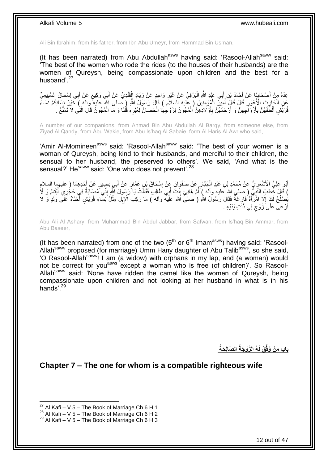Ali Bin Ibrahim, from his father, from Ibn Abu Umeyr, from Hammad Bin Usman,

(It has been narrated) from Abu Abdullah<sup>asws</sup> having said: 'Rasool-Allah<sup>saww</sup> said: 'The best of the women who rode the rides (to the houses of their husbands) are the women of Qureysh, being compassionate upon children and the best for a husband'.<sup>27</sup>

عِدَّةٌ مِنْ أَصْحَابِنَا عَنْ أَحْمَدَ بْنِ أَبِي عَبْدِ اللَّهِ الْبَرْقِيِّ عَنْ غَيْرِ وَاحِدٍ عَنْ زِيَادٍ إِلْقَنْدِيِّ عَنْ أَبِي وَكِيعٍ عَنْ أَبِي إِسْحَاقَ السَّبِيعِيِّ ْ ِ ِ :<br>ا َ **!** َ ِ ِ َ **≀** َ َنِ الْجَارِثِ الْأَعْوَرِ ۚ قَالَ قَالٍ ۖ أَمِيَرٌ لِلْمُؤْمِنِينَ ( عِلْيه السِلاَم ) قَالَ رَسُولُ اللَّهِ (صلى الله عليه وآله ) خَيْرُ بِسَائِكُمْ نَسَاءً ْ َ ِ ِ ْ قُرَيَّشٍ أَلْطَفُهُنَّ بِأَزْوَاجِهِنَّ وَ أَرْحَمُهُنَّ بِأَوْلَادِهِنَّ الْمُجُونُ لِزَوْجِهَا الْحَصَانُ لِغَيْرِهِ قُلْنَا وَ مَا الْمُجُونُ قَالَ الَّتِي لَا تَمَنَّعُ ـ ْ ِ ْ ْ َ ِ اُ ِ اُ ِ َ َّ ْ

A number of our companions, from Ahmad Bin Abu Abdullah Al Barqy, from someone else, from Ziyad Al Qandy, from Abu Wakie, from Abu Is'haq Al Sabaie, form Al Haris Al Awr who said,

'Amir Al-Momineen<sup>asws</sup> said: 'Rasool-Allah<sup>saww</sup> said: 'The best of your women is a woman of Qureysh, being kind to their husbands, and merciful to their children, the sensual to her husband, the preserved to others'. We said, 'And what is the sensual?' He<sup>saww</sup> said: 'One who does not prevent'.<sup>28</sup>

أَبُو عَلِيٍّ الْأَسْعَرِ يُّ عَنْ مُحَمَّدِ بْنِ عَبْدِ الْجَبَّارِ عَنْ صَفْوَانَ عَنْ إِسْحَاقَ بْنِ عَمَّارٍ عَنْ أَبِي بَصِيرٍ عَنْ أَحَدِهِمَا ( عليهما السلام َ ِ ِ ْ ِ َ ) قَالَ خَطَبَ النَّبِيُّ ( صلى الله عليه وآله ) أُمَّ هَانِئٍ بِنْتَ أَبِي طَالِبٍ فَقَالَتْ يَا رَسُولَ اللَّهِ إِنِّي مُصَابَةٌ فِي حَجُّرِي أَيْتَامٌ وَ لَا<br>) قَالَ خَطَبَ رَّبَّ أَنْ يَجْمَعُونَ مِنْ الْمَالِمِينَ ال َ ِ ا<br>ا **∶** َ ِ ْصِلْحُ لَكَ إِلَّا اهْرَأَةٌ فَإِرْغَةٌ فَقَالَ رَسُولُ اللَّهِ ( صلىً الله علَيه وأله ) مَا رَكِبَ الْإِبِلَ مِثْلُ نِسَاءِ قُرَيْشٍ أَحْنَاهُ عَلَى وَلَدٍ وَ لَا<br>مَعلَمُ لَكَ إِلَا اهْرَأَةٌ فَإِرْغَةٌ فَقَالَ رَسُولُ ْ ِ **∶** َ  $\ddot{\phantom{a}}$ ُ َ أَرْعَى عَلَىَ زَوْجٍ فِي ذَاَتِ يَدَيْهِ . ٍ اً

Abu Ali Al Ashary, from Muhammad Bin Abdul Jabbar, from Safwan, from Is'haq Bin Ammar, from Abu Baseer,

(It has been narrated) from one of the two  $(5<sup>th</sup>$  or  $6<sup>th</sup>$  Imam<sup>asws</sup>) having said: 'Rasool-Allahsaww proposed (for marriage) Umm Hany daughter of Abu Talib<sup>asws</sup>, so she said, 'O Rasool-Allahsaww! I am (a widow) with orphans in my lap, and (a woman) would not be correct for you<sup>asws</sup> except a woman who is free (of children)'. So Rasool-Allah<sup>saww</sup> said: 'None have ridden the camel like the women of Qureysh, being compassionate upon children and not looking at her husband in what is in his hands<sup>'29</sup>

**ال َّصال َحةُ ُه ال َّزْو َجةُ َق لَ باب َم ْن ُوفِّ**

<span id="page-11-0"></span>**Chapter 7 – The one for whom is a compatible righteous wife**

<sup>&</sup>lt;sup>27</sup> Al Kafi – V 5 – The Book of Marriage Ch 6 H 1

 $^{28}$  Al Kafi – V  $\frac{3}{2}$  – The Book of Marriage Ch 6 H 2

 $29$  Al Kafi – V 5 – The Book of Marriage Ch 6 H 3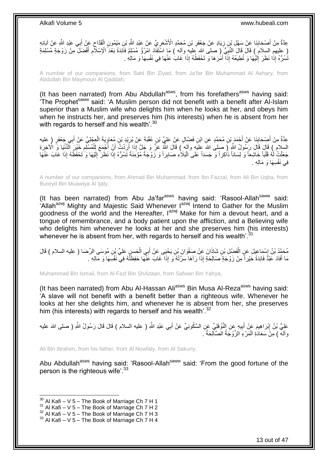عِدَّةٌ مِنْ أَصْحَابِنَا عَنْ سَهْلِ بْنِ زِيَادٍ عَنْ جَعْفَرِ بْنِ مُحَمَّدٍ الْأَشْعَرِيِّ عَنْ عَبْدِ اللَّهِ بْنِ مَيْمُونٍ الْقَدَّاحِ عَنْ أَبِي عَبْدِ اللَّهِ عَنْ آبَائِهِ ِ **ٍ** ِ **∣** َ ِ ْ ِ ( عليهم السلامُ ) قَالَ قَالَ النَّبِيُّ ( صلى الله عليه وآله ) مَا اسْتَفَادَ امْرُؤٌ مُسْلِمٌ فَاَئِدَةً بَعْدَ الْإِسْلَامِ أَفْضَلَ مِنْ زَوْجَةٍ مُسْلِمَةٍ<br>( فَارْضَعْ بَرَبَعَ الْمَرْضُ وَالْمُسْلَمَةِ الْمَرْضَى وَ ِ َ نَّسُرُّهُ إِذَا نَظَرَ إِلَيْهَا وَ تُطِيعُهُ إِذَا أَمَرَهَا وَ تَحْفَظُهُ إِذَا غَابَ عَنْهَا فِي نَفْسِهَا وَ مَالِهِ . َ لَ  $\frac{1}{2}$ 

A number of our companions, from Sahl Bin Ziyad, from Ja'far Bin Muhammad Al Ashary, from Abdullah Bin Maymoun Al Qaddah,

(It has been narrated) from Abu Abdullah<sup>asws</sup>, from his forefathers<sup>asws</sup> having said:  $\overline{r}$  The Prophet<sup>saww</sup> said: 'A Muslim person did not benefit with a benefit after Al-Islam superior than a Muslim wife who delights him when he looks at her, and obeys him when he instructs her, and preserves him (his interests) when he is absent from her with regards to herself and his wealth'.<sup>30</sup>

عِدَّةٌ مِنْ أَصِدَابِنَا عَنْ أَحْمَدَ بْنِ مُحَمَّدٍ عَنِ ابْنِ فَضَّالٍ عَنْ عَلِيٍّ بْنِ عُقْبَةَ عَنْ بُرَبْدِ بْنِ مُعَاوِيَةَ الْعِجْلِيِّ عَنْ أَبِي جَعْفَرٍ (عليه َ ¦ َ َ ْ ِ السلام ) قَالَ قَالَ رَسُولُ اللَّهِ لِرَّ صلِي اللهَ عِليَهِ وآلهٍ ) قَالَ اللَّهِ عَزَّ وَ جَلَّ إِذَا أَرَدْتُ أَنِّ أَجْمَعَ لِلْمُسْلَمِ خَيْرَ ٱلنُّذْنِيَا وَ الْأَخِرَةِ ِ ْ َ َ َ جَعَلْتُ لَٰهُ قَلْباً خَاشِعاً وَ لِسَاناً ذَاكِراً وَ جَسَداً عَلَى الْبَلَاٰءِ صَابِراً وَ زَوْجَةً مُؤْمِنَةً تَسُرُهُ إِذَا نَظَرَ إِلَيْهَا وَ تَحْفَظُهُ إِذَا غَابَ عَنْهَا ْ ْ لَ ِ فِي نَفْسِهَا وَ مَالِهِ .

A number of our companions, from Ahmad Bin Muhammad, from Ibn Fazzal, from Ali Bin Uqba, from Bureyd Bin Muawiya Al Ijaly,

(It has been narrated) from Abu Ja'far<sup>asws</sup> having said: 'Rasool-Allah<sup>saww</sup> said: 'Allah<sup>azwj</sup> Mighty and Majestic Said Whenever I<sup>azwj</sup> Intend to Gather for the Muslim goodness of the world and the Hereafter,  $I^{azwj}$  Make for him a devout heart, and a tongue of remembrance, and a body patient upon the affliction, and a Believing wife who delights him whenever he looks at her and she preserves him (his interests) whenever he is absent from her, with regards to herself and his wealth<sup>'.31</sup>

مُحَمَّدُ بْنُ إِسْمَاعِيلَ عَنِ الْفَضْلِ بْنِ شَاذَانَ عَنْ صَفْوَانَ بْنِ يَحْيَى عَنْ أَبِي الْحَسَنِ عَلِيِّ بْنِ مُوسَى الرِّصَا ( عليه السلام ) قَالَ<br>مُحَمَّدُ بْنُ إِسْمَاعِيلَ ْ َ ْ ِ مَا أَفَادَ عَبْدٌ فَائِدَةً خَيْراً مِنْ زَوْجَةٍ صَالِحَةٍ إِذَا رَآهَا سَرَّتْهُ وَ إِذَا غَابَ عََنْهَا حَفِظَتُهُ فِي نَفْسِهَا وَ مَالِهِ . َ

Muhammad Bin Ismail, from Al Fazl Bin Sh*Azaan*, from Safwan Bin Yahya,

(It has been narrated) from Abu Al-Hassan Ali<sup>asws</sup> Bin Musa Al-Reza<sup>asws</sup> having said: 'A slave will not benefit with a benefit better than a righteous wife. Whenever he looks at her she delights him, and whenever he is absent from her, she preserves him (his interests) with regards to herself and his wealth'. $32$ 

َ عَلِيُّ بْنُ إِبْرَاهِيمَ عَنْ أَبِيهِ عِنِ النَّوْفَلِيِّ عَنِ السَّكُونِيِّ عَنْ أَبِي عَبْدِ اللَّهِ ( عليه السلام ) قَالَ قَالَ رَسُولُ اللَّهِ ( صلى الله عليه **!** ِ وآله ) مِنَّ سَعَادَةِ الْمَرْءِ الزَّوْجَةُ الصَّالِحَةُ َ ْ

Ali Bin Ibrahim, from his father, from Al Nowfaly, from Al Sakuny,

Abu Abdullah<sup>asws</sup> having said: 'Rasool-Allah<sup>saww</sup> said: 'From the good fortune of the person is the righteous wife'.<sup>33</sup>

 $30$  Al Kafi – V 5 – The Book of Marriage Ch 7 H 1

 $31$  Al Kafi – V 5 – The Book of Marriage Ch 7 H 2

 $32$  Al Kafi – V  $5$  – The Book of Marriage Ch 7 H 3

 $33$  Al Kafi – V 5 – The Book of Marriage Ch 7 H 4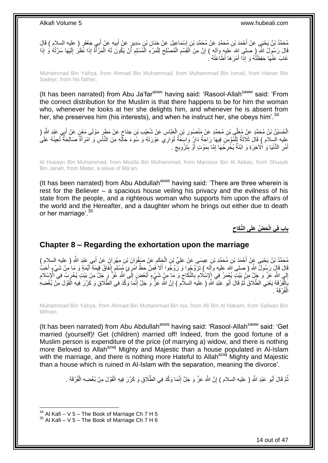مُحَمَّدُ بْنُ يَحْيَي عَنْ أَحْمَدَ بْنِ مُحَمَّدٍ عَنْ مُحَمَّدِ بْنِ إِسْمَاعِيلَ عَنْ جَنَانِ بْنِ سَدِيرٍ عَنْ أَبِيهِ عَنْ أَبِي جَعْفَرٍ ( عليه السلام ) قَالِّ ِ َ ∣l<br>∶ َ قَالَ رَسُولُ اللَّهِ ( صلىِ الله َعليهِ وَأَلم ) إِنَّ مِنَ الْقِسْمِ الْمُصْلِحِ لِلْمَرْءِ الْمُسْلِمِ أَنْ يَكُونَ لَمُه الْمَرَّأَةُ إِذَا نَّظَرُ إِلَيْهَا سَرَّتْهُ وَ إِذَا ِ َ ْ أ ِ ْ ْ ِ ْ ِ ْ יֲ<br>י َ ِ غَابَ عَنْهَا حَفِظَتْهُ وَ إِذَا أَمَرَهَا أَطَاعَتْهُ ` َ

Muhammad Bin Yahya, from Ahmad Bin Muhammad, from Muhammad Bin Ismail, from Hanan Bin Sadeyr, from his father,

(It has been narrated) from Abu Ja'far $a<sup>asws</sup>$  having said: 'Rasool-Allah $a<sup>saww</sup>$  said: 'From the correct distribution for the Muslim is that there happens to be for him the woman who, whenever he looks at her she delights him, and whenever he is absent from her, she preserves him (his interests), and when he instruct her, she obeys him<sup>'.34</sup>

الْحُسَيْنُ بْنُ مُحَمَّدٍ عَنْ مُعَلَّمٍ بْنِ مُحَمَّدٍ عَنْ مَنْصُورِ بْنِ الْعَبَّاسِ عَنْ شُعَيْبِ بْنِ جَنَاحٍ عَنْ مَطَرٍ مَوْلَى مَعْنٍ عَنْ أَبِي عَيْدِ اللَّهِ ( ֚֚֚֚֝֝֝֝׆֧ ْ **ٍ** َ عليه السلام ) قَالَ ثَلَاثَةٌ لِلْمُؤْمِنِ فِيهَا رَاجَةٌ دَارٍ ۗ وَاسِعَةٌ تُوَارِي عَوْرَتَهُ وَ سُوءَ حَالِهِ مِنَ النَّاسِ وَ اَمْرَأَةٌ صَالِحَةٌ تُعِينُهُ عَلَىُ<br>أَمِنْ الْمُؤْسِينُ مِنْ الْمَرْضَةِ لَهِ فَان الْمَو ْ َ َ أَهْرِ الدُّنْيَا وَ اٰلْآخِرَةِ وَ ابْنَةٌ يُخْرِجُهَا إِمَّا بِمَوْتٍ أَوْ بِتَزْوِيجِ . ٍ **∶** ِ اُ ِ ِ ِ **∶** َ

Al Husayn Bin Muhammad, from Moalla Bin Muhammad, from Mansour Bin Al Abbas, from Shuayb Bin Janah, from Matar, a slave of Ma'an,

(It has been narrated) from Abu Abdullah $a<sup>asws</sup>$  having said: 'There are three wherein is rest for the Believer – a spacious house veiling his privacy and the evilness of his state from the people, and a righteous woman who supports him upon the affairs of the world and the Hereafter, and a daughter whom he brings out either due to death or her marriage'.<sup>35</sup>

> **َح ِّض َعلَى الِّنَكاح باب ف ي الْ**

### <span id="page-13-0"></span>**Chapter 8 – Regarding the exhortation upon the marriage**

ِن ِمْه َرا َن َع ْن َوا َن ْب َع ْن َصفْ َح َكم ِن ال ِن ِعي َسى َع ْن َعلِ ِّي ْب ِن ُم َح َّمِد ْب ْح َمَد ْب ِي َعْبِد ََّّللا ُم َح َّمُد ْب ُن َي ْحَيى َع ْن <sup>أ</sup> ِ ) عليه السالم ( ب أ ِ ْ َ َ قَالَ قَالَ رَسُولٌ اللَّهِ (صلى الله عليه وأَله ) تَزَوَّجُوا وَ زَّوَجُوا أَلاَ ٰفَمِنْ حَظُّ امْرِئٍ مُسْلِمٍ إِنْفَاقُ قِيمَةِ أَيَّمَةٍ وَ مَا مِنْ شَيْءٍ أَحَكُّ ِ ֧֠<sup>֓</sup>֓֝֘׆ َ َ إِلَي اللَّهِ عَنَّ وَ جَلٍّ مِنْ بَيْتٍ يُعْمَرُ فِي إِلْإِسْلَامِ بِالنَّكَاحِ وَ مَا مِنْ شَيْءٍ أَبْغَضَ إِلَى اللَّهِ عَٰنَّ وَ جَلَّ مِنْ بَيْتٍ يُخْرَبُ فِي الْإِسْلَامِ ِ **∶ ื**  ِ ِ ِ َ بَالْفُرْ قَةِ يَعْنِي الطَّلَاقَ ثُمَّ قَالَ أَبُو عَبْدِ اللَّهِ ۖ ( عَلَيهَ السلام ) إِنَّ اللَّهَ عَنَّ وَ جَلَّ إِنَّمَا وَكَّدَ فِي الطَّلَاقِ وَ كَرَّرَ فِيهِ الْقَوْلَ مِنْ بُغْضِهِ ِ ِ ٔ.<br>ـ ْ ِ ْ الْفُرْقَةَ . ْ

Muhammad Bin Yahya, from Ahmad Bin Muhammad Bin Isa, from Ali Bin Al Hakam, from Safwan Bin Mihran,

(It has been narrated) from Abu Abdullah<sup>asws</sup> having said: 'Rasool-Allah<sup>saww</sup> said: 'Get married (yourself)! Get (children) married off! Indeed, from the good fortune of a Muslim person is expenditure of the price (of marrying a) widow, and there is nothing more Beloved to Allah<sup>azwj</sup> Mighty and Majestic than a house populated in Al-Islam with the marriage, and there is nothing more Hateful to Allah<sup>azwj</sup> Mighty and Majestic than a house which is ruined in Al-Islam with the separation, meaning the divorce'.

> نُّمَّ قَالَ أَبُو عَبْدِ اللَّهِ ( عليه السلام ) إِنَّ اللَّهَ عَزَّ وَ جَلَّ إِنَّمَا وَكَّدَ فِي الطَّلَاقِ وَ كَرَّرَ فِيهِ الْقَوْلَ مِنْ بُغْضِهِ الْفُرْقَةَ . ِ ِ ُ ْ ْ

 $34$  Al Kafi – V 5 – The Book of Marriage Ch 7 H 5

 $35$  Al Kafi – V 5 – The Book of Marriage Ch 7 H 6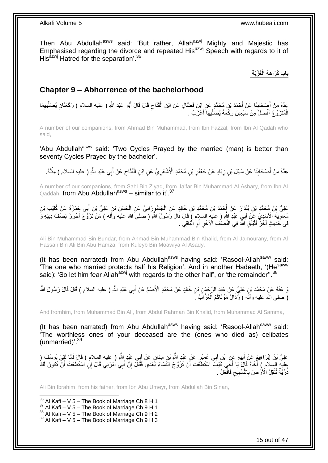Then Abu Abdullah<sup>asws</sup> said: 'But rather, Allah<sup>azwj</sup> Mighty and Majestic has Emphasised regarding the divorce and repeated His<sup>azwj</sup> Speech with regards to it of His $^{azmj}$  Hatred for the separation'.<sup>36</sup>

### **ُعْزَب ة باب َكَرا َه ة الْ**

### <span id="page-14-0"></span>**Chapter 9 – Abhorrence of the bachelorhood**

عِدَّةٌ مِنْ أَصْحَابِنَا عَنْ أَحْمَدَ بْنِ مُحَمَّدٍ عَنِ ابْنِ فَضَّالٍ عَنِ ابْنِ الْقَدَّاحِ قَالَ قَالَ أَبُو عَبْدِ اللَّهِ ( عليه السلام ) رَكْعَتَانِ يُصَلِّيهِمَا<br>وَيَرَجَّزُونَ َ **∣** َ ِ ِّ َ ِ ْ الْمُتَزَوِّجُ أَفْضَلُ مِنْ سَبْعِينَ رَكْعَةً يُصَلِّيهَا أَعْزَبُ . َ ِّ َ ْ

A number of our companions, from Ahmad Bin Muhammad, from Ibn Fazzal, from Ibn Al Qadah who said,

'Abu Abdullah<sup>asws</sup> said: 'Two Cycles Prayed by the married (man) is better than seventy Cycles Prayed by the bachelor'.

َ عِدَّةٌ مِنْ أَصْحَابِنَا عَنْ سَهْلِ بْنِ زِيَادٍ عَنْ جَعْفَرِ بْنِ مُحَمَّدٍ الْأَشْعَرِ يِّ عَنِ ابْنِ الْقَدَّاحِ عَنْ أَبِي عَبْدِ اللَّهِ ( عليه السلام ) مِثْلَهُ. ِ ْ ِ **ٍ** ِ **∣** َ ِ لَ ْ

A number of our companions, from Sahl Bin Ziyad, from Ja'far Bin Muhammad Al Ashary, from Ibn Al Qaddah, from Abu Abdullah<sup>asws</sup> - similar to it'.<sup>37</sup>

عَلِيُّ بْنُ مُحَمَّدٍ بْنِ بُنْدَارَ عَنْ أَحْمَدَ بْنِ مُحَمَّدِ بْنِ خَالِدٍ عَنِ الْجَامُورَانِيِّ عَنِ الْحَسَنِ بْنِ عَلِيٍّ بْنِ أَبِي جَمْزَةَ عَنْ كُلَيْبِ بْنِ َ َ ْ ْ مُعَاوِّيَةَ الْأَسَدِيِّ عَلِّي أَبِيِّ عَبْدِ اللَّهِ ( عليه السلام ) قَالَ قَالَ رَّسُولُ اللَّهِ ( صلى الله عليه وأَله ) مَنْ تَزَوَّجَ أَحْرَزَ نِصْفَ دِينِهِ وَ َ ِ َ فِي خَدِيثٍ آخَرَ فَلْيَتَّقِ اَشَّهَ فِي النِّصْنُفِ الْأَخَرِ أَوِ الْبَاقِي . :<br>ا ِ ِ :<br>ا

Ali Bin Muhammad Bin Bundar, from Ahmad Bin Muhammad Bin Khalid, from Al Jamourany, from Al Hassan Bin Ali Bin Abu Hamza, from Kuleyb Bin Moawiya Al Asady,

(It has been narrated) from Abu Abdullah<sup>asws</sup> having said: 'Rasool-Allah<sup>saww</sup> said: The one who married protects half his Religion'. And in another Hadeeth, '(He<sup>saww</sup>) said): 'So let him fear Allah<sup>azwj</sup> with regards to the other half', or 'the remainder".  $38$ 

وَ عَنْهُ عَنْ مُحَمَّدِ بْنِ عَلِيٍّ عَنْ عَيْدِ الرَّحْمَنِ بْنِ خَالِدٍ عَنْ مُحَمَّدٍ الْأَصَمِّ عَنْ أَبِي عَبْدِ اللَّهِ ( عليه السلام ) قَالَ قَالَ رَسُولُ اللَّهِ َ ( صلى الله عليه وآلَه ) رُذَالُ مَوْتَاكُمُ الْعُزَّابُ َ ْ

And fromhim, from Muhammad Bin Ali, from Abdul Rahman Bin Khalid, from Muhammad Al Samma,

(It has been narrated) from Abu Abdullah<sup>asws</sup> having said: 'Rasool-Allah<sup>saww</sup> said: 'The worthless ones of your deceased are the (ones who died as) celibates (unmarried)<sup>'.39</sup>

عَلِيُّ بْنُ إِبْرَاهِيمَ عَنْ أَبِيهِ عَنِ ابْنِ أَبِي عُمَيْرٍ عَنْ عَبْدِ اللَّهِ بْنِ سِنَانٍ عَنْ أَبِي عَبْدِ اللَّهِ ( عليه السلام ) قَالَ لَمَّا لَقِيَ يُوسُفُ ( **!** َ ِ َ َ عليه السلَّامِ ) أَخَاهُ قَالَ يَا أَخِّي كَيْفَ اسْتَطَعَّتَ أَنْ تَزَوَّجَ النِّسَاءَ بَعْدِي فَقَالَ إِنَّ أَبِي أُمَرَنِي قَالَ إِنِّ اسْتَطَعْتَ أَنْ تَكُونَ لَكُ<br>رِيَةٍ مُوْمِدَةٍ َ َ ِ َ َ ذُرِّيَّةٌ تُثْقِلُ الْأَرْضَ بِالتَّسْبِيح فَافْعَلْ ۚ. ِ **! ∶** ْ

Ali Bin Ibrahim, from his father, from Ibn Abu Umeyr, from Abdullah Bin Sinan,

1  $36$  Al Kafi – V 5 – The Book of Marriage Ch 8 H 1

 $37$  Al Kafi – V 5 – The Book of Marriage Ch 9 H 1

 $38$  Al Kafi – V  $5$  – The Book of Marriage Ch 9 H 2

 $39$  Al Kafi – V 5 – The Book of Marriage Ch 9 H 3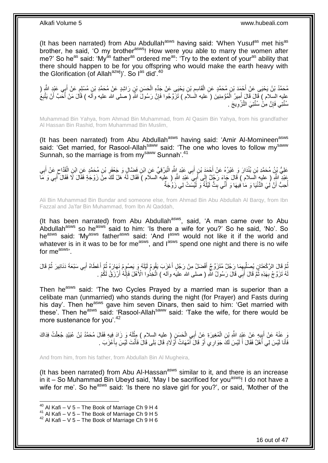(It has been narrated) from Abu Abdullah<sup>asws</sup> having said: 'When Yusuf<sup>as</sup> met his<sup>as</sup> brother, he said, 'O my brother<sup>asws</sup>! How were you able to marry the women after me?' So he<sup>as</sup> said: 'My<sup>as</sup> father<sup>as</sup> ordered me<sup>as</sup>: 'Try to the extent of your<sup>as</sup> ability that there should happen to be for you offspring who would make the earth heavy with the Glorification (of Allah<sup>azwj</sup>)'. So  $I^{as}$  did<sup>'40</sup>

مُحَمَّدُ بْنُ يَحْيَى عَنْ أَحْمَدَ بْنِ مُحَمَّدٍ عَنِ الْقَاسِمِ بْنِ يَحْيَى عَنْ جَدِّهِ الْحَسَنِ بْنِ رَاشِدٍ عَنْ مُحَمَّدِ بْنِ مُسْلِمٍ عَنْ أَبِي عَبْدٍ الثَّهِ ( ْ ֺ֖֧֧֧֧֧ׅ֧ׅ֧ׅ֧ׅ֧֧ׅ֧֧֧֚֚֚֚֚֚֚֚֚֚֚֚֚֚֚֚֚֚֚֚֚֚֚֚֚֚֚֘֝֝֓֝֓֝֓֝֓֜֓֡֡֜֓֡֜֓֡֜֓֡֝֬֜֓֜֡֝֬ ْ َ َ ֧֖֧֖֖֖֖֖֧֧֚֚֚֚֚֚֝֝֟֓֓֝֓֟֓֓֝֓**֓** عليه السلام ) قَالَ قَالَ أَمِيرُ الْمُؤْمِنِينَ ( َعليه الْسلاَم ) تَزَوَّجُوا فَإِنَّ رَسُولَ اللَّهِ ( صلَّى الله عليه وآلَه ) قَالَ مَنْ أَحَبَّ أَنْ يَتَّبِعُ ِ ْ َ ِ َ َ سُنَّتِي فَإِنَّ مِنْْ سُنَّتِيَ النَّزْوِيجَ . ِ ِ

Muhammad Bin Yahya, from Ahmad Bin Muhammad, from Al Qasim Bin Yahya, from his grandfather Al Hassan Bin Rashid, from Muhammad Bin Muslim,

(It has been narrated) from Abu Abdullah<sup>asws</sup> having said: 'Amir Al-Momineen<sup>asws</sup> said: 'Get married, for Rasool-Allah<sup>saww</sup> said: 'The one who loves to follow my<sup>saww</sup> Sunnah, so the marriage is from my<sup>saww</sup> Sunnah'.<sup>41</sup>

عَلِيُّ بْنُ مُحَمَّدِ بْنِ بُنْدَارَ وَ غَيْرُهُ عَنْ أَحْمَدَ بْنِ أَبِي عَبْدِ إِللَّهِ الْبَرْقِيِّ عَنِ ابْنِ فَضَّالٍ وَ جَعْفَرِ بْنِ مُحَمَّدٍ عَنِ ابْنِ الْقَدَّاحِ عَنْ أَبِي ْ ِ ْ َ ِ َ ِ عَبْدِ اللَّهِ ( عليه السلام ) قَالَ جَاءَ رَجُلٌ إِلَى أَبِيَ عَبْدِ اللَّهِ ( عليه السلام ) فَقَالَ لَمُه هَلْ لَكَ مِنْ زَوْجَةٍ فَقَالَ لَا فَقَالَ أَبِي وَ مَا َ  $\frac{1}{2}$ ِ َ أُحِبُّ أَنَّ لِٰيَ الدُّنْيَا وَ مَا فِيهَا وَ أَنِّي بِتُّ لَيْلَةً وَ لَيْسَتْ لِي زَوْجَةٌ ِ َ َ ا<br>ا

Ali Bin Muhammad Bin Bundar and someone else, from Ahmad Bin Abu Abdullah Al Barqy, from Ibn Fazzal and Ja'far Bin Muhammad, from Ibn Al Qaddah,

(It has been narrated) from Abu Abdullah<sup>asws</sup>, said, 'A man came over to Abu Abdullah<sup>asws</sup> so he<sup>asws</sup> said to him: 'Is there a wife for you?' So he said, 'No'. So he<sup>asws</sup> said: 'My<sup>asws</sup> father<sup>asws</sup> said: 'And I<sup>asws</sup> would not like it if the world and whatever is in it was to be for me<sup>asws</sup>, and  $I^{assws}$  spend one night and there is no wife for me<sup>asws</sup>

ثُمَّ قَالَ الرَّكْعَتَانِ يُصِلَّلِبِهِمَا رَجُلٌ مُتَزَوِّجٌ أَفْضَلُ مِنْ رَجُلٍ أَعْزَبَ يَقُومُ لَيْلَهُ وَ يَصُومُ نَهَارَهُ ثُمَّ أَعطَاهُ أَبِي سَبْعَةَ دَنَانِيرَ ثُمَّ قَالَ َ ِ ِّ ر<br>: َ َ ُ لَهُ تَزَوَّجْ بِهَذِهِ ثُمَّ قَالَ أَبِي قَالَ رَسُولُ اللهِ ( صلى الله عليه وآلم ) اَتَّخِذُوا الْأَهْلَ فَإِنَّهُ أَرْزَقُ لَكُمْ . َ ֖֪֦֪֪֦֪֪֪֪֦֪֧֧֦֦֪֦֪֪֦֪֪֦֪֪֪֪֪֪֪֪֚֝֝֝֝֝֝֝֟֟֟֟֟֝֟֝֟֝֟֝֟֟֝֟֟֝֟֝֟֟֝֬֝֟֟֟֓֬֝֓֝֬֟֝֟֟֟֝֬֝֟֝֬ **∶** َ ׀ו<br>ِי

Then he<sup>asws</sup> said: 'The two Cycles Prayed by a married man is superior than a celibate man (unmarried) who stands during the night (for Prayer) and Fasts during his day'. Then he<sup>asws</sup> gave him seven Dinars, then said to him: 'Get married with these'. Then heasws said: 'Rasool-Allahsaww said: 'Take the wife, for there would be more sustenance for you'.<sup>42</sup>

وَ عَنْهُ عَنْ أَبِيهِ عَنْ عَيْدِ اللَّهِ بْنِ الْمُغِيرَةِ عَنْ أَبِي الْحَسَنِ ( عليه السلام ) مِثْلَهُ وَ زَادَ فِيهِ فَقَالَ مُحَمَّدُ بْنُ عُبَيْدٍ جُعِلْتُ فِدَاكَ ْ َ ْ  $\frac{1}{3}$ َ ْ لَ **ٔ** ِ فَأَنَا لَيْسَ لِي أَهْلٌ فَقَالَ أَ لَيْسَ لَكَ جَوَارِ ي أَوْ قَالَ أَمَّهَاتُ أَوْ لَادٍ قَالَ بَلَى قَالَ فَأَنْتَ لَيْسَ بِأَعْزَبَ . َ َ ا<br>ا َ لَ َ َ َ َ

And from him, from his father, from Abdullah Bin Al Mugheira,

(It has been narrated) from Abu Al-Hassan $^{asws}$  similar to it, and there is an increase in it – So Muhammad Bin Ubeyd said, 'May I be sacrificed for you<sup>asws</sup>! I do not have a wife for me'. So he<sup>asws</sup> said: 'Is there no slave girl for you?', or said, 'Mother of the

 $40$  Al Kafi – V 5 – The Book of Marriage Ch 9 H 4

<sup>41</sup> Al Kafi – V 5 – The Book of Marriage Ch 9 H 5

 $42$  Al Kafi – V 5 – The Book of Marriage Ch 9 H 6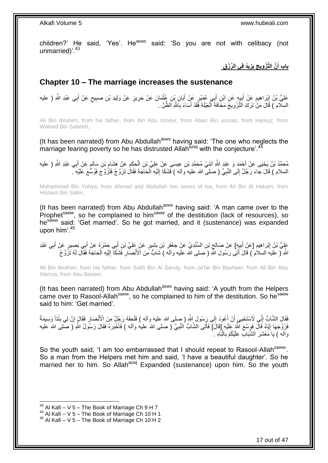children?' He said, 'Yes'. He<sup>asws</sup> said: 'So you are not with celibacy (not unmarried)<sup>'.43</sup>

> **يُد ف ي ال ِّر ْز ق َّن الَّت ْز وي َج َيز باب أ َ**

## <span id="page-16-0"></span>**Chapter 10 – The marriage increases the sustenance**

عَلِيُّ بْنُ إِبْرَاهِيمَ عَنْ أَبِيِهٍ عَنِ ابْنِ أَبِي عُمَيْرٍ عَنْ أَبَانِ بْنِ عُثْمَانَ عَنْ حَرِيزٍ عَنْ وَلِيدِ بْنِ صَبِيحٍ عَنْ أَبِي عَبْدِ اللَّهِ ( عليه ِ ْ َ َ ِ َ ِ َ ٍ ِ السلَّام ) قَالَ مَنْٰ تَرَكَ النَّزْوِيجَ مَخَافَةً الْعَيْلَةِ فَقَدْ أَسَاءَ بِاَشَّهِ اَلظَّنَّ . ِ َ ْ **∶** 

Ali Bin Ibrahim, from his father, from Ibn Abu Umeyr, from Aban Bin usman, from Hareyz, from Waleed Bin Sabeeh,

(It has been narrated) from Abu Abdullah<sup>asws</sup> having said: 'The one who neglects the marriage fearing poverty so he has distrusted Allah<sup>azwj</sup> with the conjecture'.<sup>44</sup>

ِ مُحَمَّدُ بْنُ يَحْيَى عَنْ أَحْمَدٍ وَ عَِبْدٍ اللَّهِ ابْنَيْ مُحَمَّدِ بْنِ عِيسَى عَنْ عَلِيِّ بْنِ الْحَكَمِ عَنْ هِشَامِ بْنِ سَالِمٍ عَنْ أَبِي عَبْدِ اللَّهِ ( عليه ِ ْ َ َ ֧֚֚֓֝֝ السلام ) قَالَ جَاءَ رَجُلٌ إِلَى النَّنِبِيِّ ( صلى الله عليه وآله ) فَشَكَا إِلَيْهِ الْحَاجَةَ فَقَالَ تَزَوَّجْ فَتَزَوَّجَ فَوُسَّعَ عَلَيْهِ ۖ. ْ لَ ِ ِ ِ

Muhammad Bin Yahya, from Ahmad and Abdullah two sones of Isa, from Ali Bin Al Hakam, from Hisham Bin Salim,

(It has been narrated) from Abu Abdullah<sup>asws</sup> having said: 'A man came over to the Prophet<sup>saww</sup>, so he complained to him<sup>saww</sup> of the destitution (lack of resources), so he<sup>saww</sup> said: 'Get married'. So he got married, and it (sustenance) was expanded upon him'.<sup>45</sup>

عَلِيُّ بْنُ إِبْرَاهِيمَ [عَنْ أَبِيِهِ] عَنْ صَالِحٍ بْنِ السِّنْدِيِّ عَنْ جَعْفَرِ بْنِ بَشِيرٍ عَنْ عَلِيِّ بْنِ أَبِي حَمْزَةَ عَنْ أَبِي بَصِيرٍ عَنْ أَبِي عَبْدِ َ **∶** ِ **!** َ ِ ِ َ َ اللَّهِ ( عَليهَ السلام ) قَالَ أَنَى رَسُولَ اللَّهِ ( َصلى الله عليه وآلمَ ) شَابٌ مِّنَ الْأَنْصَالِ فَشَكَآ إِلَيْهِ الْحَاجَةَ فَقَالَ لَهُ نَزَّوَ جْ َ ْ لَ ِ **∶** 

Ali Bin Ibrahim, from his father, from Salih Bin Al Sandy, from Ja'far Bin Basheer, from Ali Bin Abu Hamza, from Abu Baseer,

(It has been narrated) from Abu Abdullah<sup>asws</sup> having said: 'A youth from the Helpers came over to Rasool-Allah<sup>saww</sup>, so he complained to him of the destitution. So he<sup>saww</sup> said to him: 'Get married'.

فَقَالَ الشَّابُّ إِنِّي لَأَسْتَحْيِي أَنْ أَعُودَ إِلَى رَِسُولِ اللَّهِ ( صلى الله عليه وأله ) فَلَحِقَهُ رَجُلٌ مِنَ الْأَنْصَارِ فَقَالَ إِنَّ لِي بِنْتَا وَسِيمَةً  $\frac{1}{2}$ َ اُ ِ ِ ِ ِ فَزَوَّجَهَا إِيَّاهُ فَال فَوِسَّعَ النَّهُ عَلَيْهِ [قَالَ] فَأَتَى الْشَّابُ النَّبِيَّ ( صلى الله عليه وأله ) فَأَخْبَرَهُ فَقَالَ رَسُولُ اللَّهِ ( صلى الله عليه َ **∶** ا<br>ا <u>֖֖֚֚֚֓</u>ׇ֛֚ وأله ) يَا َمَعْشَرَ الشَّبَابِ عَلَيْكُمْ بِالْبَاهِ ۚ ْ

So the youth said, 'I am too embarrassed that I should repeat to Rasool-Allah<sup>saww</sup>'. So a man from the Helpers met him and said, 'I have a beautiful daughter'. So he married her to him. So Allah<sup>azwj</sup> Expanded (sustenance) upon him. So the youth

 $43$  Al Kafi – V 5 – The Book of Marriage Ch 9 H 7

 $44$  Al Kafi – V 5 – The Book of Marriage Ch 10 H 1

<sup>45</sup> Al Kafi – V 5 – The Book of Marriage Ch 10 H 2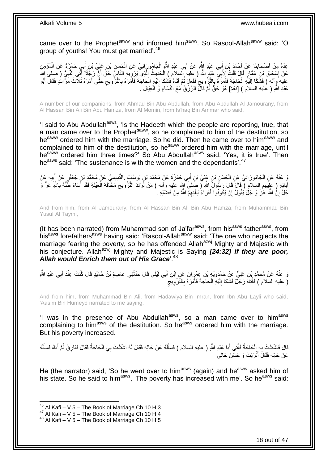came over to the Prophet<sup>saww</sup> and informed him<sup>saww</sup>. So Rasool-Allah<sup>saww</sup> said: 'O group of youths! You must get married'.<sup>46</sup>

عِدَّةٌ مِنْ أَصِبْحَابِنَا عَنْ أَحْمَدَ بْنِ أَبِي عَبْدِ اللَّهِ عَنْ أَبِي عَبْدِ اللَّهِ الْجَامُورِ َانِيٍّ عَنِ الْحَسَنِ بْنِ عَلِيٍّ بْنِ أَبِي حَمْزَةَ عَنِ الْمُؤْمِنِ ْ ْ َ َ َ ِ َ ْ َ عَنْ إِسْحَاقَ بْنِ عَقَارٍ قَالَ قُلْتُ لِأَبَيِّ عَيْدٍ اللَّهِ ( عِلْيه إِلَيسِلام ) الْحَدِيثُ الَّذِي بِّرْوِيِّيهِ النَّاسِ خَقٌّ أَنَّ رَجُلًا أَنِّي النَّبِيَّ ( صلى اللَّه ِ َّ ْ ْ ا<br>: ِ َ َ عليه وآله ) فَشُكَا إِلَيْهِ الْحَاجَةَ فَأَمَرَهُ بِالتَّزْوِيجَ فَفَعَلَ ثُمَّ أَتَاهُ فَشَكَا إِلَيْهِ الْحَاجَةَ فَأَمَرَهُ بِالتَّزْوِيجِ حَتَّى أَمَرَهُ ثَلَاثَ مَرَّاتٍ فَقَالَ أَبُو<br>حَفِي أَمَرَهُ ثَلاثَ مَرَّاتٍ َ ْ لَ  $\frac{1}{2}$ َ َ **∶** ِ َ ْ لَ ∣∣<br>∶ ُ ِ ِ ِ َ عَبْدِ اللَّهِ ( عليه السَلام ) [نَعَمْ] هُوَ حَقٌّ ثُمَّ قَالَّ الرِّزْقُ مَعَ النِّسَاءِ وَ الْعِيَالِ . ْ ُ

A number of our companions, from Ahmad Bin Abu Abdullah, from Abu Abdullah Al Jamourany, from Al Hassan Bin Ali Bin Abu Hamza, from Al Momin, from Is'haq Bin Ammar who said,

'I said to Abu Abdullah<sup>asws</sup>, 'Is the Hadeeth which the people are reporting, true, that a man came over to the Prophet<sup>saww</sup>, so he complained to him of the destitution, so he<sup>saww</sup> ordered him with the marriage. So he did. Then he came over to him<sup>saww</sup> and complained to him of the destitution, so he<sup>saww</sup> ordered him with the marriage, until hesaww ordered him three times?' So Abu Abdullah<sup>asws</sup> said: 'Yes, it is true'. Then he<sup>asws</sup> said: 'The sustenance is with the women and the dependants'.<sup>47</sup>

يَ عَنْهُ عَنِ الْجَامُورَانِيِّ عَنِ الْحَسَنِ بْنِ عَلِيٍّ بْنِ أَبِي حَمْزَةَ عَنْ مُحَمَّدِ بْنِ يُوسُفَ التَّمِيمِيِّ عَنْ مُحَمَّدِ بْنِ جَعْفَرِ عَنْ أَبِيهِ عَنْ َ ْ ْ ِ َ اْبَائِهِ ( عِلْيَهم اِلسلام ) فَالَ قَالَ رَسُولُ اللَّهِ ( صَلَى الله عليه وآله ) مَنْ تَرَكَ النَّزْوِيجَ مَخَافَةَ الْعَيْلَةِ فَقَدْ أَسَاءَ ظَنَّهُ بِاللَّهِ عَزَّ وَ ْ ِ ِ َ جَلَّ إِنُّ اللَّهَ عَٰزَّ وَ جَلّْ يَقُولُ إِنْ يَكُونُوا فُقَراءَ يُغْنِهِمُ اللَّهُ مِنْ فَضْلِهِ ۚ ِ ِ

And from him, from Al Jamourany, from Al Hassan Bin Ali Bin Abu Hamza, from Muhammad Bin Yusuf Al Taymi,

(It has been narrated) from Muhammad son of Ja'far<sup>asws</sup>, from his<sup>asws</sup> father<sup>asws</sup>, from his<sup>asws</sup> forefathers<sup>asws</sup> having said: 'Rasool-Allah<sup>saww</sup> said: 'The one who neglects the marriage fearing the poverty, so he has offended Allahazwj Mighty and Majestic with his conjecture. Allah<sup>azwj</sup> Mighty and Majestic is Saying *[24:32] if they are poor, Allah would Enrich them out of His Grace*'.<sup>48</sup>

وَ عَنْهُ عَنْ مُحَمَّدِ بِْنِ عَلِيٍّ عَنْ حَمْدَوَيْهٍ بْنِ عِمْرَِانَ عَنٍ ابْنِ أَبِي لَيْلَى قَالَ حَدَّثَنِي عَاصِمُ بْنُ حُمَيْدٍ قَالَ كُنْتُ عِنْدَ أَبِي عَبْدِ اللَّهِ َ َ ْ َ ( عليه السلام ) فَأَتَاهُ رَجُلٌ فَشَكَا إِلَيْهِ الْحَاجَةَ فَأَمَرَهُ بِالنَّزْوِيَج ِ َ ْ لَ  $\frac{1}{2}$ َ ِ ِ

And from him, from Muhammad Bin Ali, from Hadawiya Bin Imran, from Ibn Abu Layli who said, 'Aasim Bin Humeyd narrated to me saying,

'I was in the presence of Abu Abdullah<sup>asws</sup>, so a man came over to him<sup>asws</sup> complaining to him<sup>asws</sup> of the destitution. So he<sup>asws</sup> ordered him with the marriage. But his poverty increased.

قَالَ فَاشْتَدَّتْ بِهِ الْحَاجَةُ فَأَتَى أَبَا عَبْدِ اللَّهِ ( عليه السلام ) فَسَأَلَهُ عَنْ حَالِهِ فَقَالَ لَهُ اشْتَدَّتْ بِيَ الْحَاجَةُ فَقَالَ فَفَارِقْ ثُمَّ أَتَاهُ فَسَأَلَهُ لَ َ َ َ ْ **∶** َ َ ر<br>: ِ ْ ِ عَنْ حَالِهِ فَقَالَ أَثْرَيْتُ وَ حَسُنَ حَالِي **ٔ** ֦֪֪֪֪֪֪֦֪֪֦֪֪֦֝֟֟֓֕֘֝֟֘֝֟֟֓֟֓֡֟֓֡֟֓֟֓֡֟֓֟֓֡֟֓֟֡֟֟֓֞֟֓֡֟֓֡֟֓֡֟֡֡֬֞֓֞֟֞֓֞֟֞֬֞֓֞֟֟֞֓֞

He (the narrator) said, 'So he went over to him<sup>asws</sup> (again) and he<sup>asws</sup> asked him of his state. So he said to him<sup>asws</sup>, 'The poverty has increased with me'. So he<sup>asws</sup> said:

 $46$  Al Kafi – V 5 – The Book of Marriage Ch 10 H 3

 $47$  Al Kafi – V 5 – The Book of Marriage Ch 10 H 4

 $48$  Al Kafi – V 5 – The Book of Marriage Ch 10 H 5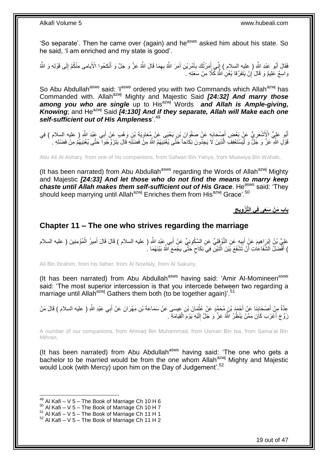'So separate'. Then he came over (again) and he<sup>asws</sup> asked him about his state. So he said, 'I am enriched and my state is good'.

فَقَالَ أَبُو عَبْدِ اللَّهِ ( عليهِ السلام ) إِنِّي أَمَرْتُكَ بِأَمْرَيْنِ أَمَرَ اللَّهُ بِهِمَا قَالَ اللَّهُ عَزَّ وَ جَلَّ وَ أَنْكِحُوا الْأَيامى مِنْكُمْ إِلَى قَوْلِهِ وَ اللَّهُ ِ َ َ ِ َ ِ َ َ ِ ِم ْن َسَعِت ِه . ُكّالا ِن ََّّللاُ ْن َيَتَف َّرقا ُي ْغ وا ِس ٌع َعلِيٌم َو َقا َل إ ֧<u>׀</u>

So Abu Abdullah<sup>asws</sup> said: 'lasws ordered you with two Commands which Allah<sup>azwj</sup> has Commanded with. Allahazwj Mighty and Majestic Said *[24:32] And marry those*  **among you who are single** up to His<sup>azwj</sup> Words and Allah is Ample-giving, *Knowing*; and He<sup>azwj</sup> Said *[4:130] And if they separate, Allah will Make each one self-sufficient out of His Ampleness*'.<sup>49</sup>

أَبُو عَلِيٍّ الْإَِشْعَرِيُّ عَنْ بَعْضِ أَصْحَابِهِ عَنْ صَفْوَانَ بْنِ يَحْيَى عَنْ مُعَاوِيَةَ بْنِ وَهْبِ عَنْ أَبِي عَنْدِ اللَّهِ ( عليه السلام ) فِي **∶** َ ِ َ ِ قَوْلِ اللَّهِ عَزَّ وَ جَلٍّ وَ لْيَسْتَعْفِفِ الَّذِينَ لَا يَجِدُونَ نِكاحاً حَتَّى يُغْنِيَهُمُ اللَّهُ مِنْ فَضْلِهِ قَالَ يَتَزَوَّجُوا حَتَّى يُغْنِيَهُمْ مِنْ فَضْلِهِ لِ َّ :<br>ا

Abu Ali Al Ashary, from one of his companions, from Safwan Bin Yahya, from Muawiya Bin Wahab,

(It has been narrated) from Abu Abdullah<sup>asws</sup> regarding the Words of Allah<sup>azwj</sup> Mighty and Majestic *[24:33] And let those who do not find the means to marry keep chaste until Allah makes them self-sufficient out of His Grace. He<sup>asws</sup> said: 'They* should keep marrying until Allah<sup>azwj</sup> Enriches them from His<sup>azwj</sup> Grace'.<sup>50</sup>

> **باب َم ْن َسَعى ف ي الَّت ْز ويج**

### <span id="page-18-0"></span>**Chapter 11 – The one who strives regarding the marriage**

عَلِيُّ بْنُ إِبْرَاهِيمَ عَنٍْ أَبِيهٍ عَنِ النَّوْفَلِيِّ عَنِ السَّكُونِيِّ عَنْ أَبِي عَبْدِ اللَّهِ ( عليه السلام ) قَالَ قَالَ أَمِيرُ الْمُؤْمِنِينَ ( عليه السلام َ ِ َ ِ ْ َ ) أَفَّضَلُ الشَّفَاعَاتِ أَنْ تَشْفَعَ بَيْنَ اثْنَيْنِۖ فِيَ نِكَاحٍ حَتَّى يَجْمَعَ اللَّهُ بَيْنَهُمَا ۚ . ٍ **ٔ** اً َ

Ali Bin Ibrahim, from his father, from Al Nowfaly, from Al Sakuny,

(It has been narrated) from Abu Abdullah<sup>asws</sup> having said: 'Amir Al-Momineen<sup>asws</sup> said: 'The most superior intercession is that you intercede between two regarding a marriage until Allah<sup>azwj</sup> Gathers them both (to be together again)'.<sup>51</sup>

عِدَّةٌ مِنْ أَصْحَابِنَا عَنْ أَحْمَدَ بْنِ مُحَمَّدٍ عَنْ عُثْمَانَ بْنِ عِيسَى عَنْ سَمَاعَةَ بْنِ مِهْرَانَ عَنْ أَبِي عَبْدِ اللَّهِ ( عليه السلام ) قَالَ مَنْ َ ْ َ **∣** َ زَوَّجَ أَعْزَبَ كَانَ مِمَّنْ يَنْظُرُ الَّهُ عَزَّ وَ جَلَّ إِلَيْهِ يَوْمَ الْقِيَامَةِ ۖ . ْ لَ ِ

A number of our companions, from Ahmad Bin Muhammad, from Usman Bin Isa, from Sama'at Bin Mihran,

(It has been narrated) from Abu Abdullah<sup>asws</sup> having said: 'The one who gets a bachelor to be married would be from the one whom Allah<sup>azwj</sup> Mighty and Majestic would Look (with Mercy) upon him on the Day of Judgement'.<sup>52</sup>

<sup>1</sup>  $^{49}$  Al Kafi – V 5 – The Book of Marriage Ch 10 H 6

 $50$  Al Kafi – V 5 – The Book of Marriage Ch 10 H 7

 $51$  Al Kafi – V 5 – The Book of Marriage Ch 11 H 1

 $52$  Al Kafi – V 5 – The Book of Marriage Ch 11 H 2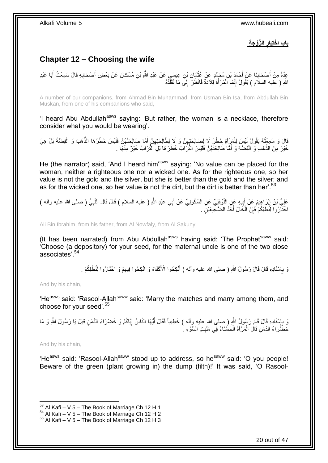**ال َّزْو َج ة باب ا ْخت َيار** 

# <span id="page-19-0"></span>**Chapter 12 – Choosing the wife**

عِدَّةٌ مِنْ أَصْحَابِنَا عَنْ أَحْمَدَ بْنِ مُحَمَّدٍ عَنْ عُثْمَانَ بْنِ عِيسَيٍ عَنْ عَبْدِ اللَّهِ بْنِ مُسْكَانَ عَنْ بَعْضِ أَصْحَابِهِ قَالَ سَمِعْتُ أَبَا عَبْدِ َ ِ َ َ ِ َ ْ اللَّهِ ( عَليه السلاَم ) يَقُولُ إِنَّمَا اَلْمَرْ أَةُ قِلاَدَةٌ فَانْظُرْ ۚ إِلَى مَا تَقَلَّدُهُ َّ ∣∣<br>ِ ْ ∣l<br>∶

A number of our companions, from Ahmad Bin Muhammad, from Usman Bin Isa, from Abdullah Bin Muskan, from one of his companions who said,

'I heard Abu Abdullah<sup>asws</sup> saying: 'But rather, the woman is a necklace, therefore consider what you would be wearing'.

قَالَ وَ سَمِعْتُهُ يَقُولُ لَيْسَ لِلْمَرِْأَةِ خَطَرٌ لَا لِصَالِحَتٖهِنَّ وَ لَا لِطَالِحَتِهِنَّ أَمَّا صَالِحَتُهُنَّ فَلَيْسَ خَطَرُهَا الذَّهَبَ وَ الْفِضَّةَ بَلْ هِيَ ْ ْ َ ِ ِ خَيْرٌ مِنَ الذَّهَبِ وَ الْفِضَّةِ وَ أَمَّا طَالِحَثُّهُنَّ فَلَيْسَ الثُّرَابُ خَطَرَهَا بَلِ الثُّرَابُ خَيْرٌ مِنْهَا . َ ْ

He (the narrator) said, 'And I heard him<sup>asws</sup> saying: 'No value can be placed for the woman, neither a righteous one nor a wicked one. As for the righteous one, so her value is not the gold and the silver, but she is better than the gold and the silver; and as for the wicked one, so her value is not the dirt, but the dirt is better than her'.<sup>53</sup>

عَلِيُّ بْنُ إِبْرَاهِيمَ عَنْ أَبِيهِ عَنِ النَّوْفَلِيِّ عَنِ السَّكُونِيِّ عَنْ أَبِي عَبْدِ اللَّهِ ( عليه السلام ) قَالَ قَالَ النَّبِيُّ ( صلى الله عليه وأله )<br>-َ ِ َ ِ ِ اخْتَارُوا لِنُطَفِكُمْ فَإِنَّ الْخَالَ أَحَدُ الضَّجِيعَيْنَِ . َ ْ ِ

Ali Bin Ibrahim, from his father, from Al Nowfaly, from Al Sakuny,

(It has been narrated) from Abu Abdullah<sup>asws</sup> having said: 'The Prophet<sup>saww</sup> said: 'Choose (a depository) for your seed, for the maternal uncle is one of the two close associates'.<sup>54</sup>

> وَ بِإِسْنَادِهِ قَالَ قَالَ رَسُولُ اللَّهِ ( صلى الله عليه وآله ) أَنْكِحُوا الْأَكْفَاءَ وَ انْكِحُوا فِيهِمْ وَ اخْتَارُوا لِنُطَفِكُمْ . ِ **∶** ِ َ

And by his chain,

'He<sup>asws</sup> said: 'Rasool-Allah<sup>saww</sup> said: 'Marry the matches and marry among them, and choose for your seed'.<sup>55</sup>

ْسَناِدِه َقا إ ِن َو ب ِقي َل َي َّيا ُكْم َو َخ َْ َرا َء الِّدَم ا ُس إ ُّي َها النَّ َم َر ُسو ُل ََّّللاِ ) صلى َّللا عليه وآله ( َخ ِطيباا َفَُا َل أ ا َر ُسو َل ََّّللا َل ِ َو َما َقا ِ ِ ِ َ خَضَّرَاءُ الدِّمَنِ قَالَ الْمَرْأَةُ الْحَسْنَاءُ فِي مَنْبِتِ السَّوْءِ ۚ. **!** ْ َ ْ

And by his chain,

1

'He<sup>asws</sup> said: 'Rasool-Allah<sup>saww</sup> stood up to address, so he<sup>saww</sup> said: 'O you people! Beware of the green (plant growing in) the dump (filth)!' It was said, 'O Rasool-

 $53$  Al Kafi – V 5 – The Book of Marriage Ch 12 H 1

 $54$  Al Kafi – V 5 – The Book of Marriage Ch 12 H 2

 $55$  Al Kafi – V 5 – The Book of Marriage Ch 12 H 3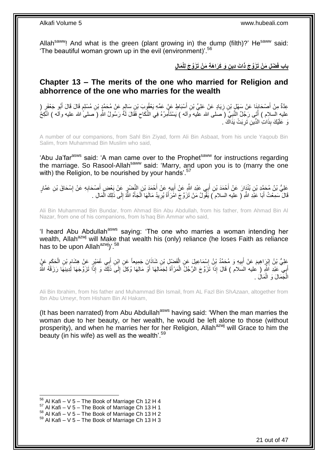Allah<sup>saww</sup>! And what is the green (plant growing in) the dump (filth)?' He<sup>saww</sup> said: The beautiful woman grown up in the evil (environment)<sup>'.56</sup>

بِابِ فَضْلِ مَنْ تَزَوَّجَ ذَاتَ دِينٍ وَ كَرَاهَةٍ مَنْ تَزَوَّجَ لِلْمَالِ

### <span id="page-20-0"></span>**Chapter 13 – The merits of the one who married for Religion and abhorrence of the one who marries for the wealth**

عِدَّةٌ مِنْ أَصْحَابِنَا عَنْ سَهْلٍ بْنِ زِيَادٍ عَنْ عَلِيِّ بْنِ أَسْبَاطٍ عَنْ عَمِّهِ يَعْقُوبَ بْنِ سَالِمٍ عَنْ مُحَمَّدٍ بْنِ مُسْلِمٍ قَالَ قَالَ أَبُو جَعْفَرٍ ( ِ ِ َ َ م<br>وا م َ عليه السَّلام ) أَتَى رَجُلٌ النَّبِيَّ ( َصَلَى الله عَلَيه وَاله ) يَسْتَأْمِرُهُ فِي النِّكَاحِ فَقَالَ لَمُّ رَسُولُ اللَّهِ ( َصلى الله عليه والَّه ) انْكِحُ  $\zeta$ ا<br>المنا ِ ْ نَ عَلَيْكَ بِذَاتِ الدِّينِ تَرِبَتْ يَدَاكَ ُ ِ

A number of our companions, from Sahl Bin Ziyad, form Ali Bin Asbaat, from his uncle Yaqoub Bin Salim, from Muhammad Bin Muslim who said,

'Abu Ja'far<sup>asws</sup> said: 'A man came over to the Prophet<sup>saww</sup> for instructions regarding the marriage. So Rasool-Allah<sup>saww</sup> said: 'Marry, and upon you is to (marry the one with) the Religion, to be nourished by your hands'.<sup>57</sup>

عَلِيُّ بْنُ مُحَمَّدٍ بْنِ بُنْدَارَ عَنْ أَحْمَدَ بْنِ أَبِي عَبْدِ اللَّهِ عَنْ أَبِيهِ عَنْ أَحْمَدَ بْنِ النَّضْرِ عَنْ بَعْضِ أَصْحَابِهِ عَنْ إِسْحَاقَ بْنِ عَمَّارٍ َ ِ َ َ ِ ِ َ ِ قَالَ سَمِعْتُ أَبَا عَبْدِ اللَّهِ ( عليه السلام َ) يَقُولُ مَنْ تَزَوَّ جَ امْرَأَةً يُرِيدُ مَالَهَا اَلْجَأَهُ اللَّهُ إِلَى ذَلِكَ الْمَالِ . ِ َ ْ ِ َ َ ْ

Ali Bin Muhammad Bin Bundar, from Ahmad Bin Abu Abdullah, from his father, from Ahmad Bin Al Nazar, from one of his companions, from Is'haq Bin Ammar who said,

'I heard Abu Abdullah<sup>asws</sup> saying: 'The one who marries a woman intending her wealth. Allah<sup>azwj</sup> will Make that wealth his (only) reliance (he loses Faith as reliance has to be upon Allah<sup>azwj</sup>)'.<sup>58</sup>

عَلِيُّ بْنُ إِنْرَاهِيمَ عَنْ أَبِيهِ وَ مُحَمَّدُ بْنُ إِسْمَاعِيلَ عَنِ الْفَضْلِ بْنِ شَاذَانَ جَمِيعاً عَنِ ابْنِ أَبِي عُمَيْرٍ عَنْ هِشَامٍ بْنِ الْحَكَمِ عَنٍْ َ ْ ∣l<br>∶ **!** َ ∣l<br>∶ ِ ْ **∶** أَبِي عَبْدِ اَللَّهِ ( عليه السَلام ) قَالَ إِذَا تَزَوَّجَ الرَّجُلُ الْمَرْأَةَ لِجَمَالِهَا أَوْ مَالِهَا وُكِلَ إِلَى ذَلِكٌ وَ إِذَا تَزَوَّجَهَا لِٰدِينِهَا رَزَقَهُ اللَّهُ َ ْ َ ِ َ الْجَمَالَ وَ الْمَالَ . ْ ْ

Ali Bin Ibrahim, from his father and Muhammad Bin Ismail, from AL Fazl Bin Sh*Azaan*, altogether from Ibn Abu Umeyr, from Hisham Bin Al Hakam,

(It has been narrated) from Abu Abdullah<sup>asws</sup> having said: 'When the man marries the woman due to her beauty, or her wealth, he would be left alone to those (without prosperity), and when he marries her for her Religion, Allah<sup>azwj</sup> will Grace to him the beauty (in his wife) as well as the wealth'. $59$ 

 $56$  Al Kafi – V 5 – The Book of Marriage Ch 12 H 4

 $57$  Al Kafi – V 5 – The Book of Marriage Ch 13 H 1

 $58$  Al Kafi – V 5 – The Book of Marriage Ch 13 H 2

 $59$  Al Kafi – V 5 – The Book of Marriage Ch 13 H 3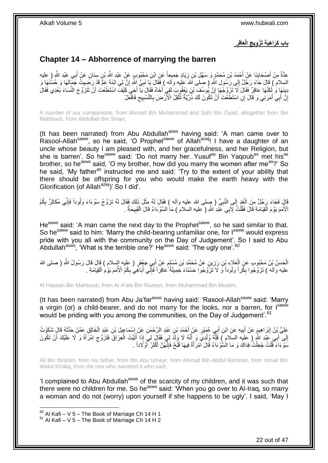باب كَرَاهِيَةِ تَزْوِيجِ الْعَاقِرِ 

# <span id="page-21-0"></span>**Chapter 14 – Abhorrence of marrying the barren**

عِدَّةٌ مِنْ أَصْحَابِنَا عَنْ أَحْمَدَ بْنِ مُحَمَّدٍ وَ سَهْلِ بْنِ زِيَادٍ جَمِيعاً عَنِ ابْنِ مَحْبُوبٍ عَنْ عَبْدِ اللَّهِ بْنِ سِنَانٍ عَنْ أَبِي عَبْدِ اللَّهِ ( عليه ِ َ **∣** َ َ السلام ) قَالَ جَاءَ رَجُلٌ إِلَى رَسُولِ اللَّهِ ( صلَى اَللہ عليه وآلِه ) فَقَالَ يَا نَبِيَّ اِللَّهِ إِنَّ لِي ابْنَةَ عِمٍّ قَدْ رَضِيتُ جَمَّالَهَا وَ حُسْنَهَا وَ ِ ِ ׀<br>י دِينَهَا وَ ٰلَكِنَّهَا عَاقِرٌ فَقَالَ لَا تَزَوَّجْهَا إِنَّ يُوسُفَ بْنَ يَعْقُوبَ لَقِيَ ٰأَخَاهُ فَقَالَ يَا أَخِيَ كَيْفَ اسْتَطَعْتَ أَنْ تَتَزَوَّجَ النِّسَاءَ بَعْدِي فَقَالَ ِ َ َ َ إِنَّ أَبِي أَمَرَنِي وَ قَالَ إِنِ اسْتَطَعْتَ أَنْ تَكُونَ لَكَ ذُرِّيَّةٌ تُثْقِلُ الْأَرْضَ بِالتَّسْبِيعِ فَافْعَلْ ِ ِ ِ **ٔ** اُ َ َ <u>֖֚֚֚֚֚֚֚֓</u>

A number of our companions, from Ahmad Bin Muhammad and Sahl Bin Ziyad, altogether from Ibn Mahboub, from Abdullah Bin Sinan,

(It has been narrated) from Abu Abdullah $a<sup>asws</sup>$  having said: 'A man came over to Rasool-Allah<sup>saww</sup>, so he said, 'O Prophet<sup>saww</sup> of Allah<sup>azwj</sup>! I have a daughter of an uncle whose beauty I am pleased with, and her gracefulness, and her Religion, but she is barren'. So he<sup>saww</sup> said: 'Do not marry her. Yusuf<sup>as</sup> Bin Yaqoub<sup>as</sup> met his<sup>as</sup> brother, so he<sup>asws</sup> said, 'O my brother, how did you marry the women after me<sup>as</sup>?' So he said, 'My father<sup>as</sup> instructed me and said: 'Try to the extent of your ability that there should be offspring for you who would make the earth heavy with the Glorification (of Allah<sup>azwj</sup>)' So I did'.

قَالَ فَجَاءَ رَجُلٌ مِنَ الْغَدِ إِلَى النَّبِيِّ ( صِلى الله عليه وأله ) فَقَالَ لَهُ مِثْلَ ذَلِكَ فَقَالَ لَهُ تَزَوَّجْ سَوْءَاءَ وَلُوداً فَإِنِّي مُكَاثِرٌ بِكُمُ ِ ∣∣<br>∶ ْ ِ ِ **ٔ** الْأُمَمَ يَوْمَ الْْقِيَامَةِ قَالَ فَقُلْتُ لِأَبِي عَبْدِ اللَّهِ ( عليه السلام ) مَا السَّوْءَاءُ قَالَ الْقَبِيحَةُ . ِ ْ ْ ْ

He<sup>asws</sup> said: 'A man came the next day to the Prophet<sup>saww</sup>, so he said similar to that. So he<sup>saww</sup> said to him: 'Marry the child-bearing unfamiliar one, for I<sup>saww</sup> would express pride with you all with the community on the Day of Judgement'. So I said to Abu Abdullah<sup>asws</sup>, 'What is the terrible one?' He<sup>asws</sup> said: 'The ugly one'.<sup>60</sup>

الْحَسَنُ بْنُ مَحْبُوبِ عَنِ الْعَلَاءِ بْنِ رَزِينٍ عَنْ مُحَمَّدِ بْنِ مُسْلِمٍ عَنْ أَبِي جَعْفَرٍ ( عليه السلام ) قَالَ قَالَ رَسُولُ اللَّهِ ( صلى الله ٍ **ٍ** ْ عليه وآلَه ) تَزَوَّجُوا بِكِّراً وَلُوداً وَّ لَا تَزَوَّجُوا حَسْنَاءَ جَمِيلَةً عَاقِراً فَإِنِّي أُبَاهِّي بِكُمْ الْأُمَمَ يَوْمَ الْقِيَامَةِ . ِ ِ ْ ِ ر<br>ا

Al Hassan Bin Mahboub, from Al A'ala Bin Razeyn, from Muhammad Bin Muslim,

(It has been narrated) from Abu Ja'far<sup>asws</sup> having said: 'Rasool-Allah<sup>saww</sup> said: 'Marry a virgin (or) a child-bearer, and do not marry for the looks, nor a barren, for Isaww would be priding with you among the communities, on the Day of Judgement'.<sup>61</sup>

عَلِيُّ بِنُ إِبْرَاهِيمَ عَنْ أَبِيهِ عَنِ ابْنِ أَبِي عُهَيْرٍ عَنْ أَحْمَدَ بْنِ عَبْدِ الرَّحْمَنِ عَنْ إِسْمَاعِيلَ بْنِ عَبْدِ الْخَالِقِ عَمَّنْ حَدَّثَهُ قَالٍ شَكَوْتُ  $\frac{1}{2}$ َ **!** ِ ْ َ إِلَى أَبِي عَبْدِ اللَّهِ ( عليه السلام ) قِلَّةً وُلْدِي وَ أَنَّهُ لَا وَلَدَ لِي فَقَالَ لِيَ إِذَا أَتَيْتَ الْعِرَاقَ فَتَزَوَّجِ امْرَأَةً وَ لَا عَلَيْكَ أَنْ تَكُونَ ْ َ َ ْ َ ِ َ َ  $\zeta$ مَنُوْ ءَاءَ ۖ قُلْتُ جُعِلْتُ فِدَاكَ وَ مَا الْسَّوْ ءَاءُ قَالَ امْرَ أَةٌ فِيهَا قُبْحٌ فَإِنَّهُنَّ أَكْثَرُ ۗ أَوْ لَاداً ۚ ْ ْ َ َ َ ∣اٍ<br>∶ َ

Ali Bin Ibrahim, from his father, from Ibn Abu Umeyr, from Ahmad Bin Abdul Rahman, from Ismail Bin Abdul Khaliq, from the one who narrated it who said,

'I complained to Abu Abdullah<sup>asws</sup> of the scarcity of my children, and it was such that there were no children for me. So he<sup>asws</sup> said: 'When you go over to Al-Iraq, so marry a woman and do not (worry) upon yourself if she happens to be ugly'. I said, 'May I

 $60$  Al Kafi – V 5 – The Book of Marriage Ch 14 H 1

 $61$  Al Kafi – V 5 – The Book of Marriage Ch 14 H 2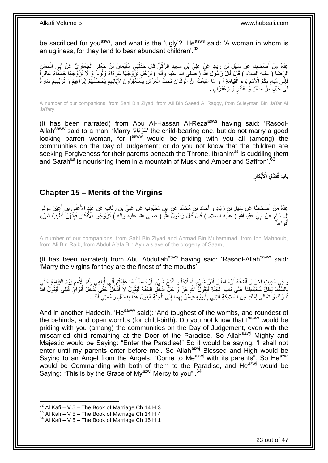be sacrificed for you<sup>asws</sup>, and what is the 'ugly'?' He<sup>asws</sup> said: 'A woman in whom is an ugliness, for they tend to bear abundant children'.<sup>62</sup>

ِيَّةٌ مِنْ أَصْحَابِذَا عَنْ سَهْلِ بْنِ زِيَادٍ عَنْ عَلِيٍّ بْنِ سَعِيدٍ الرَّقِّيِّ قَالَ حَدَّثَنِي سُلَيْمَانُ بْنُ جَعْفَرٍ الْجَعْفَرِيُّ عَنْ أَبِي الْحَسَنِ َ ِ **∣** َ ْ َ ِ ْ الرِّضَا ( عليه السلام ) قَالَ قَالَ رِسَٰوُلُ اللَّهِ ( صِّلمِيَ الله عليه وآلمٌ ) لِرَجُلٍ تَزَّوَّجُهَا سَوْءَاءَ وَلُوداً وَ لَا تَزَوَّجْهَا حَسْنَاءَ عَاقِراً فَإِنِّي مُبَاهٍ بِكُمُ الْأُمَمَ يَوْمَ الْقِيَامَةِ أَ وَ مَا عَلِمْتُ أَنَّ الْوِلْدَانَ تَحْتَ الْعَرْشِ يَسْتَغْفِرُونَ لِإَبَائِهِمْ يَحْصُنُهُمْ إِبْرَاهِيمُ وَ تُرَبِّيهِمْ سَارَةً ْ ْ **∶** َ َ ْ ِ ِ ِ ِ ِ فِيَ جَبَلٍ مِنْ مِسْكٍ وَ عَنْبَرٍ وَ زَعْفَرَانٍ <sub>.</sub>

A number of our companions, from Sahl Bin Ziyad, from Ali Bin Saeed Al Raqqy, from Suleyman Bin Ja'far Al Ja'fary,

(It has been narrated) from Abu Al-Hassan Al-Reza<sup>asws</sup> having said: 'Rasool-Allah<sup>saww</sup> said to a man: 'Marry 'سَوْءَاءَ' the child-bearing one, but do not marry a good looking barren woman, for Isaww would be priding with you all (among) the communities on the Day of Judgement; or do you not know that the children are seeking Forgiveness for their parents beneath the Throne. Ibrahim<sup>as</sup> is cuddling them and Sarah<sup>as</sup> is nourishing them in a mountain of Musk and Amber and Saffron<sup>'63</sup>

> **ْبَكار ْض ل اْْلَ باب فَ**

### <span id="page-22-0"></span>**Chapter 15 – Merits of the Virgins**

عِدَّةٌ مِنْ أَصْجَابِنَا عَنْ سَهْلِ بْنِ زِيَادٍ وَ أَحْمَدَ بْنِ مُحَمَّدٍ عَنِ ائِنِ مَحْبُوبٍ عَنْ عَلِيٍّ بْنِ رِئَابٍ عَنْ عَبْدٍ الْأَعْلَيِ بْنِ أَعْيَنَ مَوْلَى ِ نِ زِيَادٍ وَ أَحْمَدَ بْنِ مُحَمَّدٍ عَنِ ابْنِ مَحْبُوبٍ عَنْ عَلِيٍّ بْنِ رِنَابِ عَنْ عَبْدٍ الْأَعْلِيِ بْنِ أَ **∣** َ َ ِ إِنِ سَامٍ عَنْ أَبِيَ عَبْدِ اللَّهِ (َ علَيهُ السلام ) قَالَ قَالَ رَسُولُ اللَّهِ ( صلَّى الله عليه ۗوآلَه ) تَزَوَّجُوا الْأَبْكَارَ فَإِنَّهُنَّ أَطْيَبُ شَيْءٍ َ ڔ ∣اٍ أَفْوَاهاً َ

A number of our companions, from Sahl Bin Ziyad and Ahmad Bin Muhammad, from Ibn Mahboub, from Ali Bin Raib, from Abdul A'ala Bin Ayn a slave of the progeny of Saam,

(It has been narrated) from Abu Abdullah<sup>asws</sup> having said: 'Rasool-Allah<sup>saww</sup> said: 'Marry the virgins for they are the finest of the mouths'.

وَ فِي حَدِيثٍ آخَرَ وَ أَنْشَفُهُ أَرْحَاماً وَ أَدَرٌ شَيْءٍ أَخْلَافاً وَ أَفْتَحُ شَيْءٍ أَرْجَاماً أَ مَا عَلِمْتُمْ أَنِّي أُبَاهِي بِكُمُ الْأُمَمَ يَوْمَ الْقِيَامَةِ حَتَّى َ اُ َ َ ْ ِ ُ َ َ َ بِالسَّفْطِ يَظَلُّ مُحْبَنْطِنَاً عَلَى بَابِ الْجَنَّةِ فَيَقُولُ اللَّهُ عَنَّ وَ جَلِّ ادْخُلٍ الْجَنَّةَ فَيَقُولُ لَا أَدْخُلُ حَتَّى يَّدْخُلُ أَبَوَايَ قَبْلِي فَيَقُولُ اللَّهُ ْ ْ **∶** َ نَّبَارَكَ وَ تَعَالَى لِمَلَكٍ مِنَ الْمَلَائِكَةِ انْتِنِي بِأَبَوَيْهِ فَيَأْمُرُ بِهِمَا إِلَى الْجَنَّةِ فَيَقُولُ هَذَا بِفَضْلِ رَحْمَتِي لَكَ . َ **∶** ْ ِ ْ  $\frac{1}{2}$ ِ ْ

And in another Hadeeth, 'He<sup>saww</sup> said): 'And toughest of the wombs, and roundest of the behinds, and open wombs (for child-birth). Do you not know that  $I<sup>saww</sup>$  would be priding with you (among) the communities on the Day of Judgement, even with the miscarried child remaining at the Door of the Paradise. So Allah<sup>azwj</sup> Mighty and Majestic would be Saying: "Enter the Paradise!" So it would be saying, 'I shall not enter until my parents enter before me'. So Allah<sup>azwj</sup> Blessed and High would be Saying to an Angel from the Angels: "Come to Me<sup>azwj</sup> with its parents". So He<sup>azwj</sup> would be Commanding with both of them to the Paradise, and He<sup>azwj</sup> would be Saying: "This is by the Grace of My<sup>azwj</sup> Mercy to you".<sup>64</sup>

 $62$  Al Kafi – V 5 – The Book of Marriage Ch 14 H 3

 $^{63}$  Al Kafi – V 5 – The Book of Marriage Ch 14 H 4

 $64$  Al Kafi – V 5 – The Book of Marriage Ch 15 H 1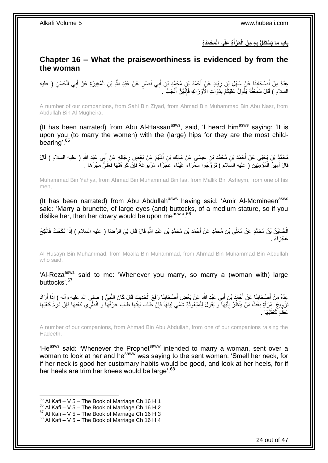**َم ْح َمَد ة ة َعلَى الْ َم ْرأ ه م َن الْ باب َما ُي ْسَتَدلُّ ب َ** 

## <span id="page-23-0"></span>**Chapter 16 – What the praiseworthiness is evidenced by from the the woman**

عِدَّةٌ مِنْ أَصْحَابِذَا عَنْ سَهْلِ بْنِ زِيَادٍ عَنْ أَحْمَدَ بْنِ مُحَمَّدِ بْنِ أَبِي نَصْرٍ عَنْ عَبْدِ اللَّهِ بْنِ الْمُغِيرَةِ عَنْ أَبِي الْحَسَنِ ( عليه َ َ ِ ِ َ ْ َ ْ السلام ) قَالَ سَمِعْتُهُ يَقُولُ عَلَيْكُمْ بِذَّوَاتِ الْأَوْرَاكِ فَإِنَّهُنَّ أَنْجَبُ ۚ ـِ َ ِ

A number of our companions, from Sahl Bin Ziyad, from Ahmad Bin Muhammad Bin Abu Nasr, from Abdullah Bin Al Mugheira,

(It has been narrated) from Abu Al-Hassan<sup>asws</sup>, said, 'I heard him<sup>asws</sup> saying: 'It is upon you (to marry the women) with the (large) hips for they are the most childbearing'.<sup>65</sup>

مُحَمَّدُ بْنُ يَحْيَى عَنْ أَحْمَدَ بْنِ مُحَمَّدِ بْنِ عِيسَى عَنْ مَالِكِ بْنِ أَشْيَمَ عَنْ بَعْضِ رِجَالِهِ عَنْ أَبِي عَبْدِ اللَّهِ ( عليه السلام ) قَالَ<br>ِ َ ِ َ قَالَ أَمِيرُ الْمُؤْمِنِينَ ( عليه السَلام ) تَزَوَّجُوا سَمْرَاءَ عَيْنَاءَ عَجْزَاءَ مَرْبُوعَةً فَإِنْ كَرِهْتَهَا فَعَلَيَّ مَهْرُهَا . ِ ∣ٍ إ ْ َ

Muhammad Bin Yahya, from Ahmad Bin Muhammad Bin Isa, from Mallik Bin Asheym, from one of his men,

(It has been narrated) from Abu Abdullah<sup>asws</sup> having said: 'Amir Al-Momineen<sup>asws</sup> said: 'Marry a brunette, of large eyes (and) buttocks, of a medium stature, so if you dislike her, then her dowry would be upon measws, 66

الْحُسِّيْنُ بْنُ مُحَمَّدٍ عَنْ مُعَلَّى بْنِ مُحَمَّدٍ عَنْ أَحْمَدَ بْنِ مُحَمَّدِ بْنِ عَبْدِ اللَّهِ قَالَ فَي الرِّصَا ( عليه السلام ) إِذَا نَكَحْتَ فَانْكِحْ َ عَجْزَ اءَ

Al Husayn Bin Muhammad, from Moalla Bin Muhammad, from Ahmad Bin Muhammad Bin Abdullah who said,

'Al-Reza<sup>asws</sup> said to me: 'Whenever you marry, so marry a (woman with) large buttocks<sup>'67</sup>

عِّدَّةٌ مِنْ أَصْحَابِنَا عَنْ أَحْمَدَ بْنِ أَبِي عَبْدِ اللَّهِ عَنْ بَعْضِ أَصْحَابِنَا رَفَعَ الْحَدِيثَ قَالَ كَانَ النَّبِيُّ ( صلى الله عليه وآله ) إِذَا أَرَادَ ْ َ َ **∣** َ ِ َ نْزْوِيجَ آمْرَأَةٍ بَعَثَ مَنْ يَنْظُرُ إِلَيْهَا ۖ وَ يَقُولُ لِلْمَبْعُوثَةِ شُمِّي لِيتَهَا فَإِنّْ طَابَ لِيتُهَا طَابَ عَرْفُهَا ۖ وَ انْظُرِي كَعْبَهَا فَإِنْ دَرِمَ كَعْبُهَا ∣lٍ َ ْ لَ ∣∣<br>∶ َ ֢֦ ∣ٍ إ ُبْهَا . َ عَظُمَ كَعْثَا

A number of our companions, from Ahmad Bin Abu Abdullah, from one of our companions raising the Hadeeth,

'He<sup>asws</sup> said: 'Whenever the Prophet<sup>saww</sup> intended to marry a woman, sent over a woman to look at her and he<sup>saww</sup> was saying to the sent woman: 'Smell her neck, for if her neck is good her customary habits would be good, and look at her heels, for if her heels are trim her knees would be large'.<sup>68</sup>

- $66$  Al Kafi V 5 The Book of Marriage Ch 16 H 2
- $^{67}$  Al Kafi V 5 The Book of Marriage Ch 16 H 3

 $65$  Al Kafi – V 5 – The Book of Marriage Ch 16 H 1

 $68$  Al Kafi – V 5 – The Book of Marriage Ch 16 H 4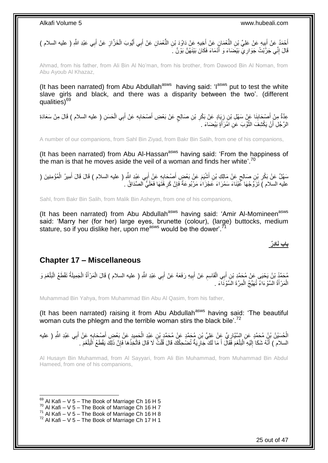أَحْمَدُ عَنْ أَبِيهِ عَنْ عَلِيِّ بْنِ النُّعْمَانِ عَنْ أَخِيهِ عَنْ دَاوُدَ بْنِ النُّعْمَانِ عَنْ أَبِي أَيُّوبَ الْخَزَّازِ عَنْ أَبِي عَبْدِ اللَّهِ ( عليه السلام ) ْ ا<br>ا َ **∣** َ َ َ ِ قَالَ إِنِّي جَرَّبْتُ جَوَارِ يِّ بَيْضَاءَ وَ أَدْمَاءَ فَكَانَ بَيْنَهُنَّ بَوْنٌ ۚ ـ َ ِ ِ

Ahmad, from his father, from Ali Bin Al No'man, from his brother, from Dawood Bin Al Noman, from Abu Ayoub Al Khazaz,

(It has been narrated) from Abu Abdullah<sup>asws</sup> having said: 'l<sup>asws</sup> put to test the white slave girls and black, and there was a disparity between the two'. (different qualities)<sup>69</sup>

عِدَّةٌ مِنْ أَصْحَابِذَا عَنْ سَهْلِ بْنِ زِيَادٍ عَنْ بَكْرِ بْنِ صَالِحٍ عَنْ بَعْضِ أَصْحَابِهِ عَنْ أَبِي الْحَسَنِ ( عليه السلام ) قَالَ مِنْ سَعَادَةِ<br>حَقَّدُ مِنْ أَصْحَابِذَا عَنْ سَهْلِ بْنِ زِيَادٍ عَنْ بَكْرِ ْ َ ِ َ ٍ ِ ِ **∣** َ الرَّجُلِ أَنْ يَكْشِفَ الثَّوْبَ عَنِ امَّرَأَةٍ بَيْضَاءَ . ة<br>ا اً

A number of our companions, from Sahl Bin Ziyad, from Bakr Bin Salih, from one of his companions,

(It has been narrated) from Abu Al-Hassan<sup>asws</sup> having said: 'From the happiness of the man is that he moves aside the veil of a woman and finds her white'.<sup>70</sup>

سَهْلٌ عَنْ بَكْرِ بْنِ صَالِحٍ عَنْ مَالِكِ بْنِ أَشْيِهَ عَنْ بَعْضٍ أَصْبِحَابِهِ عَنْ أَبِي عَيْدِ اللَّهِ ( عليه السلام ) قَالَ قَالَ أَمِيرُ الْمُؤْمِنِينَ ( ٍ **∶** ْ َ َ **∶** َ َ عليه السلام ) تَزَوَّجْهَا كَّيْنَاءَ سَمْرَاءَ عَجْزَاءَ مَرْبُوعَةً فَإِنْ كَرِ هَْتَهَا فَعَلَيَّ الصَّدَاقُ . ِ ِ

Sahl, from Bakr Bin Salih, from Malik Bin Asheym, from one of his companions,

(It has been narrated) from Abu Abdullah<sup>asws</sup> having said: 'Amir Al-Momineen<sup>asws</sup> said: 'Marry her (for her) large eyes, brunette (colour), (large) buttocks, medium stature, so if you dislike her, upon me<sup>asws</sup> would be the dower'.<sup>7</sup>

### **باب نَادِرٌ**

## <span id="page-24-0"></span>**Chapter 17 – Miscellaneous**

مُحَمَّدُ بْنُ يَحْيَى عَنْ مُحَمَّدِ بْنِ أَبِي الْقَاسِمِ عَنْ أَبِيهِ رَفَعَهُ عَنْ أَبِي عَبْدِ اللَّهِ ( عليه السلام ) قَالَ الْمَرْأَةُ الْجَمِيلَةُ تَقْطَعُ الْبَلْغَمَ وَ<br>\* - يَهُ مَنْ يَحْسَبُ مُسَمِّدٍ مِنْ أَبِي َ **!** َ ِ ْ َ ْ ْ ْ َ ْ ْ الْمَرْأَةُ السَّوْءَاءُ تُهَيِّجُ الْمِرَّةَ السَّوْدَاءَ <sub>.</sub> َ ْ

Muhammad Bin Yahya, from Muhammad Bin Abu Al Qasim, from his father,

(It has been narrated) raising it from Abu Abdullah<sup>asws</sup> having said: 'The beautiful woman cuts the phlegm and the terrible woman stirs the black bile'.<sup>72</sup>

الْحُسَيْنُ بْنُ مُحَمَّدٍ عَنِ السَّيَّارِيِّ عَنْ عَلِيِّ بْنِ مُحَمَّدٍ عَنْ مُحَمَّدٍ بْنِ عَبْدِ الْحَمِيدِ عَنْ بَعْضِ أَصِحَابِهٍ عَنْ أَبِي عَبْدِ اللَّهِ ( عليه ْ **∶** َ ْ ِ َ ْ السلام ) أَنَّهُ شَكَا إِلَيْهِ الْبَلْغَمَ فَقَالَ أَ مَا لَكَ جَارِيَةٌ تُضْحِكُكَ قَالَ قُلْتُ لَا قَالَ فَاتَّخِذْهَا فَإِنَّ ذَلِكَ يَقْطَعُ الْبَلْغَمَ . ِ َ ْ :<br>ا لَ ِ ֪֪֪֪֪֪֦֪֪֪֦֪֪֪֦֪֪֪֦֘֝֟֘֝֟֘֝֟֘֝֟֓֟֘֝֬֟֓֟֓֡֟֓֕֓֞֟֓֡֟֓֟֓֡֟֓֟֓֡֟֓֡֟֓֡֟֡֡֞֟֝֓֞֟֞֟֓֞֞֟֟ ْ ْ ∣ļ **ٔ** 

Al Husayn Bin Muhammad, from Al Sayyari, from Ali Bin Muhammad, from Muhammad Bin Abdul Hameed, from one of his companions,

 $69$  Al Kafi – V 5 – The Book of Marriage Ch 16 H 5

- $70$  Al Kafi V 5 The Book of Marriage Ch 16 H 7
- $71$  Al Kafi V 5 The Book of Marriage Ch 16 H 8
- $72$  Al Kafi V 5 The Book of Marriage Ch 17 H 1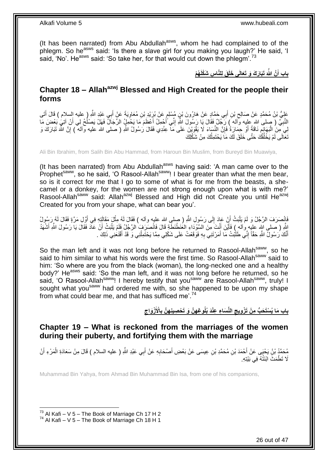(It has been narrated) from Abu Abdullah<sup>asws</sup>, whom he had complained to of the phlegm. So he<sup>asws</sup> said: 'Is there a slave girl for you making you laugh?' He said, 'I said, 'No'. He<sup>asws</sup> said: 'So take her, for that would cut down the phlegm'.<sup>73</sup>

> **ُه ْم س َشْكلَ َق ل لَّنا َتَبا َر َك َو َتَعالَى َخلَ َّن َّهللاَ باب أ َ**

### <span id="page-25-0"></span>**Chapter 18 – Allahazwj Blessed and High Created for the people their forms**

عَلِيُّ بْنُ مُحَمَّدٍ عَنْ صَالِحٍ بْنِ أَبِي حَمَّادٍ عَنْ هَارُونَ بْنِ مُسْلِمٍ عَنْ بُرَيْدِ بْنِ مُعَاوِيَةَ عَنْ أَبِي عَبْدِ اللَّهِ ( عليه إلسلام ) قَالَ أَتَى َ **∶** ֧֧֚֓֝֝֓֝ َ ِ َ النَّبِيُّ ( صلى الله عِلِيه وَّاله ) رَجُلٌ فَقَالَ يَا رَسُولَ اللَّهِ إِنِّي أُجْمِلُ أَعْظَمَ مَا يَحْمِلُ الرِّجَالُ فَهَلْ يَصْلُحُ لِي أَنْ آتِي بَعْضَ مَا **∶** َ ُ َ َ ِ لِيَ مِنَ الْبَهَائِمِ نَاقَةً ۖ أَوْ حِمَارَةٌ فَإِنَّ النِّسَاءَ لَا يَقْوَيْنَ عَلَى مَآ عِنْدِي فَقَالَ رَسُولُ اللّهِ ( صلى الله عليه وآلم ) إِنَّ الله تَبَارَكَ وَ ِ اُ ِ ِ تَعَالَى لَمْ يَخْلُقْكَ حَتَّى خَلَقَ لَكَ مَا يَحْتَمِلُكَ مِنْ شَكْلِكَ ُ ُ

Ali Bin Ibrahim, from Salih Bin Abu Hammad, from Haroun Bin Muslim, from Bureyd Bin Muawiya,

(It has been narrated) from Abu Abdullah<sup>asws</sup> having said: 'A man came over to the Prophet<sup>saww</sup>, so he said, 'O Rasool-Allah<sup>saww</sup>! I bear greater than what the men bear, so is it correct for me that I go to some of what is for me from the beasts, a shecamel or a donkey, for the women are not strong enough upon what is with me?' Rasool-Allah<sup>saww</sup> said: Allah<sup>azwj</sup> Blessed and High did not Create you until He<sup>azwj</sup> Created for you from your shape, what can bear you'.

فَانْصَرَفَ الرَّجُلُ وَ لَمْ يَلْبَثْ أَنِّ عَادَ إِلَى رَسُولِ اللَّهِ ( صلى الله عليه وأله ) فَقَالَ لَهُ مِثْلَ مَقَالِنِهِ فِي أَوَّلِ مَرَّةٍ فَقَالَ لَمُهُ رَسُولُ ْ ∣∣<br>ِ اُ :<br>ا َ اللَّهِ ( صلى الله عليه وآله ) فَأَيْنَ أَنْتَ مِنَ السَّوْدَاءِ العُنَطْنَطَّةِ قَالَ فَانْصَرَفَ الرَّجُلُ فَلَمْ يَلْبَثْ أَنْ عَادَ فَقَالَ يَا رَسُولَ اللَّهِ أَشْهَدُ َ َ َ اُ ْ أَنَّكَ رَسُولُ اللَّهِ حَقَّاً إِنِّي طَلَّبْتُ مَا أَمَرْتَنِي بِهِ فَوَقَعْتُ عَلَى شَكْلِي مِمَّا يَحْتَمِلْنِي وَ قَدْ أَقْنَعَنِي ذَلِكَ . َ ُ ِ َ ِ َ

So the man left and it was not long before he returned to Rasool-Allah<sup>saww</sup>, so he said to him similar to what his words were the first time. So Rasool-Allah<sup>saww</sup> said to him: 'So where are you from the black (woman), the long-necked one and a healthy body?' He<sup>asws</sup> said: 'So the man left, and it was not long before he returned, so he said, 'O Rasool-Allahsaww! I hereby testify that you<sup>saww</sup> are Rasool-Allahsaww, truly! I sought what you<sup>saww</sup> had ordered me with, so she happened to be upon my shape from what could bear me, and that has sufficed me<sup>'.74</sup>

> باب مَا يُسْتَحَبُّ مِنْ تَزْوِيجِ النِّسَاءِ عِنْدَ بُلُوغِهِنَّ وَ تَحْصِينِهِنَّ بِالْأَزْوَاجِ

### <span id="page-25-1"></span>**Chapter 19 – What is reckoned from the marriages of the women during their puberty, and fortifying them with the marriage**

مُحَمَّدُ بْنُ يَحْيَى عَنْ أَحْمَدَ بْنِ مُحَمَّدِ بْنِ عِيسَى عَنْ بَعْضِ أَصْحَابِهِ عَنْ أَبِي عَبْدِ اللَّهِ ( عليه السلام ) قَالَ مِنْ سَعَادَةِ الْمَرْءِ أَنْ َ **∶** َ َ ْ لَا تَطْمَثَ الْنَثُهُ فِي بَيْتِهِ.

Muhammad Bin Yahya, from Ahmad Bin Muhammad Bin Isa, from one of his companions,

 $^{73}$  Al Kafi – V 5 – The Book of Marriage Ch 17 H 2

 $^{74}$  Al Kafi – V 5 – The Book of Marriage Ch 18 H 1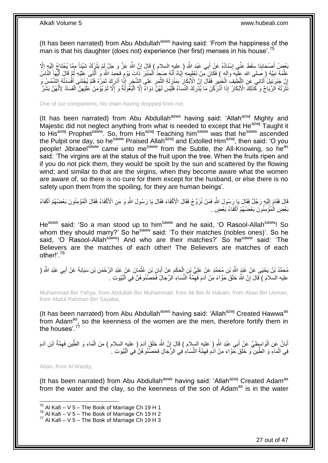(It has been narrated) from Abu Abdullah<sup>asws</sup> having said: 'From the happiness of the man is that his daughter (does not) experience (her first) menses in his house'.<sup>75</sup>

بَعْضُ أَصْحَابِنَا سَقَطَ عَنِّي إِسْنَادُهُ عَنْ أَبِي عَبْدِ اللَّهِ ( عليهِ السلام ) قَالَ إِنَّ اللَّهَ عَزَّ وَ جَلَّ إِمْ يَتْزِرُكْ شَيْئِاً مِمَّا يُحْتَاجُ إِلَيْهِ إِلَّا َ ∣l<br>∶ ِ َ ِ لَ ِ ِ عَلَّمَهُ نَبِيَّهُ (صَلَّى الله عِلْيه وآله ) فَكَانَ مِّنْ تَعْلِيِمِهِ إِيَّاهُ أَنَّهُ صَعِدَ الْمِنْبَرَ ذَاتَ يَوْمٍ فَحَمِدَ اللَّهَ وَ أَثْنَى عَلَيْهِ ثُمَّ قَالَ أَيُّهَا النَّاسُ ֧֧֖֚֝֝֝֝֝֝֝֝֟֓֟׆֧֧֧֝֜ ْ َ **ְיִ !** َّ ُ ة<br>ا َ ا<br>ا إِنَّ جَبْرَتِيلَ ٰأَتَانِي ۖ عَنِ اللَّطِيفِ الْخَبِيرِ فَقَالَ إِنَّ الْأَبْكَارَ بِمَنْزِلَةِ النَّمْرِ عَلَى الشَّجَرِ إِذًّا أَدْرَكَ ثَمَرُهُ فَلَمْ يُجْتَنَى أَفْسَدَتْهُ الشَّمْسُ وَ ِ ِ َّ لَ ِ<br>پ ِ ֦֦֦֦֦֦֦֦֧֦֦֦֦֧֦֦֧֦֧֦֧֦֧֦֧֦֧֦֧֦֧֦֚֚֚֚֚֚֚֚֚֚֚֚֚֚֝֝֡֝֡֡֡֝֟֓֡֟֓֡ ِ ِ ْ َّ َ ِ َ َ َ نَثَّرَتْهُ الْرِّيَاحُ وَ كَّذَلِكَ الْأَبْكَارُ ۚ إِذَا أَذَرَكْنَ مَا يُذْرِكُ النِّسَاءُ فَلَّيْسَ لَهُنَّ دَوَاءٌ إِلَّا الْبُغُولَٰةُ وَ إِلَّا لَمْ يُؤْمَنْ عَلَيْهِنَّ الْفَسَادُ لِأَنَّهُنَّ بَشَرٌ ٔ, ْ ِ ا<br>ا ْ ِ ِ َ

One of our companions, his chain having dropped from me,

(It has been narrated) from Abu Abdullah<sup>asws</sup> having said: 'Allah<sup>azwj</sup> Mighty and Majestic did not neglect anything from what is needed to except that  $He^{a z w j}$  Taught it to His<sup>azwj</sup> Prophet<sup>saww</sup>. So, from His<sup>azwj</sup> Teaching him<sup>saww</sup> was that he<sup>saww</sup> ascended the Pulpit one day, so he<sup>saww</sup> Praised Allah<sup>azwj</sup> and Extolled Him<sup>azwj</sup>, then said: 'O you people! Jibraeels<sup>saww</sup> came unto me<sup>saww</sup> from the Subtle, the All-Knowing, so he<sup>as</sup> said: 'The virgins are at the status of the fruit upon the tree. When the fruits ripen and if you do not pick them, they would be spoilt by the sun and scattered by the flowing wind; and similar to that are the virgins, when they become aware what the women are aware of, so there is no cure for them except for the husband, or else there is no safety upon them from the spoiling, for they are human beings'.

لَا فَقَامَ إِلَيْهِ رَجُلٌ فَقَالَ يَإِرَسُولَ اللّهِ فَمَنْ نُزَوِّجُ فَقَالَ الْأَكْفَاءَ فَقَالَ يَا رَسُولَ النَّهِ وَ مَنِ الْأَكْفَاءُ فَقَالَ الْمُؤْمِنُونَ بَعْضُهُمْ أَكْفَاءُ لَ  $\frac{1}{2}$ َ ْ بَعْضٍ الْمُؤْمِنُونَ بَعْضُهُمْ أَكْفَاءُ بَعْضٍ <sub>.</sub> َ ْ

He<sup>asws</sup> said: 'So a man stood up to him<sup>saww</sup> and he said, 'O Rasool-Allah<sup>saww</sup>! So whom they should marry?' So he<sup>saww</sup> said: 'To their matches (nobles ones)'. So he said, 'O Rasool-Allah<sup>saww</sup>! And who are their matches?' So he<sup>saww</sup> said: 'The Believers are the matches of each other! The Believers are matches of each other!'.<sup>76</sup>

مُحَمَّدُ بْنُ يَحْيَى عَنْ عَبْدٍ اللَّهِ بْنِ مُحَمَّدٍ عَنْ عَلِيِّ بْنِ الْحَكَمِ عَنْ أَبَانِ بْنِ عُثْمَانَ عَنْ عَبْدِ الرَّحْمَنِ بْنِ سَيَابَةَ عَنْ أَبِي عَبْدِ اللَّهِ ( **ٔ** َ ِ ْ َ عليه السلام ) قَالَ إِنَّ اللَّهَ خَلَقَ حَوَّاءَ مِنْ آدَمَ فَهِمَّةُ النِّسَاءِ الرِّجَالُ فَحَصَّنُو هُنَّ فِي الْبُيُوتِ . ِ ِ ْ

Muhammad Bin Yahya, from Abdullah Bin Muhammad, from Ali Bin Al Hakam, from Aban Bin Usman, from Abdul Rahman Bin Sayaba,

(It has been narrated) from Abu Abdullah<sup>asws</sup> having said: 'Allah<sup>azwj</sup> Created Hawwa<sup>as</sup> from Adam<sup>as</sup>, so the keenness of the women are the men, therefore fortify them in the houses'  $^{77}$ 

ْ أَبَانٌ عَنِ الْوَاسِطِيِّ عَنْ أَبِي عَبْدِ اللَّهِ ( عليهِ السلام ) قَالَ إِنَّ اللَّهَ خَلَقَ آدَمَ ( عليه السلام ) هِنَ الْمَاءِ وَ الطِّينِ فَهِمَّةُ ابْنِ آدَمَ ِ َ ْ َ ِ فِي الْمَاءِ وَ الطِّينِ ۖ وَ خَلَقَ حَوَّاءَ مِنْ آدَمَ فَهِمَّةُ النِّسَاءِ فِي الرِّجَالِ فَحَصَّنُو هُنَّ فِي الْبُيُوتِ ۚ ا ْ ِ ْ

Aban, from Al Wasity,

1

(It has been narrated) from Abu Abdullah<sup>asws</sup> having said: 'Allah<sup>azwj</sup> Created Adam<sup>as</sup> from the water and the clay, so the keenness of the son of Adam<sup>as</sup> is in the water

 $^{75}$  Al Kafi – V 5 – The Book of Marriage Ch 19 H 1

 $76$  Al Kafi – V  $5$  – The Book of Marriage Ch 19 H 2

 $77$  Al Kafi – V 5 – The Book of Marriage Ch 19 H 3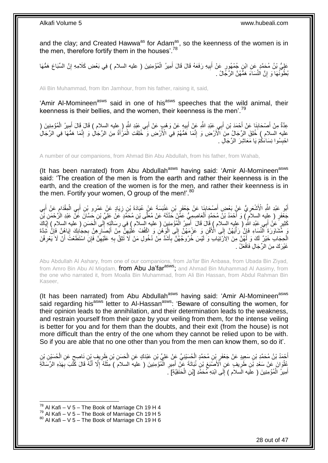and the clay; and Created Hawwa<sup>as</sup> for Adam<sup>as</sup>, so the keenness of the women is in the men, therefore fortify them in the houses'.<sup>78</sup>

عَلِيُّ بْنُ مُحَمَّدٍ عَنِ ابْنِ جُمْهُورٍ عَنْ أَبِيهِ رَفَعَهُ قَالَ قَالَ أَمِيرُ الْمُؤْمِنِينَ ( عليه السلام ) فِي بَعْضِ كَلَامِهِ إِنَّ السِّبَاعَ هَمُّهَا ِ َ ِ ْ َ بُطُونُهَا وَ إِنَّ النِّسَاءَ هَمُّهُنَّ الرِّجَّالُ . יֲ<br>י

Ali Bin Muhammad, from Ibn Jamhour, from his father, raising it, said,

'Amir Al-Momineen<sup>asws</sup> said in one of his<sup>asws</sup> speeches that the wild animal, their keenness is their bellies, and the women, their keenness is the men'.<sup>79</sup>

عِدَّةٌ مِنْ أَصْحَابِذَا عَنْ أَحْمَدَ بْنِ أَبِي عَبْدِ اللَّهِ عَنْ أَبِيهِ عَنْ وَهْبٍ عَنْ أَبِي عَبْدِ اللَّهِ ( عليه السلام ) قَالَ قَالَ أَمِيرُ الْمُؤْمِنِينَ ( َ ِ َ َ **∣** َ ْ َ عليه السلام ) خُلِقَ الرِّجَالُ مِنَ الْأَرْضِ وَ إِنَّمَا هَمُّهُمْ فِي الْأَرْضِ وَ خُلِقَتِ الْمَرُّأَةُ مِنَ الرِّجَالِ وَ إِنَّمَا هَمُّهَا فِي الرِّجَالِ َ ْ ِ َّ ِ احْبِسُوا نِسَاءَكُمْ يَا مَعَاشِرَ الرِّجَالِ . **ِ** 

A number of our companions, from Ahmad Bin Abu Abdullah, from his father, from Wahab,

(It has been narrated) from Abu Abdullah<sup>asws</sup> having said: 'Amir Al-Momineen<sup>asws</sup> said: 'The creation of the men is from the earth and rather their keenness is in the earth, and the creation of the women is for the men, and rather their keenness is in the men. Fortify your women, O group of the men!'.<sup>80</sup>

أَبُو عَبْدِ اللَّهِ الْأَشْعَرِيُّ عَنْ بَعْضِ أَصْحَابِنَا عَنْ جَعْفَرِ بْنِ عَنْبَسَةَ عَنْ عُبَادَةَ بْنِ زِيَادٍ عَنْ عَمْرِو بْنِ أَبِي الْمِقْدَامِ عَنْ أَبِي **∶** ِ **∣** َ ِ **∶** َ ءِ<br>; ْ َ جَعْفَرٍ ( عِليه السلاَمِ ) وَ أَحْمَدُ بْنُ مُحَمَّدٍ اَلْعَاصِمِيُّ عَمَّنْ حَذَّنَهُ عَنْ مُعَلَّى بْنِ مُحَمَّدٍ عَنْ عَلِيِّ بْنِ حَسَّانَ عَنْ عَبْدِ الْأَحْمَنِ بَنِّ َ ْ ۔<br>ا كَثِيرٍ ۗ عَنْ أَبِي عَبْدِ اللَّهِۚ ( عليه السلام ) فَالَ فَالَ ۚ أَهْيِرُ الْمُؤْمِنِينَ ( عليه السلام ) فِي رِسَائَةٍ إِلَى الْحَسَنِ ( عليه السلام ) إِيَّاكَ ِ ِ ْ َ َ ِ ْ مَ هُشَاوَرَةَ النِّسَاءِ فَإِنَّ رَأْيَهُنَّ إِلَى الْأَفْنِ وَ عَزْمَهُنَّ إِلَى إِلْقَ هُنِ وَ اكْفُفْ عَلْيُهِنَّ مَنْ أَبْصَارِهِنَّ بِحَجَابِكَ إِيَاهُنَّ فَإِنَّ شَدَّةَ ِ ِ َ ِ ْ  $\frac{1}{2}$  $\frac{1}{2}$ ْ ِ ∣lٍ  $\frac{1}{2}$ ِ الْحِجَابِ خَيْرٌ لَكَ وَ لَهُنَّ مِنَ الِأَرْتِيَابِ وَ لَيْسَ خُرُوجُهُنَّ بِأَشَدَّ مِنْ دُخُولِ مَنْ لَا تَثِقُّ بِهِ عَلَيْهِنَّ فَإِنِّ اسْتَطَعْتَ أَنْ لَا يَعْرِفْنَ َ ِ ِ َ ِ ِ غَيْرَكَ مِنَ الرِّجَالِ فَافْعَلْ .

Abu Abdullah Al Ashary, from one of our companions, from Ja'far Bin Anbasa, from Ubada Bin Ziyad, from Amro Bin Abu Al Miqdam, from Abu Ja'farasws; and Ahmad Bin Muhammad Al Aasimy, from the one who narrated it, from Moalla Bin Muhammad, from Ali Bin Hassan, from Abdul Rahman Bin Kaseer,

(It has been narrated) from Abu Abdullah<sup>asws</sup> having said: 'Amir Al-Momineen<sup>asws</sup> said regarding his<sup>asws</sup> letter to Al-Hassan<sup>asws</sup>: 'Beware of consulting the women, for their opinion leads to the annihilation, and their determination leads to the weakness, and restrain yourself from their gaze by your veiling from them, for the intense veiling is better for you and for them than the doubts, and their exit (from the house) is not more difficult than the entry of the one whom they cannot be relied upon to be with. So if you are able that no one other than you from the men can know them, so do it'.

أُحْمَدُ بْنُ مُحَمَّدٍ بْنِ سَعِيدٍ عَنْ جَعْفَرٍ بْنِ مُحَمَّدٍ الْحُسَيْنِيِّ عَنْ عَلِيِّ بْنِ عَبْدَكٍ عَنِ الْحَسَنِ بْنِ ظَرِيفٍ بِّنِ نَاصِحٍ عَنِ الْحُسَيْنِ بْنِ<br>. َ ٍ **∶** ْ ْ ِ ْ عُلُوَانَ عَنْ سَعْدِ بَّنِ طَرِيقٍ عَنِ الْأَصَّبَغِ بْنِ نُبَاتَةَ عَنِّ أَمِيرِ الْمُؤْمِنِينَ ( عليه السلام ) مِثْلَهُ إِلَّا أَنَّهُ قَالَ كَتْبَ بِهَذِهِ الرِّسَالَةِ ا<br>ا **∶** َ ِ **∶** ِ َ ِ لَ **ٔ** أَمِيرُ الْمُؤْمِنِينَ ( علَيه الَسلام ) إِلَى ابْنِهِ مُحَمَّدِ [بْنِ الْحَنَفِيَّةِ] َ. ْ ∣l<br>∶ ْ َ

 $^{78}$  Al Kafi – V 5 – The Book of Marriage Ch 19 H 4

 $^{79}$  Al Kafi – V 5 – The Book of Marriage Ch 19 H 5

 $80$  Al Kafi – V 5 – The Book of Marriage Ch 19 H 6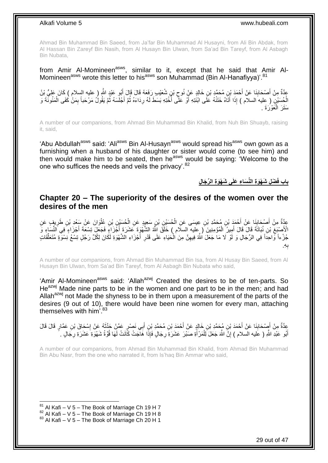Ahmad Bin Muhammad Bin Saeed, from Ja'far Bin Muhammad Al Husayni, from Ali Bin Abdak, from Al Hassan Bin Zareyf Bin Nasih, from Al Husayn Bin Ulwan, from Sa'ad Bin Tareyf, from Al Asbagh Bin Nubata,

from Amir Al-Momineen<sup>asws</sup>, similar to it, except that he said that Amir Al-Momineen<sup>asws</sup> wrote this letter to his<sup>asws</sup> son Muhammad (Bin Al-Hanafiyya)<sup>'.81</sup>

عَدَّةٌ مِنْ أَصْحَابِنَا عَنْ أَحْمَدَ بْنِ مُحَمَّدٍ بْنِ خَالِدٍ عَنْ نُوحٍ بْنِ شُعَيْبِ رَفَعَهُ قَالَ قَالَ أَبُو عَبْدِ اللَّهِ ( عليه السلام ) كَانَ عَلِيُّ بْنُ َ  $\zeta$ َ **∣** الْحُسَيْنِ ( عِليه السلام ) إِذَا أَتَاهُ خَتَتُهُ عَلَى ابْنَتِهِ أَوْ عَلَّى أَخْتِهِ بَسَطَ لَهُ رِدَاءَهُ ثُمَّ أَجْلَسَهُ ثُمَّ يَقُولُ مَرْحَباً بِمَنْ كَفَى الْمَئُونَّةَ وَ ا<br>ا َ َ ْ ِ ا دیگا َ ا<br>المناسبة ِ سَتَرَ الْمَعْرَةَ . ْ

A number of our companions, from Ahmad Bin Muhammad Bin Khalid, from Nuh Bin Shuayb, raising it, said,

'Abu Abdullah<sup>asws</sup> said: 'Ali<sup>asws</sup> Bin Al-Husayn<sup>asws</sup> would spread his<sup>asws</sup> own gown as a furnishing when a husband of his daughter or sister would come (to see him) and then would make him to be seated, then he<sup>asws</sup> would be saying: 'Welcome to the one who suffices the needs and veils the privacy'.<sup>82</sup>

**باب ف ى َش ْهَو ة ال ِّر َجا ل َ ْض ل َش ْهَو ة الِّن َسا ء َعلَ**

### <span id="page-28-0"></span>**Chapter 20 – The superiority of the desires of the women over the desires of the men**

عِدَّةٌ مِنْ أَصْحَابِذَا عَنْ أَحْمَدَ بْنِ مُحَمَّدِ بْنِ عِيسَى عَنِ الْحُسَيْنِ بْنِ سَعِيدٍ عَنِ الْحُسَيْنِ بْنِ عُلْوَانَ عَنْ سَعْدِ بْنِ طَرِيفٍ عَنِ<br>وَيَمَدُّ مِنْ أَصْحَابِ ْ ْ َ ِ َ ِ ْ الْأُصْبَغِ بْنِ نُبَاتَةَ قَالَ قَالَ أَمِيزُ الْمُؤْمِنِينَ ( عِليه السلام ) خَلَقَ اللَّهُ الشَّهْوَةَ عَشَرَةَ أَجْزَاءٍ فَيَعْلَى تِسْعَةَ أَجْزَاءٍ فِي النِّسَاءِ وَ َ ْ َ ِ َ جُزْءاً وَّاحِداً فِي الرِّجَالِ وَ لَوْ لَا مَا جَعَلَ اللَّهُ فِيهِنَّ مِنَ الْحَيَاءِ عَلَى قَدْرِ أَجْزَاءِ الشَّهْوَةِ لَكَانَ لِكُلِّ رَجُلٍ تِسْعُ نِسْوَةٍ مُتَعَلِّقَاتٍ ِّ َ **∶** ْ ِ ِه. ب **∶** 

A number of our companions, from Ahmad Bin Muhammad Bin Isa, from Al Husay Bin Saeed, from Al Husayn Bin Ulwan, from Sa'ad Bin Tareyf, from Al Asbagh Bin Nubata who said,

'Amir Al-Momineen<sup>asws</sup> said: 'Allah<sup>azwj</sup> Created the desires to be of ten-parts. So He<sup>azwj</sup> Made nine parts to be in the women and one part to be in the men; and had Allah<sup>azwj</sup> not Made the shyness to be in them upon a measurement of the parts of the desires (9 out of 10), there would have been nine women for every man, attaching themselves with him'.<sup>83</sup>

عِدَّةٌ مِنْ أَصْحَابِذَا عَنْ أَحْمَدَ بْنِ هُجَمَّدِ بْنِ خَالِدٍ عَنْ أَحْمَدَ بْنِ مُحَمَّدِ بْنٍ أَبِي نَصْرِ عَمَّنْ حَذَّثَهُ عَنْ إِسْحَاقَ بْنِ عَمَّارٍ قَالَ قَالَ<br>" َ َ **∣** َ ِ َ أَبُو عَبْدِ اللَّهِ ( عَليه السلام ) إِنَّ اللَّهَ جَعَلَ لِلْمَرْ أَةِ صَبْرَ عَشَرَةٍ رِجَالٍ فَإِذَا هَاجَتْ كَانَتْ لَهَا قُوَّةُ شَهْوَةِ عَشَرَةِ رِجَالٍ . َ ْ יִי, َ ِ ِ

A number of our companions, from Ahmad Bin Muhammad Bin Khalid, from Ahmad Bin Muhammad Bin Abu Nasr, from the one who narrated it, from Is'haq Bin Ammar who said,

 $81$  Al Kafi – V 5 – The Book of Marriage Ch 19 H 7

 $82$  Al Kafi – V 5 – The Book of Marriage Ch 19 H 8

 $83$  Al Kafi – V 5 – The Book of Marriage Ch 20 H 1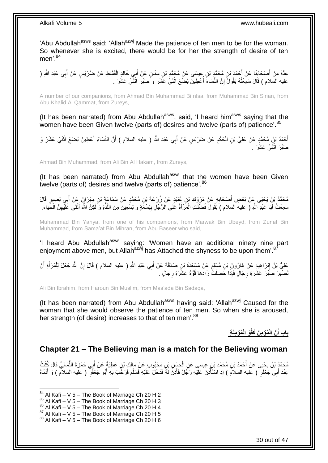'Abu Abdullah<sup>asws</sup> said: 'Allah<sup>azwj</sup> Made the patience of ten men to be for the woman. So whenever she is excited, there would be for her the strength of desire of ten men' $84$ 

عِدَّةٌ مِنْ أَصْحَابِنَا عَنْ أَحْمَدَ بْنِ مُحَمَّدٍ بْنِ عِيسَى عَنْ مُحَمَّدِ بْنِ سِنَانٍ عَنْ أَبِي خَالِدٍ الْقَمَّاطِ عَنْ ضُرَيْسٍ عَنْ أَبِي عَبْدِ الثَّهِ ( َ **ِ** َ ْ َ عليه السلام ) قَالَ سَمِعْتُهُ يَقُولُ ۚ إِنَّ النِّسَاءَ أَعْطِينَ بُضْعَ اثْنَيْ عَشَرَ وَ مَـنَدِرَ اثْنَيْ عَشَرَ . **ٔ ٔ** ِ

A number of our companions, from Ahmad Bin Muhammad Bi nIsa, from Muhammad Bin Sinan, from Abu Khalid Al Qammat, from Zureys,

(It has been narrated) from Abu Abdullah<sup>asws</sup>, said, 'I heard him<sup>asws</sup> saying that the women have been Given twelve (parts of) desires and twelve (parts of) patience'.<sup>85</sup>

أَحْمَدُ بْنُ مُحَمَّدٍ عَنْ عَلِيِّ بْنِ الْحَكَمِ عَنْ ضُرَيْسٍ عَنْ أَبِي عَبْدِ اللَّهِ ( عليه السلام ) أَنَّ النِّسَاءَ أُعْطِينَ بُضْعَ اثْنَيْ عَشَرَ وَ ْ ُ َ َ ِ ْ صَبْرَ اثْنَيْ عَشَرَ . .<br>ئا

Ahmad Bin Muhammad, from Ali Bin Al Hakam, from Zureys,

(It has been narrated) from Abu Abdullah<sup>asws</sup> that the women have been Given twelve (parts of) desires and twelve (parts of) patience'.<sup>86</sup>

مُحَمَّدُ بْنُ يَحْيَى عَنْ بَعْضِ أَصْحَابِهِ عَنْ مَرْوَكِ بْنِ عُبَيْدٍ عَنْ زُِرْعَةَ بْنِ مُحَمَّدٍ عَنْ سَمَاعَةَ بْنِ مِهْرَانٍ عَنْ أَبِي بَصِبِرٍ قَالَ **∶** َ مَعْتُ أَبَا عَبْدِ اللَّهِ ( عليه السلام ) يَقُولُ فُضّلَكَ الْمَرْأَةُ عَلَى الرَّجُلِ بِتِسْعَةٍ وَ تِسْعِينَ مِنَ اللَّذَّةِ وَ لَكِنَّ اللَّهَ أَلْقَى عَلَيْهِنَّ الْحَيَاءَ. َّ ِ ْ َ ْ ِ ْ َ

Muhammad Bin Yahya, from one of his companions, from Marwak Bin Ubeyd, from Zur'at Bin Muhammad, from Sama'at Bin Mihran, from Abu Baseer who said,

'I heard Abu Abdullah<sup>asws</sup> saying: 'Women have an additional ninety nine part enjoyment above men, but Allah<sup>azwj</sup> has Attached the shyness to be upon them'.<sup>87</sup>

عَلِيُّ بْنُ إِبْرَاهِيمَ عَنْ هَارُونَ بْنِ مُسْلِمٍ عَنْ مَسْعَدَةَ بْنِ صَدَقَةَ عَنْ أَبِي عَبْدِ اللَّهِ ( عليه السلام ) قَالَ إِنَّ اللَّهَ جَعَلَ لِلْمَرْأَةِ أَنْ **∶** ِ َ ٍ َ َ ْ َصْنْبِرَ صَنَٰز عَشُرَةِ رِجَالٍ فَإِذَا حَصَلَتُّ زَادَهَا قُوَّةَ عَشَرَةِ رِجَالٍ . **∶** ِ **ِ** 

Ali Bin Ibrahim, from Haroun Bin Muslim, from Mas'ada Bin Sadaqa,

(It has been narrated) from Abu Abdullah<sup>asws</sup> having said: 'Allah<sup>azwj</sup> Caused for the woman that she would observe the patience of ten men. So when she is aroused, her strength (of desire) increases to that of ten men'.<sup>88</sup>

> **ُمْؤ مَن ة ُو الْ ُمْؤ م َن ُكفْ َّن الْ باب أ َ**

### <span id="page-29-0"></span>**Chapter 21 – The Believing man is a match for the Believing woman**

مُحَمَّدُ بْنُ يَحْيَى عَنْ أَحْمَدَ بْنِ مُحَمَّدِ بْنِ عِيسَي عَنِ الْحَسَنِ بْنِ مَحْبُوبٍ عَنْ مَالِكِ بْنِ عَطِيَّةٍ عَنْ أَبِي حَمْزَةَ الثَّمَالِيِّ قَالَ كُنْتُ<br>-ْ َ ِ ُّ ِ عِنْدَ أَبِي جَعْفَرٍ ( عليه السلامَ ) إِذِ اسْتَأْذَنَ عَلَيْهِ رَجُلٌ فَأَذِنَّ لَهُ فَدَخَلَ عَلَيْهِ فَسَلَّمَ فَرَحَّبَ بِهِ أَبُو جَعْفَرٍ ( عليه السلام ) وَ أَدْنَاهُ َّ َ ِ ْ َ َ

 $84$  Al Kafi – V 5 – The Book of Marriage Ch 20 H 2

 $85$  Al Kafi – V 5 – The Book of Marriage Ch 20 H 3

 $86$  Al Kafi – V 5 – The Book of Marriage Ch 20 H 4

 $87$  Al Kafi – V 5 – The Book of Marriage Ch 20 H 5

 $88$  Al Kafi – V 5 – The Book of Marriage Ch 20 H 6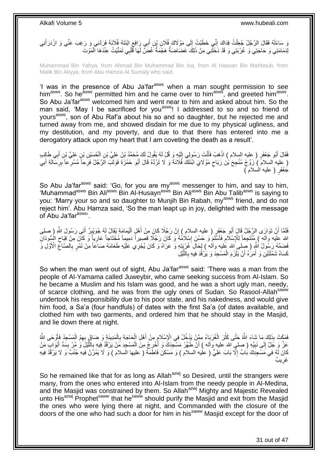يَ سَاءَلَهُ فَقَالَ الرَّجُلُ جُعِلْتُ فِدَاكَ إِنِّي خَطَبْتُ إِلَى مَوْلَاكَ فُلَانِ بِنِ أَبِي رَافِعِ ابْنَتَهُ فُلَانَةَ فَرَدَّنِي وَ رَغِبَ عَنِّي وَ ازْدَرَأَنِي ِ ْ َ ٍ َ ِ لِدَمَامَتِي وَ حَاجَتِي وَ غُرْبَتِي وَ قَدْ دَخَلَّنِي مِنْ ذَلِكَ غَضَاضَةٌ هَجْمَةٌ غُضَّ لَهَا قَلْبِي تَمَنَّيْتُ عِنْدَهَا الْمَوْتَ ْ ْ

Muhammad Bin Yahya, from Ahmad Bin Muhammad Bin Isa, from Al Hassan Bin Mahboub, from Malik Bin Atiyya, from Abu Hamza Al Sumaly who said,

'I was in the presence of Abu Ja'far<sup>asws</sup> when a man sought permission to see him<sup>asws</sup>. So he<sup>asws</sup> permitted him and he came over to him<sup>asws</sup>, and greeted him<sup>asws</sup>. So Abu Ja'far<sup>asws</sup> welcomed him and went near to him and asked about him. So the man said, 'May I be sacrificed for you<sup>asws</sup>! I addressed to so and so friend of yours<sup>asws</sup>, son of Abu Raf'a about his so and so daughter, but he rejected me and turned away from me, and showed disdain for me due to my physical ugliness, and my destitution, and my poverty, and due to that there has entered into me a derogatory attack upon my heart that I am coveting the death as a result'.

فَقَالَ أَبُو جَعْفَرٍ ( عِليه السلام ) اذْهَبْ فَأَنْتَ رَسُولِي إِلَيْهِ وَ قُلْ لَهُ يَقُولُ لَكَ مُحَمَّدُ بْنُ عَلِيِّ بْنِ الْحُسَيْنِ بْنِ عَلِيِّ بْنِ أَبِي طَالِبٍ لَ ِ َ **ٔ** َ َ ْ ْ عِليه السلامَ ) زَوِّجْ مُنْجِحَ بْنَ رَبَاحٍ مَوْلَايَ ابْنَتَكَ فُلَانَةَ وَ لَا تَرُدَّهُ قَالَ أَبُو حَمْزَةَ فَوَثَبَ الْرَّجُلُ فَرِحاً مُسْرِعاً بِرِسَالَةِ أَبِي ٍ َ ِ َ َ جَعْفَرٍ ( عليه السلام )

So Abu Ja'far<sup>asws</sup> said: 'Go, for you are my<sup>asws</sup> messenger to him, and say to him, 'Muhammad<sup>asws</sup> Bin Ali<sup>asws</sup> Bin Al-Husayn<sup>asws</sup> Bin Ali<sup>asws</sup> Bin Abu Talib<sup>asws</sup> is saying to you: 'Marry your so and so daughter to Munjih Bin Rabah, my<sup>asws</sup> friend, and do not reject him'. Abu Hamza said, 'So the man leapt up in joy, delighted with the message of Abu Ja'far<sup>asws</sup>'.

فَلَمَّا أَنْ تَوَارَى الرَّجُلُ قَالَ أَبُو جَعْفَرٍ ( عليه السلامِ ) إِنَّ رَجُلًا كَانٍَ مِنْ أَهْلِ الْيَمَامَةِ يُقَالُ لَهُ جُوَيْبِرٌ أَتَى رَسُولَ اللَّهِ ( صلى َ َ ِ ْ َ ِ لِلله عليه وآله ) مُنْتَجِعاً لِلْإِسْلَامِ فَأَسْلَمَ وَ حَسُنَ إِسْلَامُهُ وَ كَانَ رَجُلًا قَصِيراً دَمِيماً مُحْتَاجاً عَارِياً وَ كَانَ مِنْ قِيَاحِ الْمُلُودَانِ<br>يَوَجَعَ مُرْمُونِ مِنْ الْمَرْجَعِينَ الْمُؤْمِنِينَ ِ َ ِ فَضَمَّهُ رَسُولُ اللَّهِ ( صَلى الله عليه وآله ) لِحَالِ غُرْبِنِيّهِ وَ عَرَاهُ وَ كَانَ يُجْرِي عَلَيْهِ طَعَامَهُ صَاعاً مِنْ تَمْرٍ بِالصَّاغِ الْأَوَّلِ وَ ِ **∶** كَسَاهُ شَمْلَتَيْنِ وَ أَمَرَٰهُ أَنْ يَلْزَمَ الْمَسْجِدَ وَ يَرْقُدَ فِيهِ بِاللَّيْلِ ْ ْ َ َ َّ **∶** 

So when the man went out of sight. Abu Ja'far<sup>asws</sup> said: 'There was a man from the people of Al-Yamama called Juweybir, who came seeking success from Al-Islam. So he became a Muslim and his Islam was good, and he was a short ugly man, needy, of scarce clothing, and he was from the ugly ones of Sudan. So Rasool-Allah<sup>saww</sup> undertook his responsibility due to his poor state, and his nakedness, and would give him food, a Sa'a (four handfuls) of dates with the first Sa'a (of dates available, and clothed him with two garments, and ordered him that he should stay in the Masjid, and lie down there at night.

ْ فَعَكَ بِذَلِكَ مَا شَاءَ اللَّهُ حَتَّى كَثُرَ الْغُرَيَاءُ مِمَّنْ يَذْخُلُ فِي الْإِسْلَامِ مِنْ أَهْلِ الْحَاجَةِ بِالْمَدِينَةِ وَ حَىَاقَ بِهِمُ الْمَسْجِدُ فَأَوْحَى اللَّهُ ِ ْ َ م<br>پا ْ ن<br>أ َ ْ عَزَّ وَ جَلَّ إِلَى نَبِيِّهِ ( صلي الله عليه وآله ) أَنْ طَهِّرْ مَسْجِدَكَ وَ أُخْرِجْ مِنَ الْمَسْجِدِ مَنْ يَرْقُدُ فِيهِ بِاللَّيْلَ وَ مُرْ بِسَدِّ أَبَوَابٍ مَنْ ْ ِ َ اُ **!** ِ َ ِ َّ ِ كَانَ لَهُ فِي مَسْجِدِكَ بَابٌ إِلَّا بَابَ عَلِيٍّ ( عليه السلام ) وَ مَسْكَنَ فَاطِمَةٌ ( عليها السلام ) وَ لَا يَمُرَّنَّ فِيهِ جُنُبٌ وَ لَا يَرْقُدْ فِيهِ ِ غريبٌ ِ

So he remained like that for as long as Allah<sup>azwj</sup> so Desired, until the strangers were many, from the ones who entered into Al-Islam from the needy people in Al-Medina, and the Masjid was constrained by them. So Allah<sup>azwj</sup> Mighty and Majestic Revealed unto His<sup>azwj</sup> Prophet<sup>saww</sup> that he<sup>saww</sup> should purify the Masjid and exit from the Masjid the ones who were lying there at night, and Commanded with the closure of the doors of the one who had such a door for him in hissaww Masjid except for the door of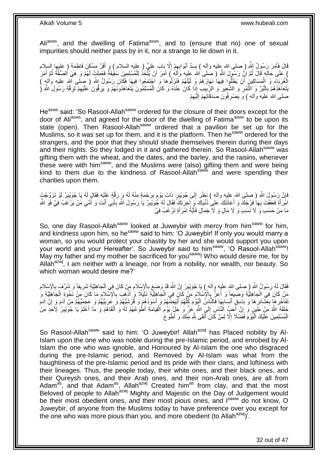Ali<sup>asws</sup>, and the dwelling of Fatima<sup>asws</sup>, and to (ensure that no) one of sexual impurities should neither pass by in it, nor a strange to lie down in it.

قَالَ فَأَمَرَ رَسُولُ اللَّهِ (ِ صلى الله عليه وأله ) بِسَدٍّ أَبْوَابِهِمْ إِلَّا بِبَابَ عَلِيٍّ (ِ عليه السلام ) وَ أَقَرَّ مَسْكَنَ فَاطِمَةَ ( عليها السلام َ ِ ِ َ **ِ** َ ) عَلَى حَالِهِ قَالَ ثُمَّ إِنَّ رَسُوِلَ اللَّهِ ( صلى الله عليه وَآلم ) أَمَرَ أَنْ يُتَّخَذُ لِلْمُسْلِمِينَ سُقِيفَةٌ فَعُمِلَتٍ لَهُمْ وَ هِيَ الصُّفَّةُ ثُمَّ أَمَرَ َ َ יִי, ُ أَ ُ ْ اْلْخُرَبَاءَ وَ الْمَسَاكِينَِ َأَنْ يَظَلُّوا فِيهَا نَـهَارَهُمْ وَ لَيْلَهُمْ فَنَزَلْوُهَا وَ اجْتَمَعُوا فِيهَا فَكَانَ رَسُولُ اللَّهِ ( صلى الله عليه والهِ ) اً ْ يَتَعَاهَدُهُمْ بِالْبُرِّ وَ التَّمْرِ وَ الشَّعِيرِ وَ الزَّبِيبِ إِذَا كَانَ عِنْدَهُ وَ كَانَ الْمُسْلِمُونَ يَتَعَاهَدُونَهُمْ وَ يَرِقُونَ كَلَيْهِمْ لِرِقَّةِ رَسُولِ اللَّهِ ( ْ ِ ِ ِ :<br>ا **∶** ِ ِ ِ صلى الله عَليه وآله ) وَ يَصْرِفُونَ صَدَقَاتِهِمْ إِلَيْهِمْ ِ لَ  $\frac{1}{2}$ ِ ِ

He<sup>asws</sup> said: 'So Rasool-Allah<sup>saww</sup> ordered for the closure of their doors except for the door of Aliasws, and agreed for the door of the dwelling of Fatima<sup>asws</sup> to be upon its state (open). Then Rasool-Allah<sup>saww</sup> ordered that a pavilion be set up for the Muslims, so it was set up for them, and it is the platform. Then he<sup>saww</sup> ordered for the strangers, and the poor that they should shade themselves therein during their days and their nights. So they lodged in it and gathered therein. So Rasool-Allah<sup>saww</sup> was gifting them with the wheat, and the dates, and the barley, and the raisins, whenever these were with him<sup>saww</sup>, and the Muslims were (also) gifting them and were being kind to them due to the kindness of Rasool-Allah<sup>saww</sup> and were spending their charities upon them.

َّةٍ رَسُولَ اللَّهِ ( صلى الله عليه وأله ) نَظَلَ إِلَى جُوَيْبِرٍ ذَاتَ يَوْمٍ بِرَحْمَةٍ مِنْهُ لَهُ وَ رِقَّةٍ عَلَيْهِ فَقَالٍ لَهُ يَا جُوَيْبِرُ لَوْ تَزَوَّجْتَ ِ ِ ِ ٍ ِ اهْرَأَةً فَعَفْفْتَ بِهَا فَرْجَكَ وَ أَعَانَتْكَ عَلَى دُنْيَاكَ وَ آخِرَتِكَ فَقَالَ لَهُ جُوَيْبِرٌ يَا رَسُولَ اللَّهِ بَابَي أَنْتَ وَ أُمِّي مَنْ يَرْغَبُ فِيَّ فَوَ اللَّهِ َ **∶** َ ُ َ َ ِ **!** مَا مِنْ حَسَبٍ وَ لَا نَسَبٍ وَ لَا مَالٍ وَ لَا جَمَالٍ فَأَيَّةُ امْرَأَةٍ تَرْغَبُ فِيَّ َ َ

So, one day Rasool-Allah<sup>saww</sup> looked at Juweybir with mercy from him<sup>saww</sup> for him, and kindness upon him, so he<sup>saww</sup> said to him: 'O Juweybir! If only you would marry a woman, so you would protect your chastity by her and she would support you upon your world and your Hereafter'. So Juweybir said to him<sup>saww</sup>, 'O Rasool-Allah<sup>saww</sup>! May my father and my mother be sacrificed for you<sup>saww</sup>! Who would desire me, for by Allah<sup>azwj</sup>, I am neither with a lineage, nor from a nobility, nor wealth, nor beauty. So which woman would desire me?'

لَقَالَ لَمُ رَسُولُ اللَّهِ (صلى الله عليه وآله ) يَا جُوَيْبِرُ إِنَّ اللَّهَ قَدْ وَضعَ بِالْإِسْلَامِ مَنْ كَانَ فِي الْجَاهِلِيَّةِ شَرِيفاً وَ شَرَّفَ بِالْإِسْلَامِ<br>وَمَ يَنْ سَالِحُ الْمَرْضَ الْمَسْلَمِينَ مِنْ ا ِ ِ ِ ْ ِ ِ ِ ِ َسْ كَانَ فِي الْجَاهِلِيَّةِ وَضِيعاً وَ أَعَزَّ بِالْإِسْلَامِ مَلَّ كَانٍ فِي الْجَاهِلِيِّّةٍ ذَلِيلًا وَ أَذْهَبَ بِالْإِسْلَامِ مَا كَانَ مِنْ نَخْوَةِ الْجَاهِلِيَّةِ وَ ِ **ٔ** َ ْ ِ **∶** َ ْ ِ ْ َّفَاخُرِ هَا بِعَشَائِرِ هَا وَ بَاسِقٍ أَنْسَابِهَا فَالنَّاسِ ۖ الْيَوَّمَ كُلُّهُمْ أُبْيَضِنْهُمْ وَ قُرَشِيْهُمْ وَ عَكَمَ مِنْ آَدَمَ وَ إِنَّ آدَمَ اُ َ ُّ :<br>ا **∶** َ ِ **∶ ∶** ِ ِ خَلَقَهُ ۖ اللَّهُ مَنْ طَّنِنٍ وَ إِنَّ أَحَبَّ الَّنَّاسِ إِلَى اللَّهِ ۖ عَٰنَّ وَ حَلَّ يَوْمَ الْقِيَامَة<br>\* فَلَقَاهُمْ وَ اللَّهُ مَنْ طِّنِنٍ وَ إِنَّ أَحَبَّ النَّاسِ إِلَى اللَّهِ ۖ عُنَّ وَ حَلٍّ يَوْمَ الْقِيَا َ َ ْ ِ َ ِ ِ الْمُسْلِمِينَ عَلَّيْكَ الْيَّوْمَ فَضَّدْلًا إِلَّا لِمَنْ كَانَّ أَنْقَى بِثَّهِ مِنْكَ وَ أَطْوَعَ َ ِ ْ ْ

So Rasool-Allah<sup>saww</sup> said to him: 'O Juweybir! Allah<sup>azwj</sup> has Placed nobility by Al-Islam upon the one who was noble during the pre-Islamic period, and enrobed by Al-Islam the one who was ignoble, and Honoured by Al-Islam the one who disgraced during the pre-Islamic period, and Removed by Al-Islam was what from the haughtiness of the pre-Islamic period and its pride with their clans, and loftiness with their lineages. Thus, the people today, their white ones, and their black ones, and their Qureysh ones, and their Arab ones, and their non-Arab ones, are all from Adam<sup>as</sup>, and that Adam<sup>as</sup>, Allah<sup>azwj</sup> Created him<sup>as</sup> from clay, and that the most Beloved of people to Allah<sup>azwj</sup> Mighty and Majestic on the Day of Judgement would be their most obedient ones, and their most pious ones, and  $I<sup>saww</sup>$  do not know, O Juweybir, of anyone from the Muslims today to have preference over you except for the one who was more pious than you, and more obedient (to Allah $a^{2x}$ )'.

32 out of 47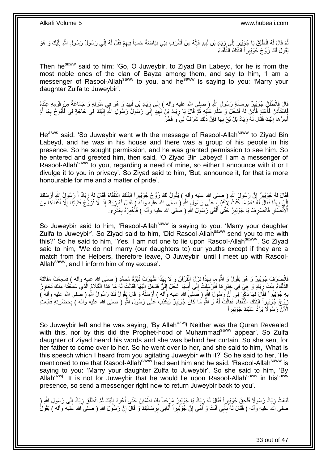مُّمَّ قَالَ لَهُ اِنْطَلِقْ يَا جُوَيْبِنُ إِلَى زِيَادِ بْنِ لَبِيدٍ فَإِنَّهُ مِنْ أَشْرَف بَنِي بَيَاضَةَ حَسَباً فِيهِمْ فَقُلْ لَهُ إِنِّي رَسُولُ رَسُولِ اللَّهِ إِلَيْكَ وَ هُوَ **!** ِ  $\frac{1}{2}$ **∣** لَ ِ ِ ِ َ ׀ו<br>ְי بَقُٰولُ لَكَ زَوِّجْ جُوَيْبِرِ أَ اَبْنَتَكَ الذَّلْفَاءَ ْ

Then he<sup>saww</sup> said to him: 'Go, O Juweybir, to Ziyad Bin Labeyd, for he is from the most noble ones of the clan of Bayza among them, and say to him, 'I am a messenger of Rasool-Allah<sup>saww</sup> to you, and he<sup>saww</sup> is saying to you: 'Marry your daughter Zulfa to Juweybir'.

َّلْ فَانْطَلَقَ جُوَيْبِرٌ بِرِسَالَةِ رَسُولِ إِللَّهِ (صلى الله عليه وآله ) إِلَى زِيَادِ بْنِ لَبِيدٍ وَ هُوَ فِي مَنْزِلِهِ وَ جَمَاعَةٌ مِنْ قَوْمِهِ عِنْدَهُ ِ **↓** ِ ِ ِ  $\frac{1}{2}$ فَاسْتَأْذَنَ فَأُعْلِمَ فَأَذِنَ لَمُه فَدَخَلَ وَ سَلَّمَ عَلَيْهِ ثُمَّ قَالَ يَا زِيَادَ بْنَ لَبِيدٍ إِنِّي رَسُولُ رَسُولِ اللَّهِ إِلَيْكَ فِي حَاجَةٍ لِي فَأَبُوحُ بِهَا أَمْ ِ ِ ِ ان<br>المقام المقام المقام المقام المقام المقام المقام المقام المقام المقام المقام المقام المقام المقام المقام المقا َّ َ ۔<br>ا ْ َ لَ ِ أَ **∶** أُسِرُّ هَا إِلَيْكَ فَقَالَ لَهُ زِيَادٌ بَلْ بُحْ بِهَا فَإِنَّ ذَلِكَ شَرَفٌ لِي َو فَخْرٌ ِ ِ ِ لَ ِ ر<br>د

He<sup>asws</sup> said: 'So Juweybir went with the message of Rasool-Allah<sup>saww</sup> to Ziyad Bin Labeyd, and he was in his house and there was a group of his people in his presence. So he sought permission, and he was granted permission to see him. So he entered and greeted him, then said, 'O Ziyad Bin Labeyd! I am a messenger of Rasool-Allah<sup>saww</sup> to you, regarding a need of mine, so either I announce with it or I divulge it to you in privacy'. So Ziyad said to him, 'But, announce it, for that is more honourable for me and a matter of pride'.

َفَقَالَ لَهُ جُوَيْبِرٌ ۚ إِنَّ رَسُولَ اللَّهِ ( صلى الله عليه وآله ) يَقُولُ لَكَ زَوِّجْ جُوَيْبِراً ابْنَنَكَ الذَّلْفَاءَ فَقَالَ لَهُ زِيَادٌ أَ رَسُولُ النَّهِ أَرْسَلَكَ ْ ِ ِ َ َ ِ ِ إِنِّيَ بِهَذَا فَقَالَ لَمُّ نَعَمْ مَا كُنْتُ لِأَكْذِبَ عَلَى رَسُولِ اللَّهِ ( صلى الله عليه وآلمَ ) فَقَالَ لَهُ زِيَادٌ إِنَّا لَا نُزَوَّجُ فَتَيَاتِنَا إِلَّا أَكْفَاءَنَا مِنَ **∶ ∶** لَ ِ َ ا<br>ا اْلْأَنْصَارِ فَانْصَرِفْ يَا جُوَيْبِرُ حَتَّى أَلْقَى رَسُولَ اللَّهِ ( صلى الله عليه وآلم ) فَأُخْبِرَهُ بِعُذْرِّي ِ ِ ِ **ٔ** ِ ِ المستقبل المستقبل المستقبل المستقبل المستقبل المستقبل المستقبل المستقبل المستقبل المستقبل المستقبل المستقبل ال<br>المستقبل المستقبل المستقبل المستقبل المستقبل المستقبل المستقبل المستقبل المستقبل المستقبل المستقبل المستقبل ال ْ َ ِ

So Juweybir said to him, 'Rasool-Allah<sup>saww</sup> is saying to you: 'Marry your daughter Zulfa to Juweybir'. So Ziyad said to him, 'Did Rasool-Allah<sup>saww</sup> send you to me with this?' So he said to him, 'Yes. I am not one to lie upon Rasool-Allah<sup>saww</sup>'. So Ziyad said to him, 'We do not marry (our daughters to) our youths except if they are a match from the Helpers, therefore leave, O Juweybir, until I meet up with Rasool-Allah<sup>saww</sup>, and I inform him of my excuse'.

فَانْصِدَفَ جُوَيْبِرٌ وَ هُوَ يَقُولُ وَ اللّهِ مَا بِهَذَا نَزَلَ الْقُرْآنُ وَ لَا بِهَذَا ظَهَرَتْ نُبُوَّةُ مُحَمَّدٍ ( صلى الله عليه وألمه ) فَسَمِعَتْ مَقَالَتَهُ ِ ْ **∶** ِ الذَّلْفَاءُ بِنْتُ زِيَادٍ وَ هِيَ فِي خِدْرِهَا فَأَرْسَلَتْ إِلَى أَبِيهَا ادْخُلْ إِلَيَّ فَدَخِلَ إِلَيْهَا فَقَالَتْ لَهُ مَا هَذَا الْكَلامُ الَّذِي سَمِعْتُهُ مِنْكَ تُحَاوِرُ **∶** ِ **∣** ْ َّ ْ لَ  $\frac{1}{2}$ لَ ِ **!** َ ِ ِ بِهِ جُوَيْبِراً فَقَالَ لَمَهَا ذَكَرٍ لِي أَنَّ رَسُولَ اللَّهِ ( صَلَّى الله عليه وَاللّه ) أَرْسَلَهُ وَ قَالَ يَقُولُ لَكَ رَسُولُ اللَّه ( صَلَّى الله عليه وآله ) َ ِ رَوِّجْ جُوَيْدٍراً ابْنَتَكَ الذَّلْفَاءَ فَقَالَتْ لَمُه وَ اللَّهِ مَا كَانَ جُوَيْدِرٌ لِيَكْذِبَ عَلَى رَسُولِ اللَّهِ ( صلى الله عليه وَاله ) بِحَضْرَتِهِ فَابْعَثِ ِ ْ ِ الْآنَ رَسُولًا يَرُدُّ عَلَيْكَ جُوَيْبِر أَ

So Juweybir left and he was saying, 'By Allah<sup>azwj</sup>! Neither was the Quran Revealed with this, nor by this did the Prophet-hood of Muhammad<sup>saww</sup> appear'. So Zulfa daughter of Ziyad heard his words and she was behind her curtain. So she sent for her father to come over to her. So he went over to her, and she said to him, 'What is this speech which I heard from you agitating Juweybir with it?' So he said to her, 'He mentioned to me that Rasool-Allah<sup>saww</sup> had sent him and he said, 'Rasool-Allah<sup>saww</sup> is saying to you: 'Marry your daughter Zulfa to Juweybir'. So she said to him, 'By Allah<sup>azwj</sup>! It is not for Juweybir that he would lie upon Rasool-Allah<sup>saww</sup> in his<sup>saww</sup> presence, so send a messenger right now to return Juweybir back to you'.

فَبَعَثَ زِيَادٌ رَسُولًا فَلَحِقَ جُوَيْبِرٍ! فَقَإِلَ لَهُ زِيَادٌ يَا جُوَيْبِرُ مَرْجِعَباً بِكَ اطْمَئِنَّ حَتَّى أَعُودَ إِلَيْكَ ثُمَّ انْطَلَقَ زِيَادٌ إِلَى رَسُولِ اللَّهِ ( **∶** ِ ا پایا<br>سال لَ ِ َ ِ **∣** ِ ِ صلى الله عليه وأله ) فَقَالَ لَهُ بِأَبِي أَنْتَ وَ أُمِّي إِنّ جُوَيْبِراً أَتَـانِي بِرِسَالَتِكَ وَ قَالَ إِنَّ رَسُولَ اللّهِ ( صلى الله عليه وأله ) يَقُولُ ِ َ ِ ا<br>ا َ َ **∶** ِ

33 out of 47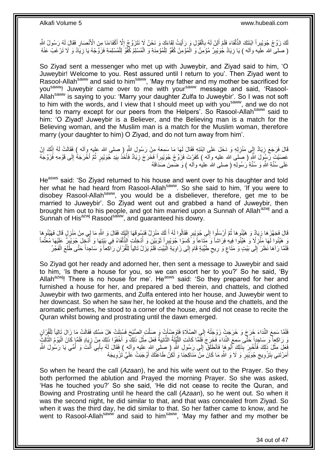لَّكَ زَوِّجْ جُوَيْبِراً ابْنَتَكَ الذَّلْفَاءَ فَلَمْ أَلِنْ لَهُ بِالْقَوْلِ وَ رَأَيْتُ لِقَاءَكَ وَ نَحْنُ لَا نَتَزَوَّجُ إِلَّا أَكْفَاءَنَا مِنَ الْأَنْصَارِ فَقَالَ لَهُ رَسُولُ الثَّهِ َ ْ ِ ْ َ ِ َ ِ ا<br>ا ( صلى الله علَيه وآله ) يَا زِيَادُ جُوَيْبِرٌ مُؤْمِنٌ وَ الْمُؤْمِنُ كُفْوٌ لِلْمُؤْمِنَةِ وَ الْمُسْلِمُ كُفُّوٌ لِلْمُسْلِمَةِ فَزَوِّجْهُ يَا زِيَادُ وَ لَا تَرْغَبْ عَنْهُ ْ ْ ْ ِ **∶** 

So Ziyad sent a messenger who met up with Juweybir, and Ziyad said to him, 'O Juweybir! Welcome to you. Rest assured until I return to you'. Then Ziyad went to Rasool-Allah<sup>saww</sup> and said to him<sup>saww</sup>, 'May my father and my mother be sacrificed for you<sup>saww</sup>! Juweybir came over to me with your<sup>saww</sup> message and said, 'Rasool-Allah<sup>saww</sup> is saying to you: 'Marry your daughter Zulfa to Juweybir'. So I was not soft to him with the words, and I view that I should meet up with you<sup>saww</sup>, and we do not tend to marry except for our peers from the Helpers'. So Rasool-Allah<sup>saww</sup> said to him: 'O Ziyad! Juweybir is a Believer, and the Believing man is a match for the Believing woman, and the Muslim man is a match for the Muslim woman, therefore marry (your daughter to him) O Ziyad, and do not turn away from him'.

قَالَ فَرَجَعَ زِيَادٌ إِلَى مَنْزِلِهِ وَ دَخَلَ عَلَى ابْنَتِهِ فَقَالَ لَهَا مَا سَمِعَهُ مِنْ رَسُولِ اللّهِ (صلى الله عليه وِأله ) فَقَالَتْ لَهُ إِنَّكَ إِنْ ِ ِ ِ ِ ِ ا دیگا عَصَيْتَ رَّسُولَ اللَّهِ ( صَلى الله عليه وآله ) كَفَرْتَ فَزَوٌ جْ جُوَيْبِراً فَخَرَجَ زِيَادٌ فَأَخَذَ بِيَدِ جُوَيْبِرٍ ثُمَّ أَخْرَجَهُ إِلَى قَوْمِهِ فَزَوَّجَهُ ِ َ **∶** ِ َ عَلَى سُنَّةِ اللَّهِ وَ سُنَّةِ رَسُولِهِ ( صلى الله عليه وأله ) وَ ضَمِنَ صَدَاقَهُ

He<sup>asws</sup> said: 'So Ziyad returned to his house and went over to his daughter and told her what he had heard from Rasool-Allah<sup>saww</sup>. So she said to him, 'If you were to disobey Rasool-Allah<sup>saww</sup>, you would be a disbeliever, therefore, get me to be married to Juweybir'. So Ziyad went out and grabbed a hand of Juweybir, then brought him out to his people, and got him married upon a Sunnah of Allah<sup>azwj</sup> and a Sunnah of His<sup>azwj</sup> Rasool<sup>saww</sup>, and guaranteed his dowry.

لَ ِ قَالَ فَجَهَّزَهَا زِيَادٌ وَ هَئِّئُوهَا ثُمَّ أَرْسَلُوا إِلَى جُوَيْبِرٍ فَقَالُوا لَهُ أَ لَكَ مَنْزِلٌ فَنَسُوقَهَا إِلَيْكَ فَقَالَ وَ اللَّهِ مَا لِي مِنْ مَنْزِلٍ قَالَ فَهَيَّئُوهَا ِ لَ َ ِ ُ ِ **ٍ** ِّهِ مَتَّفُوا لَهَا مَنْزِلًا وَ هَيَّفُوا فِيهِ فِرَاشاً وَ مَّتَاعاً وَ َكَسَوْا جُوَيْبِرٍ أَ ثَوْيَيْنِ وَ أُدْخِلَتِ الذُّلْفَاءُ فِي بَيْتِهَا وَ أُنْجِلَ جُوَيْبِرٌ ۚ عَلَيْهَا مُعَتِّماً ْ ا<br>ا َ ِ ِ ر<br>ا  $\frac{1}{2}$ فَلَمَّا رَآهَا نَظَرَ إِلَى بَيْتٍ وَ مَتَاعٍ وَ رِيحٍ طَيِّبَةٍ قَامَ إِلَى زَاوِيَةِ الْبَيْتِ فَلَمْ يَزَلْ تَالِياً لِلْقُرْآنِ رَاكِعاً وَ سَاجِداً حَتَّى طَلَعَ الْفَجْرُ ٍ **∶** ٍ ِ ْ ْ ْ ِ

So Ziyad got her ready and adorned her, then sent a message to Juweybir and said to him, 'Is there a house for you, so we can escort her to you?' So he said, 'By Allah<sup>azwj</sup>! There is no house for me'. He<sup>asws</sup> said: 'So they prepared for her and furnished a house for her, and prepared a bed therein, and chattels, and clothed Juweybir with two garments, and Zulfa entered into her house, and Juweybir went to her downcast. So when he saw her, he looked at the house and the chattels, and the aromatic perfumes, he stood to a corner of the house, and did not cease to recite the Quran whilst bowing and prostrating until the dawn emerged.

فَلَمَّا سَمِعَ النِّدَاءَ خَرَجَ وَ خَرَجَتْ زَوْجَتُهُ إِلَي الصَّلَاةِ فَتَوَضَّأَتْ وَ صَلَّتِ الصُّبْحَ فَسُئِلَتْ هَلْ مَسَّكِ فَقَالَتْ مَا زَالَ تَالِياً لِلْقُرْآنِ َّ َ ِ ْ وَ رَاكِعاً وَ سَاجِداً حَتَّى سَمِعَ النِّدَاءَ فَخَرَجَ فَلَمًا كَانَتِ اللَّيْلَةُ الثَّانِيَةُ فَعَلَ مِثْلَ ذَلِكَ وَ أَخْفَوْا ذَلِكَ مِنْ زِيَادٍ فَلَمَّا كَانَ الْيَوْمُ الثَّالِثُ َّ َّ َّ ْ ِ َ **ٔ** ِ مَثْلَ ذَلِكَ فَأُخْبِرَ بَذَلِكَ أَبُوهَا فَانْطَلَقَ إِلَى رَسُولِ النَّهِ ( صلى الله عليه وأله ) فَقَالَ لَهُ بِأَبِي أَنْتَ وَ أُمِّي يَا رَسُولَ اللَّهِ َ ِ ∣∣<br>∶ َ **∣** ا<br>المستقبل ْ ا<br>ا َ أَمَرْتَنِي بِتَزْوِيجِ جُوَيْبِرٍ َ وَ لَا وَ اللَّهِ مَا كَانَ مِنْ مَنَاكِحِنَا وَ لَكِنْ طَاعَتُكَ أَوْجَبَتْ عَلَيَّ تَزْوِيجَهُ ِ َ  $\zeta$ ِ **∣** 

So when he heard the call (*Azaan*), he and his wife went out to the Prayer. So they both performed the ablution and Prayed the morning Prayer. So she was asked, 'Has he touched you?' So she said, 'He did not cease to recite the Quran, and Bowing and Prostrating until he heard the call (*Azaan*), so he went out. So when it was the second night, he did similar to that, and that was concealed from Ziyad. So when it was the third day, he did similar to that. So her father came to know, and he went to Rasool-Allah<sup>saww</sup> and said to him<sup>saww</sup>, 'May my father and my mother be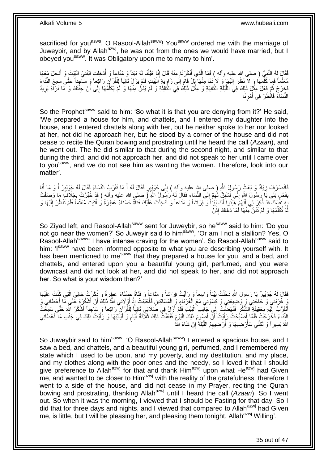sacrificed for you<sup>asws</sup>, O Rasool-Allah<sup>saww</sup>! You<sup>saww</sup> ordered me with the marriage of Juweybir, and by Allah<sup>azwj</sup>, he was not from the ones we would have married, but I obeyed you<sup>saww</sup>. It was Obligatory upon me to marry to him'.

فَقَالَ لَهُ النَّبِيُّ ( صلى الله عليه وآله ) فَمَا الَّذِي أَنْكَرْتُمْ مِنْهُ قَالَ إِنَّا هَيَّأْنَا لَهُ بَيْتاً وَ مَثَاعاً وَ أَدْخِلَةَ الْنَيْلِ الْبَيْتَ وَ أَدْخِلَ مَعَهَا ْ ِ َ َّ ِ ْ ُ مُعَثِّماً فَمَا كَلِّمَهَا وَ لَا نَظَرَ إِلَيْهَا وَ لَا نَذَا مِنْهَا بَلْ قَامَ إِلَى زَاوِيَةِ الْبَيْتِ فَلَمْ يَزَلْ تَالِياً لِلْقُرْآنِ رَاكِعاً وَ سَاجِداً حَتَّى سَمِعَ النِّدَاءَ<br>مُعَثِّماً فَمَا كَلِّمَهَا وَ ا<br>ا ِ ∣∣<br>∶ لَ  $\frac{1}{2}$ َّ ْ فَخَرَجَ ثُمَّ فَعَلَ مِثْلٍ ذَلِكَ فِيَ اللَّيْلَةِ الثَّانِيَةِ وَ مِثْلَ ذَلِكَ فِي الثَّالِثَةِ وَ لَمْ يَذْنُ مِنْهَا وَ لَمْ يُكَلِّمُهَا إِلَى أَنْ جِئْتُكَ وَ مَا نَرَاهُ يُرِيدُ َ ن<br>∶ٌ ْ َّ َّ <u>ٔ</u> .<br>• • • • ِ َ ِ ِّ لَ النِّسَاءَ فَانْظُرْ فِي أَمْرِنَا ِ َ

So the Prophet<sup>saww</sup> said to him: 'So what it is that you are denying from it?' He said, 'We prepared a house for him, and chattels, and I entered my daughter into the house, and I entered chattels along with her, but he neither spoke to her nor looked at her, not did he approach her, but he stood by a corner of the house and did not cease to recite the Quran bowing and prostrating until he heard the call (*Azaan*), and he went out. The he did similar to that during the second night, and similar to that during the third, and did not approach her, and did not speak to her until I came over to you<sup>saww</sup>, and we do not see him as wanting the women. Therefore, look into our matter'.

َانْصَرَفَ زِيَادٌ وَ بَعَثٍ رَسُولٍۢ اللَّهِ ( صلى الله عليه وآله ) إِلَى جُوَيْبِرٍ فَقَالَ لَهُ أَ مَا تَقْرَبُ النِّسَاءَ فَقَالَ لَهُ جُوَيْبِرٌ أَ وَ مَا أَنَا َ ِ ِ َ َ ِ بِفَحْلٍ بَلَى يَا رَسُولَ اللَّهِ إِنِّـي لَشَبِقٌ نَـهُمْ إِلَى النِّسَاءِ فَقَالَ لَهُ رَسُولٌ اللَّهِ رَّ رِحلي الله عليه وآله ) قَدْ خُبِّرْتُ بِخِلَافَ مَا وَصَفْتَ ِ ِ ِ **∣** ِ َ بِكِ نَفْسَكَ قَدْ ذُكِرَ لِي أَنَّهُمْ هَّيَّئُوا لَكَ بَيْتاً وَ فِرَاشاً وَ مَتَاعاً وَ أُدْخِلَتْ عَلَيْكَ فَتَاةٌ حَسْنَاءُ عَطِرَةٌ وَ أَتَيْتَ مُعَتِّماً فَلَمْ تَنْظُرْ إِلَيْهَا وَ **∶** َ ُ لَ ِ مْ تُكَلِّمْهَا وَ لَمْ تَدْنُ مِنْهَا فَمَا دَهَاكَ إِذَنْ ِّ لَ

So Ziyad left, and Rasool-Allah<sup>saww</sup> sent for Juweybir, so he<sup>saww</sup> said to him: 'Do you not go near the women?' So Juweyir said to him<sup>saww</sup>, 'Or am I not a stallion? Yes, O Rasool-Allah<sup>saww</sup>! I have intense craving for the women'. So Rasool-Allah<sup>saww</sup> said to him: 'I<sup>saww</sup> have been informed opposite to what you are describing yourself with. It has been mentioned to me<sup>saww</sup> that they prepared a house for you, and a bed, and chattels, and entered upon you a beautiful young girl, perfumed, and you were downcast and did not look at her, and did not speak to her, and did not approach her. So what is your wisdom then?'

فَقَالَ لَهُ جُوَيْبِرٌ يَا رَسُولَ اللَّهِ دَخَلْتُ بَيْنَاً وَاسِعاً وَ رَأَيْتُ فِرَاشاً وَ مَتَاعاً وَ فَتَاةً حَسْنَاءَ عَطِرَةً وَ ذَكَرْتُ حَالِيَ الَّتِي كُنْتُ عَلَيْهَا َ ْ ِ َّ ِّ غُرْبَتِي وَ حَاجَتِي وَ وَضِيعَتِي وَ كِسْوَتِي مَعَ الْغُرَبَاءِ وَ الْمَسَاكِينِ فَأَحْبَبْتُ إِذْ أَوْلَانِي اللَّهُ ذَلِكَ أَنْ أَشْكُرَهُ عَلَى مَا أَعْطَانِي وَ َ َ َ **ٔ** َ ْ َ اَتَقَرَّبُ إِلَّيْهِ بِحَقِيَةٍ ۖ الشُّكْرِ فَنَهَضَّتُ إِلَى جَلَّنِب الْبَيْتِ فَلَمْ أَزَلْ فِي صَلَاتِي تَالِيَاً لِلْقُرْآنِ رَاكِعاً وَ سَاحِداً أَشْكُرُ اللَّهَ حَتَّى سَمِعْتُ اُ ْ ِ ِ ِ لَ ِ َ ْ النِِّدَاءَ فَخَرَجْتُ فَلَمَّا إِصْبَحْتُ رَإِيْتُ أَنَّ أَصِوِمَ ذَلِكَ الْيَوْمَ فَفَعَلْتُ ذَلِكَ ثَلَاثَةَ أَيَّامٍ وَ لَيَالِيَهَا وَ رَأَيْتُ ذَلِكَ فِي جَنْبِ مَا أَعْطَانِي ֧֧֚֓֝֝֓֝ َ ْ :<br>ا َ َ َ َ َ اللَّهُ يَسِيراً وَ لَكِنِّي سَأَرْضِيهَا وَ أُرْضِيهِمُ اللَّيْلَةَ ٰإِنْ شَاءَ اللَّهُ ِ َّ ُ ر<br>ا

So Juweybir said to him<sup>saww</sup>. 'O Rasool-Allah<sup>saww</sup>! I entered a spacious house, and I saw a bed, and chattels, and a beautiful young girl, perfumed, and I remembered my state which I used to be upon, and my poverty, and my destitution, and my place, and my clothes along with the poor ones and the needy, so I loved it that I should give preference to Allah<sup>azwj</sup> for that and thank Him<sup>azwj</sup> upon what He<sup>azwj</sup> had Given  $\overline{m}$ e, and wanted to be closer to Him<sup>azwj</sup> with the reality of the gratefulness, therefore I went to a side of the house, and did not cease in my Prayer, reciting the Quran bowing and prostrating, thanking Allahazwj until I heard the call (*Azaan*). So I went out. So when it was the morning, I viewed that I should be Fasting for that day. So I did that for three days and nights, and I viewed that compared to Allah<sup>azwj</sup> had Given me, is little, but I will be pleasing her, and pleasing them tonight, Allah<sup>azwj</sup> Willing'.

35 out of 47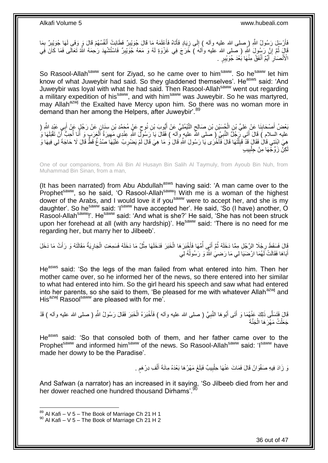فَأَرْسَلِ رَسُولُ اللّهِ ( صلى الله عليه وآله ) إِلَى زِيَادٍ فَأَتَاهُ فَأَعْلَمَهُ مَا قَالَ جُوَيْبِرٌ فَطَآبَتْ أَنْفُسُهُمْ قَالَ وَ وَفَى لَمَا جُوَيْبِرٌ بِمَا َ ِ ا<br>استعمال َ ِ  $\frac{1}{2}$ َ ِ ِ قَالِّ ثُمَّ إِنَّ رَسُولَ اللَّهِ ( صلى الله عليه وآله ) خَرَجَ فِي غَزْوَةٍ لَهُ وَ مَعَهُ جَوَيْبِرٌ فَاسْتُشْهِدَ رَحِمَهُ اللَّهُ تَعَالَى فَمَا كَانَ فَبِي יֲ<br>י ِ ِ الْأَنْصَاٰرِ ۖ أَيِّمٌ أَنْفَقُ مِنْهَا بَعْدَ جُوَيْبِرٍ ۚ . َ َ **∶** 

So Rasool-Allah<sup>saww</sup> sent for Ziyad, so he came over to him<sup>saww</sup>. So he<sup>saww</sup> let him know of what Juweybir had said. So they gladdened themselves'. He<sup>asws</sup> said: 'And Juweybir was loyal with what he had said. Then Rasool-Allah<sup>saww</sup> went out regarding a military expedition of his<sup>saww</sup>, and with him<sup>saww</sup> was Juweybir. So he was martyred, may Allah<sup>azwj</sup> the Exalted have Mercy upon him. So there was no woman more in demand than her among the Helpers, after Juweybir'.<sup>89</sup>

بَعْضُ أَصْحَابِذَا عَنْ عَلِيِّ بْنِ الْجُسَيْنِ بْنِ صَالِحٍ النَّيْمُلِيِّ عَنْ أَيُّوبَ بْنِ نُوحٍ عَنٍْ مُجَمَّدِ بْنِ سِنَانٍ عَنْ رَجُلٍ عَنْ أَبِي عَيْدٍ اللَّهِ ( ٍ َ ٍ ْ ِ َ عليه السلام ) قَالَ أَتَى رَجُلٌ النَّبِيَّ ( صَلى اللَّهُ عليه وآله ) فَقَالَ يَا رَسُولِّ اللَّهِ عِنْدِي مَهِيرَةُ ٱلْعَرَبِ وَ أَنَا أُحِبُّ أَنْ تَقْبَلَهَا وَ َ َ ْ ِ َ ؙؚ<br>ؙ هِيَ ابْنَتِي قَالْ فَقَالَ قَدْ قَبِلْتُهَا قَالَ فَأَخْرَى يَا رَسُولَ اللَّهِ قَالَ وَ مَا هِيَ قَالَ لَمْ يَضْرِبْ كَلَيْهَا صُدْغٌ قَطَّ قَالَ لَا حَاجَةَ لِي فِيهَا وَ ان<br>المسلمان ْ  $\frac{1}{2}$ **∶** كِنْ زَوِّجْهَا مِنْ جِلْبِيبِ **!** ْ لَ

One of our companions, from Ali Bin Al Husayn Bin Salih Al Taymuly, from Ayoub Bin Nuh, from Muhammad Bin Sinan, from a man,

(It has been narrated) from Abu Abdullah<sup>asws</sup> having said: 'A man came over to the Prophetsaww, so he said, 'O Rasool-Allahsaww! With me is a woman of the highest dower of the Arabs, and I would love it if you<sup>saww</sup> were to accept her, and she is my daughter'. So he<sup>saww</sup> said: 'I<sup>saww</sup> have accepted her'. He said, 'So (I have) another, O Rasool-Allah<sup>saww</sup>!'. He<sup>saww</sup> said: 'And what is she?' He said, 'She has not been struck upon her forehead at all (with any hardship)'. He<sup>saww</sup> said: 'There is no need for me regarding her, but marry her to Jilbeeb'.

قَالَ فَسَقَطَ رِجْلًا الرَّجُلِ مِمَّا دَخَلَهُ ثُمَّ أَتَي أُمَّهَا فَأَخْبَرَ هَا الْخَبَرَ فَدَخَلَهَا مِثْلُ مَا دَخَلَهُ فَسَمِعَتِ الْجَارِيَةُ مَقَالَتَهُ وَ رَأَتْ مَا دَخَلَ ْ ْ َ ُ َ ُ ِ َ ِ ْ أَبَاهَا فَقَالَتْ لَّهُمَا ارْضَنَيَا لِي مَا رَضِيَٰ اللَّهُ وَ رَسُولُهُ لِّي ُ

He<sup>asws</sup> said: 'So the legs of the man failed from what entered into him. Then her mother came over, so he informed her of the news, so there entered into her similar to what had entered into him. So the girl heard his speech and saw what had entered into her parents, so she said to them, 'Be pleased for me with whatever Allah<sup>azwj</sup> and His<sup>azwj</sup> Rasool<sup>saww</sup> are pleased with for me'.

قَالَ فَتَسَلَّى ذَلِكَ عَنْـهُمَا وَ أَتَـى أَبُوهَا النَّبِيَّ ( صلـى الله عليه وألـه ) فَأَخْبَرَهُ الْخَبَرَ فَقَالَ رَسُولُ اللَّهِ ( صلـى الله عليه وألـه ) قَدْ ْ َ **∶** َ َ جَعَلْتُ مَهْرَ هَا الْجَنَّةَ ْ ْ

He<sup>asws</sup> said: 'So that consoled both of them, and her father came over to the Prophet<sup>saww</sup> and informed him<sup>saww</sup> of the news. So Rasool-Allah<sup>saww</sup> said: 'I<sup>saww</sup> have made her dowry to be the Paradise'.

> نَ زَادَ فِيهِ صَفْوَانُ قَالَ فَمَاتَ عَنْهَا حِلْبِيبٌ فَبَلَغَ مَهْرُهَا بَعْدَهُ مِائَةَ أَلْفِ دِرْهَم . ֧֖֖֖֖֖֖֖֧֧֧֧ׅ֧֧֧֧ׅ֧֧֧֧֛֪֧֛֪֧֚֚֚֚֚֚֚֚֚֚֚֚֚֚֚֚֚֚֚֚֚֚֚֚֚֓֝֝֬֝֝֓֝֓֝֓֜֝֓֜֓֜֓֞֡֝֬֜֜֡֜֡ ْ َ **!** ْ

And Safwan (a narrator) has an increased in it saying, 'So Jilbeeb died from her and her dower reached one hundred thousand Dirhams'.<sup>90</sup>

 $89$  Al Kafi – V 5 – The Book of Marriage Ch 21 H 1

 $90$  Al Kafi – V 5 – The Book of Marriage Ch 21 H 2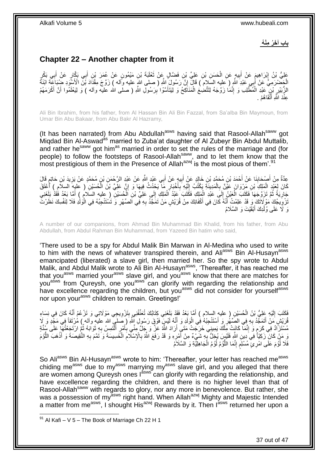**باب آ َخ ُر مْن ُه**

# <span id="page-36-0"></span>**Chapter 22 – Another chapter from it**

عَلِيُّ بْنُ إِبْرَاهِيمَ عَنْ أَبِيهٍ عَنِ الْحَسَنِ بْنِ عَلِيٍّ بْنِ فَضَّالٍ عَنْ ثَعْلَبَةَ بْنِ مَيْمُونٍ عَنْ غُمَرَ بْنِ أَبِي بَكَّلٍ عَنْ أَبِي بَكْرٍ َ ْ ِ َ ֦֦֧֦֧֦֧֦֧֦֧ׅ֦֧֦֧֦֧֦֧֦֧֦֧֦֧֦֧֦֧֦֧֦֧֦֧֦֧֦֚֚֚֚֚֚֬֝֜ أ َ الْجَضْرَمِيُّ عَنْ أُبِي عَبْدِ اللَّهِ ( عليه السَّلامُ ) قَالَ إِنَّ رَسُولَ اللَّهِ ( صلى اللهِ عليه وَّاله ) زَوَّجَ مِقْدَادَ بْنَّ الْأَسْوَدِ ضَبُبَاعَةَ ابْنَةً َ ْ ِ الزُّبَيْرِ نْبِيٍّ عَبْدِ الْمُطَّلِب وَ إِنَّمَا زَوَّجَهُ لِتَتَّضِعُ الْمَنَاكِحُ وَ لِيَتَأَسَّوْا بِرَسُولِ اللهِ ( صلى الله عليه وأله ) وَ لِيَعْلَمُوا أَنَّ أَكْرَمَهُمْ ِ َ ْ ِ ْ ِ َ َ عِنْدَ اللَّهِ أَتْقَاهُمْ . َ

Ali Bin Ibrahim, from his father, from Al Hassan Bin Ali Bin Fazzal, from Sa'alba Bin Maymoun, from Umar Bin Abu Bakaar, from Abu Bakr Al Hazramy,

(It has been narrated) from Abu Abdullah<sup>asws</sup> having said that Rasool-Allah<sup>saww</sup> got Migdad Bin Al-Aswad<sup>as</sup> married to Zuba'at daughter of Al Zubeyr Bin Abdul Muttalib, and rather he<sup>saww</sup> got him<sup>as</sup> married in order to set the rules of the marriage and (for people) to follow the footsteps of Rasool-Allah<sup>saww</sup>, and to let them know that the most prestigious of them in the Presence of Allah $a^{2x}$  is the most pious of them'.<sup>91</sup>

عِدَّةٌ مِنْ أَصْحَابِنَا عَنْ أَحْمَدَ بْنِ مُحَمَّدِ بْنِ خَالِدٍ عَنْ أَبِيهِ عَنْ أَبِي عَبْدِ اللَّهِ عَنْ عَبْدِ الرَّحْمَنِ بْنِ مُحَمَّدٍ عَنْ يَزِيدَ بْنِ حَاتِمٍ قَالَ َ ِ َ **∣** َ ٍ **∶** كَانَ لِعَبْدٍ الْمَلِكِ بْنِ مَرْوَانَ عَيْنٌ بِالْمَدِينَةِ يَكْتُبُ إِلَيْهِ بِأَخْبَارِ مَا يَحْدُثُ فِيهَا وَ إِنَّ عَلِيَّ بْنَ الْحُسَيْنِ ( عليهِ السلامِ ) أَعْتَقَ ِ ِ ا<br>است ِ لَ ِ ْ ِ َ ا<br>ا جَارِيَةً ثُمَّ تَزَوَّجَهَا فَكَتَبَ الْعَيْنُ إِلَي عَبْدِ الْمَلِكِ فَكَتَبَ عَبْدُ الْمَلِكِ إِلَي عَلِيِّ بْنِ الْحُسَيْنِ ( عليه السلام ) أَمَّا بَعْدُ فَقَدْ بَلَغَنِي ُ **∶** ْ ∣∣<br>∶ ْ ْ ِ ْ َ َنْزُوِيجُكَ مَوْ لَاتَكَ وَ قَدْ عَلِمْتُ أَنَّهُ كَانَ فِي أَكْفَائِكَ مِنْ قُرَيْشٍ مَنْ تَمَجَّدُ بِهِ فِي الصِّهْرِ وَ تَسْتَتْجِبُهُ فِي الْوَلْدِ فَلَا لِنَفْسِكَ نَظَرْتَ ِ َ َ ِ ْ ِ وَ لَا عَلَى وُلْدِكَ أَبْقَيْتَ وَ السَّلَامُ َ ْ

A number of our companions, from Ahmad Bin Muhammad Bin Khalid, from his father, from Abu Abdullah, from Abdul Rahman Bin Muhammad, from Yazeed Bin hatim who said,

'There used to be a spy for Abdul Malik Bin Marwan in Al-Medina who used to write to him with the news of whatever transpired therein, and Aliasws Bin Al-Husayn<sup>asws</sup> emancipated (liberated) a slave girl, then married her. So the spy wrote to Abdul Malik, and Abdul Malik wrote to Ali Bin Al-Husayn<sup>asws</sup>, 'Thereafter, it has reached me that you<sup>asws</sup> married your<sup>asws</sup> slave girl, and you<sup>asws</sup> know that there are matches for you assumed you. State you, with you with regarding the relationship and you<sup>asws</sup> from Qureysh, one you<sup>asws</sup> can glorify with regarding the relationship and have excellence regarding the children, but you<sup>asws</sup> did not consider for yourself<sup>asws</sup> nor upon your<sup>asws</sup> children to remain. Greetings!'

نَّكَتَبَ إِلَيْهِ عَلِيُّ بْنُ الْحُسَيْنِ ( عليه السلام ) أَمَّا بَعْدُ فَقَدْ بَلَغَنِي كِذَابُكَ تُعَنِّفُنِي بِتَزْوِيجِي مَوْلَاتِي وَ تَزْعُمُ أَنَّهُ كَانَ فِي نِسَاءِ<br>مُسْيَمَعُ اللَّهُ عَالَ فِي نِسَاءِ َ ْ لَ  $\frac{1}{2}$ َ ِ ِ ُّوَرَيْشٍ مَنْ أَتَمَجَّدُ بِهِ فِي الصِّهْْرِ وَ أَسْتَنْجِبُهُ فِي الْوَلَدِ وَ أَنِّهُ لَيْسٍّ فَوْقٍ رَسُولِ إِنَّهُ رَصَلَبِي الله عليه وآله ) مُرْتَقاً فِي مَجْدٍ وَ لَا َ ْ َ ِ ِ َ مُسْتَزَأَدٌ فِي كَرَمٍ وَ إِنَّمَا ۖ كَانَتٍ مِّلْكَ يَمِينِيَ خَرَجَتْ مَتَى أَرَادَ اللَّهُ عَزَّ وَ جَلَّ مَنِّي بِأَمْرٍ أَلْتَمِسِ بِهِ ثَوَابَهُ ثُمَّ ارْتَجَعْتُهَا عَلَى شَنِّةٍ َ **∶** ْ َ َ ِ َ ْ ِ م<br>و َرِ مَنْ كَانَ ۖ زَكِيّاً ۚ فِي دِينِ اللَّهِ فَلَيْسَ يُخِلُّ بِهِ شَيْءٌ مِنْ أَمْرِهِ وَ قَدْ رَفَعَ اللَّه<br>ِيَجِبُّهُ مَا لَيْسَ الْمَمِينَ وَاللَّهُ فَلَيْسَ يُخِلُّ بِهِ شَيْءٌ مِنْ أَمْرِهِ وَ قَدْ رَفَعَ اللَّهُ ب ِ ¦ َ ُّ **ٔ** َ ِ ْ ِ ِ فَلَا لُؤُمَ عَلَى امْرِيْ مُسْلَِمٍ إِنَّمَا اللَّوُمُ لُؤُمُ الْجَاهِلِيَّةِ وَ السَّلَاَمُ ْ ُ ُّ ֺ֧ׅ֧ׅ֧֧֚֚֚֚֚֚֚֚֚֚֚֚֚֚֚֚֚֝֝֬֓֡֡֡֡֡֡֡֬֓֡֟֓֡֟֓֡֟֓֡֡֡֬֓֡֡֬֩֓֓֬֩ ٍ ُّ ٍ

So Aliasws Bin Al-Husayn<sup>asws</sup> wrote to him: 'Thereafter, your letter has reached me<sup>asws</sup> chiding me<sup>asws</sup> due to my<sup>asws</sup> marrying my<sup>asws</sup> slave girl, and you alleged that there are women among Qureysh ones last can glorify with regarding the relationship, and have excellence regarding the children, and there is no higher level than that of Rasool-Allah<sup>saww</sup> with regards to glory, nor any more in benevolence. But rather, she was a possession of my<sup>asws</sup> right hand. When Allah<sup>azwj</sup> Mighty and Majestic Intended a matter from me<sup>asws</sup>, I shought His<sup>azwj</sup> Rewards by it. Then I<sup>asws</sup> returned her upon a

 $91$  Al Kafi – V 5 – The Book of Marriage Ch 22 H 1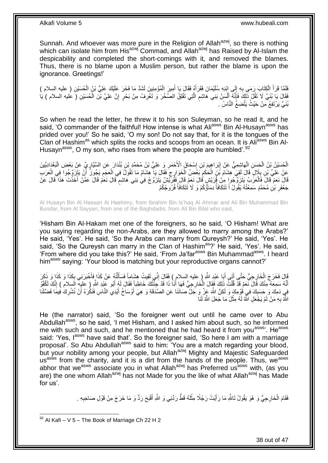Sunnah. And whoever was more pure in the Religion of Allah<sup>azwj</sup>, so there is nothing which can isolate him from His<sup>azwj</sup> Commad, and Allah<sup>azwj</sup> has Raised by Al-Islam the despicability and completed the short-comings with it, and removed the blames. Thus, there is no blame upon a Muslim person, but rather the blame is upon the ignorance. Greetings!'

لَّفَلَمَّا قَرَأُ الْكِتَابَ رَمَى بِهِ إِلَى إِبْنِهِ سُلَيْمَانَ فَقَرَأَهُ فَقَالَ يَا أَمِيرَ الْمُؤْمِنِينَ لَشَدَّ مَا فَخَرَ عَلَيْكَ عَلِيُّ بِلْ الْحُسَيْنِ ( عليه السلام )<br>فَقَدْ الْكَسَيْنِ ْ َ ِ **∶** ْ َ ْ فَقَالَ يَا بُنَيَّ لَا تَقُلْ ذَلِكَ فَإِنَّهُ أَلْسَنُ بَنِي هَاشِمٍ الَّتِي تَفْلِقُ الصَّخْرَ وَ تَغْرِفُ مِنْ بَحْرٍ إِنَّ عَلِيَّ بْنَ الْحُسَيْنِ (َ عَليه السلام ) يَا ِ ِ َّ ٍ ْ َ ِ ْ ُنَيَّ يَرْتَفِعُ مِنْ حَيْثُ يَتَّضِعُ النَّاسُ .

So when he read the letter, he threw it to his son Suleyman, so he read it, and he said, 'O commander of the faithful! How intense is what Ali<sup>asws</sup> Bin Al-Husayn<sup>asws</sup> has prided over you!' So he said, 'O my son! Do not say that, for it is the tongues of the Clan of Hashim<sup>as</sup> which splits the rocks and scoops from an ocean. It is Ali<sup>asws</sup> Bin Al-Husayn<sup>asws</sup>, O my son, who rises from where the people are humbled'.<sup>92</sup>

الْحُسَيْنُ يْنُ الْحَسِنِ الْهَاشِمِيُّ عَنْ إِبْرَاهِيمَ بْنِ إِسْحَاقَ الْأَحْمَرِ وَ عَلِيُّ بْنُ مُحَمَّدٍ بْنِ بُنْدَارَ عَنِ السَّيَّارِ يِّ عَنْ بَعْضِ الْبَغْدَادِيِّينَ **∶** ِ ֦֧֦֧֦֦֧֦֧֦֧֦֧֦֧֦֧֦֧֦֧֦֧ׅ֦֧֦֧֦֧֦֧֦֧֦֧֦֧֦֧֦֧֦֧֦֧֧֦֚֚֚֚֚֝֝֝֝֜֓֡֜ ْ ْ ْ ِ عَنْ عَلِيِّ بْنِ بِلَالٍ قَالَ لَقِيَ هِشَامَ بْنَ الْحَكَمِ بَعُضِ الْخَوَارِجَ فَقَالَ يَا هِشَامُ مَا تَقُولُ فِي الْعَجَمِ يَجُوزُ ۖ أَنْ يَتَزَوَّ جُوا فِي الْعَرَبِ ْ ِ ْ ِ ْ **∶** ْ أ ِ قَالَ نَعَمْ قَالَ فَالْعَرُبُ يَتَزَرَّقُ جُواٍ مِنْ قُوْرَيْشٍ قَالَ نَعَمْ قَالَ فَقُرِّيَّشٌ يَتَزَوَّجُ فِي بَنِي هَاشِمٍ قَالَ نَعَمْ قَالَ عَشْ أَخَذْتَ هَذَا قَالَ عَنْ ֧֖֧֚֚֓֝֝֝ ْ **ٔ**<br>: َ جَعْفَرِ بْنِ مُحَمَّدٍ سَمِعْتُهُ يَقُولُ أَ تَتَكَافَأُ دِمَاؤُكُمْ وَ ۚ لَا تَتَكَافَأُ فُرُوجُكُمْ ا<br>المسار ُ َ ِ

Al Husayn Bin Al Hassan Al Hashimy, from Ibrahim Bin Is'haq Al Ahmar and Ali Bin Muhammad Bin Bundar, from Al Sayyari, from one of the Baghdadis, from Ali Bin Bilal who said,

'Hisham Bin Al-Hakam met one of the foreigners, so he said, 'O Hisham! What are you saying regarding the non-Arabs, are they allowed to marry among the Arabs?' He said, 'Yes'. He said, 'So the Arabs can marry from Qureysh?' He said, 'Yes'. He said, 'So the Qureysh can marry in the Clan of Hashim<sup>as</sup>?' He said, 'Yes'. He said, 'From where did you take this?' He said, 'From Ja'far<sup>asws</sup> Bin Muhammad<sup>asws</sup>. I heard him<sup>asws</sup> saying: 'Your blood is matching but your reproductive organs cannot?'

قَالَ فَخَرَجَ الْخَارِجِيُّ حَتَّى أَتَي أَبَا عَبْدِ اللَّهِ ( عليه السلام ) فَقَالَ إِنِّي أَقِيتُ هِشَاماً فَسَأَلْتُهُ عَنْ كَذَا وَأَغْبَرَنِي بِكَذَا وَ كَذَا وَ ذَكَرَ<br>أَوْا الْمَسْرَحِينَ بِكَذَا وَ عَذَا وَ اللَ ِ َ ْ ِ َ ْ ĺ أَنَّهُ سَمِعَهُ مِنْكَ قَالَ نَّعَمْ قَذْ قُلْتُ ذَلِكَ فَقَالَ الْخَارِجِيُّ فَهَا أَنَا ذَا قَدْ جِئْثُكَ خَاطِباً فَقَالَ لَهُ أَبُو عَبْدِ النَّهِ ( عليه السلام ) إِنَّكَ لَكُفْوٌ<br>وَقَدْ النَّهُ سَبْعَهُ مِنْكَ ذَلِك َ ْ ْ َ ِ َ فِي دَمِكَ وَ حَسَبِكَ فِي قُوْمِكَ وَ لَكِنَّ اللَّهَ عَذِّ وَ جَلَّ صَانَنَا عَنِ الصَّدَقَةِ وَ هِيَ أَوْسَاخُ أَيْدِي النَّاسِ فَنَكْرَهُ أَنْ نُشْرِكَ فِيمَا فَضَّلَنَا َ َ ِ ِ َ اللَّهُ بِهِ مَنْ لَمْ يَجْعَلِ اللَّهُ لَهُ مِثْلَ مَا جَعَلَ اللَّهُ لَنَا ْ **∶** 

He (the narrator) said, 'So the foreigner went out until he came over to Abu Abdullah<sup>asws</sup>, so he said, 'I met Hisham, and I asked him about such, so he informed me with such and such, and he mentioned that he had heard it from you<sup>asws</sup>. He<sup>asws</sup> said: 'Yes, l<sup>asws</sup> have said that'. So the foreigner said, 'So here I am with a marriage proposal'. So Abu Abdullah<sup>asws</sup> said to him: 'You are a match regarding your blood, but your nobility among your people, but Allah<sup>azwj</sup> Mighty and Majestic Safeguarded usasws from the charity, and it is a dirt from the hands of the people. Thus, we<sup>asws</sup> abhor that we<sup>asws</sup> associate you in what Allah<sup>azwj</sup> has Preferred us<sup>asws</sup> with, (as you are) the one whom Allah<sup>azwj</sup> has not Made for you the like of what Allah<sup>azwj</sup> has Made for us'.

> فَقَامَ الْخَارِجِيُّ وَ هُوَ يَقُولُ تَاللَّهِ مَا رَأَيْتُ رَجُلًا مِثْلَهُ قَطَّ رَدَّنِي وَ اللَّهِ أَقْبَحَ رَدٍّ وَ مَا خَرَجَ مِنْ قَوْلِ صَاحِبِهِ . َ لَ ْ َ ْ ِ

38 out of 47

<sup>1</sup>  $92$  Al Kafi – V 5 – The Book of Marriage Ch 22 H 2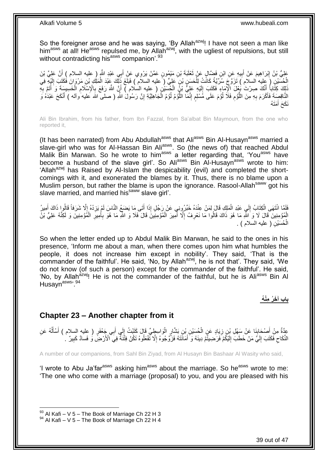So the foreigner arose and he was saying, 'By Allah<sup>azwj</sup>! I have not seen a man like him<sup>asws</sup> at all! He<sup>asws</sup> repulsed me, by Allah<sup>azwj</sup>, with the ugliest of repulsions, but still without contradicting his<sup>asws</sup> companion<sup>'.93</sup>

عَلِيُّ بْنُ إِبْرَاهِيمَ عَنْ أَبِيهِ عَنِ ابْنِ فَضَّالٍ عَنْ تَعْلَيَةَ بْنِ مَيْمُونٍ عَمَّنْ يَرْوِي عَنْ أَبِي عَبْدِ اللَّهِ ( عليه السلام ) أَنَّ عَلِيَّ بْنَ<br>وَبِيَّ بَنُّ إِبْرَاهِيمَ عَنْ أَبِيهِ عِنِ ابْنِ يَعْ َ َ **!** َ ِ َ الْحُسَيْنِ (َ عِليه السلامِ ) تَزَوَّجَ سُرِّيَّةً كَانَتْ لِلْحَسَنِ بْنِ عَلِيٍّ ( عليه السلام ) فَبَلَغَ ذَلِّك عَنْدَ الْمَلِكِ بْنِ مَرْوَانَ فُكَتَبَ إِلَيْهِ فِي<br>المُسَيْنِ ( عَيَاده السلام ) تَزَوَّجَ سُرِّيَّةً ْ ْ لَ ِ نَّاكِ كِتَّاباً أَنَّكَ صِرْتَ بِغُلَ الْإِمَاءِ فَكَتَبَ إِلَيْهِ عَلِيٌّ بِنُ الْجُسَيْنِ ( عليه السلام ) أَيَّ اللَّهَ رَفَعَ بِالْإِسْلَامِ الْخَسِيسَةَ وَ أَتَمَّ بِهِ َ َ ْ ِ **∶** َ ْ لَ  $\frac{1}{2}$ النَّاقِصِةَ فَأَكْرَمَ بِهِ مِنَ اللَّؤْمِ فَلَا لُؤْمَ عَلَى مُسْلِمِ إِنَّمَا اللَّؤْمُ لُؤُمُ الْجَاهِلِيَّةِ إِنَّ رَسُولْ اللَّهِ ( صلى اللَّه عليه وآله ) أَنْكَحَ عَبْدُهُ وَ ِ ْ ا<br>ا ُّ ِ ٍ ار<br>و ِ م<br>ا **∶** َ َ َمَت ُه َ نَكَحَ أ

Ali Bin Ibrahim, from his father, from Ibn Fazzal, from Sa'albat Bin Maymoun, from the one who reported it,

(It has been narrated) from Abu Abdullah<sup>asws</sup> that Ali<sup>asws</sup> Bin Al-Husayn<sup>asws</sup> married a slave-girl who was for Al-Hassan Bin Ali<sup>asws</sup>. So (the news of) that reached Abdul Malik Bin Marwan. So he wrote to him<sup>asws</sup> a letter regarding that, 'You<sup>asws</sup> have become a husband of the slave girl'. So Ali<sup>asws</sup> Bin Al-Husayn<sup>asws</sup> wrote to him: 'Allah<sup>azwj</sup> has Raised by Al-Islam the despicability (evil) and completed the shortcomings with it, and exonerated the blames by it. Thus, there is no blame upon a Muslim person, but rather the blame is upon the ignorance. Rasool-Allah<sup>saww</sup> got his slave married, and married his<sup>saww</sup> slave girl'.

فَلَمَّا انْتَهَى الْكِتَابُ إِلَي عَبْدِ الْمَلِكِ قَالَ لِمَنْ عِنْدَهُ خَبِّرُونِي عَنْ رَجُلٍ إِذَا أَتَى مَا يَضغُمُ النَّاسَ لَمْ يَزِدْهُ إِلَّا شَرَفاً قَالُوا ذَاكَ أُمِيرُ<br>فَانَّتَّقَ انْتَهَى الْكِتَابُ إِلَي ع َ ْ ِ ْ أَ ।<br>" ِ الْمُؤْمِنِينَ قَالَ لَا وَ اللَّهِ مَا هُوَ ذَاكَ قَالُوا مَا نَعْرِفُ إِلَّا أَمِيرَ الْمُؤْمِنِينَ قَالَ فَلا وَ اللَّهِ مَا هُوَ بِأَمِيرِ الْمُؤْمِنِينَ وَ لَكِنَّهُ عَلِيُّ بْنُ ْ ْ ِ َ ِ ْ َ ِ ِ الْمُسَيْنِ ( عليه السلام ) . ْ

So when the letter ended up to Abdul Malik Bin Marwan, he said to the ones in his presence, 'Inform me about a man, when there comes upon him what humbles the people, it does not increase him except in nobility'. They said, 'That is the commander of the faithful'. He said, 'No, by Allah<sup>azwj</sup>, he is not that'. They said, 'We do not know (of such a person) except for the commander of the faithful'. He said, 'No, by Allah<sup>azwj</sup>! He is not the commander of the faithful, but he is Ali<sup>asws</sup> Bin Al Husayn<sup>asws, 94</sup>

**باب آ َخ ُر مْن ُه**

### <span id="page-38-0"></span>**Chapter 23 – Another chapter from it**

عِدَّةٌ مِنْ أَصْحَابِنَا عَنْ سَهْلِ بْنِ زِيَادٍ عَنِ الْحُسَيْنِ بْنِ بَشَّارٍ الْوَاسِطِيِّ قَالَ كَتَبْتُ إِلَى أَبِي جَعْفَرٍ ( عِليه السلام ) أَسْأَلُهُ عَنِ **∣** َ ُ َ َ َ  $\frac{1}{2}$ ْ ْ ِ النِّكَاحِ فَكَتَبَ إِلَيَّ مَنْ خَطَبَ إِلَيْكُمْ َفَرَحْسِيْتُمْ دِينَهُ وَ أَمَانََتَهُ فَزَّوٌ جُوهِ هُ إِلَّا تَّفْعَلُوهُ تَكُنْ فِثْنَةٌ فِي الْأَرْضِ وَ فَسَادٌ كَبِيرٌ ۚ . ِ َ لَ ِ لَ  $\frac{1}{2}$  $\zeta$ ِ

A number of our companions, from Sahl Bin Ziyad, from Al Husayn Bin Bashaar Al Wasity who said,

'I wrote to Abu Ja'far<sup>asws</sup> asking him<sup>asws</sup> about the marriage. So he<sup>asws</sup> wrote to me: 'The one who come with a marriage (proposal) to you, and you are pleased with his

 $93$  Al Kafi – V 5 – The Book of Marriage Ch 22 H 3

 $94$  Al Kafi – V 5 – The Book of Marriage Ch 22 H 4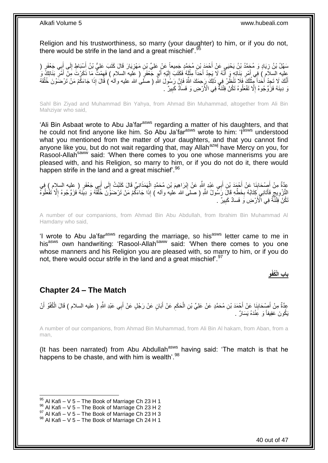Religion and his trustworthiness, so marry (your daughter) to him, or if you do not, there would be strife in the land and a great mischief'.<sup>95</sup>

سَهْلُ بْنُ زِيَادٍ وَ مُجَمَّدُ بْنُ يَحْيَيِ عَنْ أَحْمَدَ بْنِ مُجَمَّدٍ جَمِيعاً عَنْ عَلِيٍّ بْنِ مَهْزِيَارَ قَالَ كَتَبَ عَلِيُّ بْنُ أَسْبَاطٍ إِلَى أَبِي جَعْفَرٍ ( َ ِ َ ِ َ ِ عليه السلاَّمُ ) فَى أَمْرِ بَذَاتِهِ وَ أَنَّهُ لَا يَجِدُ أَحَدًّا مِثْلَهُ فَكَتَبَ إِلَيْهِ أَبُو جَّعْفَر<br>تَعْمَدَتَ مَا ذَكَرْتَ مَنْ يَجْبَنَ فَي أَنَّهُ لَا يَجِدُ أَحَدًّا مِثْلَهُ فَكَتَبَ إِلَيْهِ أَبُو جَعْفَو َ لَ ِ لَ **ٔ** َ َ ِ َ َ أَنَّك لَا تَجِدُ أَحْداً مِثْلُكَ فَلَا تَنْظُرْ فِي ذَلِكَ رَجِعَكَ اللَّهُ فَإِنَّ رَسُولَ اللَّهِ ( صَلَّى الله عليه وآلم ) قَالَ إِذَا جَاءَكُمْ مَنْ تَرْضَوْنَ خُلُقَهُ ِ لَ **ٔ** َ ُ نَ دِينَهُ فَزَوَّجُوهُ إِلَّا تَفْعَلُوهُ تَكُنْ فِتْنَةٌ فِي الْأَرْضِ وَ فَسَادٌ كَبِيرٌ ۚ . ِ **!** 

Sahl Bin Ziyad and Muhammad Bin Yahya, from Ahmad Bin Muhammad, altogether from Ali Bin Mahziyar who said,

'Ali Bin Asbaat wrote to Abu Ja'far<sup>asws</sup> regarding a matter of his daughters, and that he could not find anyone like him. So Abu Ja'far<sup>asws</sup> wrote to him: 'l<sup>asws</sup> understood what you mentioned from the matter of your daughters, and that you cannot find anyone like you, but do not wait regarding that, may Allah<sup>azwj</sup> have Mercy on you, for Rasool-Allah<sup>saww</sup> said: 'When there comes to you one whose mannerisms you are pleased with, and his Religion, so marry to him, or if you do not do it, there would happen strife in the land and a great mischief<sup>'.96</sup>

عِدَّةٌ مِنْ أَصِدْحَابِذَا عَنْ أَحْمَدَ بْنِ أَبِي عَبْدِ إِللَّهِ عَنْ إِبْرَاهِيمَ بْنِ مُحَمَّدٍ الْهَمَذَانِيِّ قَالَ كَتَبْتُ إِلَى أَبِي جَعْفَرٍ ( عليه السلام ) فِي ِ َ َ **∣** َ َ ِ ْ ُ التَّزْوِيجِّ فَأَتَانِي كَذَابُهُ بِخَطِّهِ قَالَ رَسُولُ اللَّهِ ( صلى الله عليه وآله ) إِذَا جَاءَكُمْ مَنْ تَرْضَوْنَ خُلُقَهُ وَ دِيَّنَهُ فَزَوَّجُوهُ إِلَّا تَفْعَلُوهُ ِ َ ِ ِ ا<br>ا ا<br>ا َنَكُنَّ فَثْنَنَّهُ فِي الْأَرْضِ وَ فَسادٌ كَبِيرٌ . **!** 

A number of our companions, from Ahmad Bin Abu Abdullah, from Ibrahim Bin Muhammad Al Hamdany who said,

'I wrote to Abu Ja'far<sup>asws</sup> regarding the marriage, so his<sup>asws</sup> letter came to me in his<sup>asws</sup> own handwriting: 'Rasool-Allah<sup>saww</sup> said: 'When there comes to you one whose manners and his Religion you are pleased with, so marry to him, or if you do not, there would occur strife in the land and a great mischief.<sup>97</sup>

### **و باب الْ ُكفْ**

### <span id="page-39-0"></span>**Chapter 24 – The Match**

ِ عِدَّةٌ مِنْ أَصِدَابِنَا عَنْ أَحْمَدَ بْنِ مُحَمَّدٍ عَنْ عَلِيِّ بْنِ الْحَكَمِ عَنْ أَبَانٍ عَنْ رَجُلٍ عَنْ أَبِي عَبْدِ اللَّهِ ( عليه السلام ) قَالَ الْكُفْوُ أَنْ َ َ ِ ْ **∣** َ يَكُونَ عَفِيفاً وَ عَِنْدَهُ يَسَارٌ .

A number of our companions, from Ahmad Bin Muhammad, from Ali Bin Al hakam, from Aban, from a man,

(It has been narrated) from Abu Abdullah $\frac{assws}{s}$  having said: 'The match is that he happens to be chaste, and with him is wealth<sup>'.98</sup>

 $95$  Al Kafi – V 5 – The Book of Marriage Ch 23 H 1

 $96$  Al Kafi – V 5 – The Book of Marriage Ch 23 H 2

 $^{97}$  Al Kafi – V 5 – The Book of Marriage Ch 23 H 3

 $98$  Al Kafi – V 5 – The Book of Marriage Ch 24 H 1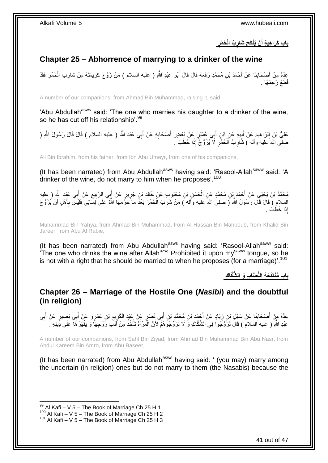**ُب الْ َخ ْمر ْن ُيْنَك َح َشار باب َكَرا هَي ة أ َ**

# <span id="page-40-0"></span>**Chapter 25 – Abhorrence of marrying to a drinker of the wine**

عِدَّةٌ مِنْ أَصْحَابِنَا عَنْ أَحْمَدَ بْنِ مُحَمَّدٍ رَفَعَهُ قَالَ قَالَ أَبُو عَبْدِ اللَّهِ ( عليه السلام ) مَنْ زَوَّجَ كَرِيمَتَهُ مِنْ شَارِبِ الْخَمْرِ فَقَدْ َ َ **∣** َ ِ ْ ِ ِ قَطَعَ رَحِمَهَا .

A number of our companions, from Ahmad Bin Muhammad, raising it, said,

'Abu Abdullah<sup>asws</sup> said: 'The one who marries his daughter to a drinker of the wine, so he has cut off his relationship'.<sup>99</sup>

عَلِيُّ بْنُ إِبْرَاهِيمَ عَنْ أَبِيهِ عَنِ إِبْنِ أَبِي عُمَيْرٍ عَنْ بَعْضِ أَصْحَابِهِ عَنْ أَبِي عَبْدِ اللَّهِ ( عليه السلام ) قَالَ قَالَ رَسُولُ اللَّهِ ( َ ِ َ **∣ ֽוּ** صلَّى الله َعليه وْاله ) شَارِبُ اَلْخَمْرِ ۚ لَا يُزَوَّجُ إِذَا خَطَبَ ۚ **∶** ْ ِ

Ali Bin Ibrahim, from his father, from Ibn Abu Umeyr, from one of his companions,

(It has been narrated) from Abu Abdullah<sup>asws</sup> having said: 'Rasool-Allah<sup>saww</sup> said: 'A drinker of the wine, do not marry to him when he proposes'.<sup>100</sup>

ِ مُحَمَّدُ بْنُ يَحْيَى عَنْ أَحْمَدَ بِْنِ مُحَمَّدٍ عَنِ الْحَسَنِ بْنِ مَحْبُوبِ عَنْ خَالِدِ بْنِ جَرِيرٍ عَنْ أَبِي الرَّبِيعِ عَنْ أَبِي عَيْدِ النَّهِ ( عِليه َ ِ ْ َ َ ِ السِّلامِ ) قَالَ قَالَ رَسُولُ اللَّهِ ( صلى الله عليه وأله ) مَنْ شَرِبَ الْخَمْرَ بَعْدَ مَا حَرَّمَهَا اللَّهُ عَلَى لِسَّانِي فَلَيْسَ بِأَهْلٍ أَنْ يُزَوَّجَ ْ **∶** َ َ ِ إِذَا خَطَبَ .

Muhammad Bin Yahya, from Ahmad Bin Muhammad, from Al Hassan Bin Mahboub, from Khalid Bin Jareer, from Abu Al Rabie,

(It has been narrated) from Abu Abdullah<sup>asws</sup> having said: 'Rasool-Allah<sup>saww</sup> said: 'The one who drinks the wine after Allah<sup>azwj</sup> Prohibited it upon my<sup>saww</sup> tongue, so he is not with a right that he should be married to when he proposes (for a marriage)'.<sup>101</sup>

**باب ُمَناَك َح ة الُّن َّصا ب َو ال ُّشَّكا ك**

<span id="page-40-1"></span>**Chapter 26 – Marriage of the Hostile One (***Nasibi***) and the doubtful (in religion)**

عِدَّةٌ مِنْ أَصْحَابِنَا عَنْ سَهْلِ بْنِ زِيَادٍ عَنْ أَجْمَدَ بْنِ مُحَمَّدِ بْنِ أَبِي نَصْرٍ عَنْ غَيْدٍ الْكَرِيمِ بْنِ عَمْرٍو عَنْ أَبِي بَصِيرٍ عَنْ أَبِي َ ¦ **∣** َ ِ َ َ ِ ِ ْ عَبْدِ اللَّهِ ( عليه السلام ) قَالَ تَزَوَّجُوا فِي الشُّكَاكِ وَ لَا تُزَوِّجُوهُمْ إِلَاَّ الْمَرْ أَةَ تَأْخُذُ مِنْ أَدَبَ زَوْجِهَا وَ يَقْهَرُهَا ۖ عَلَى دِّينِهِ ۚ َ ْ َ ْ

A number of our companions, from Sahl Bin Ziyad, from Ahmad Bin Muhammad Bin Abu Nasr, from Abdul Kareem Bin Amro, from Abu Baseer,

(It has been narrated) from Abu Abdullah<sup>asws</sup> having said: ' (you may) marry among the uncertain (in religion) ones but do not marry to them (the Nasabis) because the

 $99$  Al Kafi – V 5 – The Book of Marriage Ch 25 H 1

 $100$  Al Kafi – V 5 – The Book of Marriage Ch 25 H 2

 $101$  Al Kafi – V 5 – The Book of Marriage Ch 25 H 3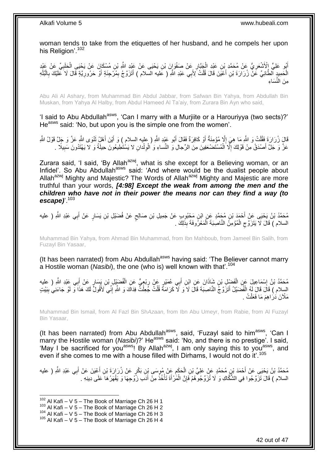woman tends to take from the etiquettes of her husband, and he compels her upon his Religion'.<sup>102</sup>

أَبُو عَلِيٍّ إِلْأَشْعَرِ يُّ عَنْ مُحَمَّدٍ بْنِ عَيْدِ الْجَبَّارِ عَنْ صَفْوَإِنَ بْنِ يَحْيَى مَنْ عَيْدِ اللَّهِ بْنِ مُسْكَانَ عَنْ يَحْيَى الْحَلَبِيِّ عَنْ عَيْدِ **ٍ** ْ ِ ِ ْ الْحَمِيدٍ ٱلطَّائِيِّ عَنْ زُرَارَةَ بْنِ أَعْيَنَ قَالَ قُلْتُ لِأَبِي عَبْدِ اللَّهِ ( عليه السلام ) أَتَرَوَّجُ بِمُرْجِئَةٍ أَوْ حَرُورِيَّةٍ قَالَ لَا َعَلَيْكَ بِالْبُلْهِ ِ َ ْ َ ْ ْ ِ ِ َ مِنَ النِّسَاءِ

Abu Ali Al Ashary, from Muhammad Bin Abdul Jabbar, from Safwan Bin Yahya, from Abdullah Bin Muskan, from Yahya Al Halby, from Abdul Hameed Al Ta'aiy, from Zurara Bin Ayn who said,

'I said to Abu Abdullah<sup>asws</sup>, 'Can I marry with a Murjiite or a Harouriyya (two sects)?' He<sup>asws</sup> said: 'No, but upon you is the simple one from the women'.

قَالَ زُرَارَةَ فَقُلْتُ وَ اللَّهِ مَا هِيَ إِلَّا مُؤْمِنَةٌ أَوْ كَافِرَةٌ فَقَالَ أَبُو عَيْدِ اللَّهِ ( عليه السلام ) وَ أَيْنَ أَهْلُ ثَنْوَى اللَّهِ عَزَّ وَ جَلَّ قَوْلُ اللَّهِ َ َ ِ ْ َ َ َ عَزَّ وَ جَلَّ أَصْدَقُ مِنْ قَوْلِكَ إِلَّا الْمُسْتَضْعَفِينَ مِنَ الرِّجالِ وَ النِّساءِ وَ الْوِلْدانِ لا يَسْتَطِيعُونَ حِيلَةً وَ لا يَهْتَدُونَ سَبِيلًا . ْ **∶** ْ ِ َ ِ

Zurara said, 'I said, 'By Allah<sup>azwj</sup>, what is she except for a Believing woman, or an Infidel'. So Abu Abdullah<sup>asws</sup> said: 'And where would be the dualist people about Allah<sup>azwj</sup> Mighty and Majestic? The Words of Allah<sup>azwj</sup> Mighty and Majestic are more truthful than your words, *[4:98] Except the weak from among the men and the children who have not in their power the means nor can they find a way (to escape)*'.<sup>103</sup>

مُحَمَّدُ بْنُ يَحْيَى عَنْ أَحْمَدَ بْنِ مُحَمَّدٍ عَنِ ابْنِ مَحْبُوِبٍ عَنْ جَمِيلِ بْنِ صَالِحٍ عَنْ فُضَيْلِ بْنِ يَسَارٍ عَنْ أَبِي عَبْدِ اللَّهِ ( عليه<br>. ٍ َ السلام ) قَالَ لَا يَتَزَوَّجِ الْمُؤْمِنَۢ النَّاصِبَةَ اَلْمَعْرُوفَةَ بِذَلِكَ . ْ ِ ْ

Muhammad Bin Yahya, from Ahmad Bin Muhammad, from Ibn Mahboub, from Jameel Bin Salih, from Fuzayl Bin Yasaar,

(It has been narrated) from Abu Abdullah<sup>asws</sup> having said: 'The Believer cannot marry a Hostile woman (*Nasibi*), the one (who is) well known with that'.<sup>104</sup>

مُحَمَّدُ بْنُ إِسْمَاعِيلَ عَنِ الْفَضْلِ بْنِ شَاذَانَ عَنِ ابْنِ أَبِي عُمَيْرٍ عَنْ رِبْعِيٍّ عَنِ الْفُضَيْلِ بْنِ يَسَارٍ عَنْ أَبِي عَبْدِ اللَّهِ ( عليه ْ ֦֧֦ َ ْ ِ َ السِلام ) قَالَ قَالَ لَهُ الْفُضَيْلُ أَتَزَوَّجَ النَّاصِبَةَ قَالَ لَا ۖ وَ لَا ۚ كَرَامَةً قُلْتٌ جَعِلْتٌ فِدَالَةَ وَ الثَّهِ إِنِّي َلأَقُولُ لَكَ هَذَا وَّ لَوْ جَاءَنِي بِبَيْت ْ ِ ِ ْ ْ مَلْأَنَ دَرَاهِمَ مَا فَعَلْتُ . ْ

Muhammad Bin Ismail, from Al Fazl Bin Sh*Azaan*, from Ibn Abu Umeyr, from Rabie, from Al Fuzayl Bin Yasaar,

(It has been narrated) from Abu Abdullah<sup>asws</sup>, said, 'Fuzayl said to him<sup>asws</sup>, 'Can I marry the Hostile woman (*Nasibi*)?' He<sup>asws</sup> said: 'No, and there is no prestige'. I said, 'May I be sacrificed for you<sup>asws</sup>! By Allah<sup>azwj</sup>, I am only saying this to you<sup>asws</sup>, and even if she comes to me with a house filled with Dirhams. I would not do it'.<sup>105</sup>

َ مُحَمَّدُ بْنُ يَحْيَى عَنْ أَحْمَدَ بْنِ مُحَمَّدٍ عَنْ عَلِيِّ بْنِ الْحَكَمِ عَنْ مُوسَى بْنِ بَكْرٍ عَنْ زُرَارَةَ بْنِ أَعْيَنَ عَنْ أَبِي عَبْدِ اللَّهِ ( عليه ِ ْ َ السلام ) قَالَ تَزَوَّجُوا فِي الشُّكَّاكِ وَ لَا تُزَوِّجُوهُمْ فَإِنَّ الْمََٰرْأَةَ تَأْخُذُ مِنْ أَدَب زَّوْجِهَا وَ يَقْهَرُ هَا َعَلَى دِينِهِ . َ ْ َ ْ ِ

 $102$  Al Kafi – V 5 – The Book of Marriage Ch 26 H 1

 $103$  Al Kafi – V 5 – The Book of Marriage Ch 26 H 2

 $104$  Al Kafi – V  $5$  – The Book of Marriage Ch 26 H 3

 $105$  Al Kafi – V 5 – The Book of Marriage Ch 26 H 4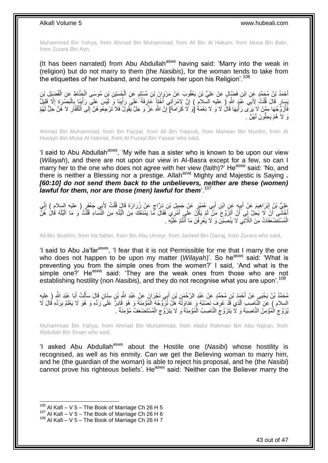Muhammad Bin Yahya, from Ahmad Bin Muhammad, from Ali Bin Al Hakam, from Musa Bin Bakr, from Zurara Bin Ayn,

(It has been narrated) from Abu Abdullah<sup>asws</sup> having said: 'Marry into the weak in (religion) but do not marry to them (the *Nasibis*), for the woman tends to take from the etiquettes of her husband, and he compels her upon his Religion'.<sup>106</sup>

أَحْمَدُ بْنُ مُحَمَّدٍ عَنِ ابْنِ فَضَالٍ عَنْ عَلِيِّ بْنِ يَعْقُوبَ عَنْ مَرْوَانَ بْنِ مُسْلِمٍ عَنِ الْجُسَيْنِ بْنِ مُوسَى الْجَنَّاطِ عَنِ الْفُضَيْلِ بْنِ ْ ْ ٍ ْ ِ يَسَارٍ قَالَ قُلْتُ لِأَبِي عََدْدٍ اللَّهِ أَرْ عِلْيهِ السّلامِ ) إِنَّ لِامْرَأَتِي أُخْتاً عََارٍفَةً عَلَى رَأْيِنَا وَ لَئِسَ عَلَى رَأْيِنَا بِالْبَصَّرَةِ إِلَّا قَلِيلٌ ِ :<br>ا َ ِ ْ ا<br>ا ْ **∶** ِ ة<br>أ فَأْزَوَّجُهَا مِمَّنْ لَا يَزِّى رَأْيَهَا قَالُ لَا وَ لَا نِعْمَةُ [وَ لَا كَرَامَةَ] إِنَّ اللَّهَ عَزَّ وَ جَلَّ يَقُولُ فَلا تَرْجِعُو هُنَّ إِلَى اَلْمُقَارِ لا هُنَّ حَلِّ لَهُمْ ِ ر<br>أ ُ ِ َو َّل ُه ُه َّن . ْم َي ُّو َن لَ ِحل

Ahmad Bin Muhammad, from Ibn Fazzal, from Ali Bin Yaqoub, from Marwan Bin Muslim, from Al Husayn Bin Musa Al Hannat, from Al Fuzayl Bin Yasaar who said,

'I said to Abu Abdullah<sup>asws</sup>, 'My wife has a sister who is known to be upon our view (*Wilayah*), and there are not upon our view in Al-Basra except for a few, so can I marry her to the one who does not agree with her view (faith)? He<sup>asws</sup> said: 'No, and there is neither a Blessing nor a prestige. Allah<sup>azwj</sup> Mighty and Majestic is Saying . *[60:10] do not send them back to the unbelievers, neither are these (women)*  lawful for them, nor are those (men) lawful for them<sup>'.107</sup>

عَلِيُّ بْنُ إِبْرَاهِيمَ عَنْ أَبِيهٍ عَنِ ابْنِ أَبِي عُمَبْرٍ عَنْ جَمِيلِ بْنِ دَرَّاجٍ عَنْ زُرَارَةَ قَالَ قُلْتُ لِأَبِي جَعْفَرٍ ( عليه السلامِ ) إِنِّي ْ ٍ َ **!** َ ِ ِ أَخْشَى أَنْ لَا يَجِلَّ لِّي أَنْ أَثَزَّوَّ جَ مَنْ لَمْ يَكُنَّ عَلَى أَمْرِي فَقَالَ مَا يَمْنَعُكَ مِنَ الْبُلْهِ مِنَ الْنَّسَاءِ قُلَّتُ وَ مَا الْبُلْهُ قَالَ هُنَّ<br>أَفْشَرَهُ وَنَ الْبَلْهُ قَالَ هُنَّ ْ ْ َ َ اً اً ْ ْ ْ الْمُسْتَضْعَفَاتُ مِنَ اللَّاتِي لَا يَنْصِبْنَ وَ لَا يَعْرِفْنَ مَا أَنْتُمْ عَلَيْهِ . ْ َ ِ

Ali Bin Ibrahim, from his father, from Ibn Abu Umeyr, from Jameel Bin Darraj, from Zurara who said,

'I said to Abu Ja'far<sup>asws</sup>, 'I fear that it is not Permissible for me that I marry the one who does not happen to be upon my matter (*Wilayah*)'. So he<sup>asws</sup> said: 'What is preventing you from the simple ones from the women?' I said, 'And what is the simple one?' He<sup>asws</sup> said: 'They are the weak ones from those who are not establishing hostility (non *Nasibi*s), and they do not recognise what you are upon<sup>'. 108</sup>

مُحَمَّدُ بْنُ يَحْيَى عَنْ أَحْمَدَ بْنِ مُحَمَّدٍ عَنْ عَبْدِ الرَّحْمَنِ بْنِ أَبِي نَجْرَانَ عَنِْ عَبْدِ اللَّهِ بْنِ سِنَانٍ قَالَ سَأَلْتُ أَبَا عَبْدِ اللَّهِ ( عليه َ َ ْ َ السِلام ) عَنِ النَّاصِي الَّذِي قَدْ عُرِفَ نَصْبُهُ وَ عَدَاوَتُهُ هَلْ نُزِّوِّجُهُ الْمُؤْمِنَةَ وَ هُوَ قَارَ تَرَوْ وَ هُوَ لَا يَعْلَمُ بِرَدِّهِ قَالَ لَا<br>اسلام ) عن النَّاصِيبِ الَّذِي قَدْ عُرِفَ نَصْبُهُ وَ عَدَ **ٍ** َّ ِ ْ يُزَوَّج الْمُؤْمِنُ النَّاصِبَةَ وَ لَا يَتَزَوَّجَ النَّاصِبُ الْمُؤْمِنَةَ وَ لَا يَتَزَوَّج الْمُسْتَصْنَعَفُ مُؤْمِنَةً . ْ  $\zeta$ ْ ِ ْ  $\zeta$ 

Muhammad Bin Yahya, from Ahmad Bin Muhammad, from Abdul Rahman Bin Abu Najran, from Abdullah Bin Sinan who said,

'I asked Abu Abdullah<sup>asws</sup> about the Hostile one (*Nasibi*) whose hostility is recognised, as well as his enmity. Can we get the Believing woman to marry him, and he (the guardian of the woman) is able to reject his proposal, and he (the *Nasibi*) cannot prove his righteous beliefs'. He<sup>asws</sup> said: 'Neither can the Believer marry the

 $106$  Al Kafi – V 5 – The Book of Marriage Ch 26 H 5

 $107$  Al Kafi – V 5 – The Book of Marriage Ch 26 H 6

 $108$  Al Kafi – V 5 – The Book of Marriage Ch 26 H 7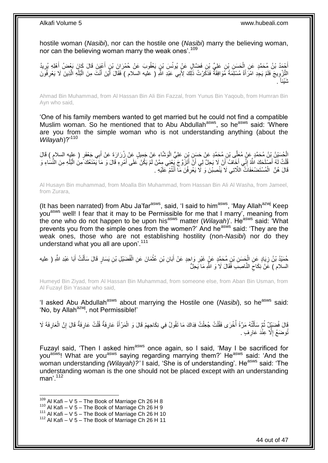hostile woman (*Nasibi*), nor can the hostile one (*Nasibi*) marry the believing woman, nor can the believing woman marry the weak ones'.<sup>109</sup>

أَحْمَدُ بْنُ مُحَمَّدٍ عَنِ الْحَسَنِ بْنِ عَلِيٍّ بْنِ فَضَّالٍ عَنْ يُونُسَ بْنٍ يَعْقُوبَ عَنْ حُمْرَانَ بْنِ أَعْيَنَ قَالَ كَانَ بَعْضُ أَهْلِهِ يُرِيدُ َ ْ ِ َ الثَّزْوِيجَ فَلَمْ يَجِدِ امْرَأَةً مُسْلِّمَةً مُوَافِقَةً فَذَكَّرْتُ ذَلِّكَ لِأَبِي عَبْدِ اللَّهِ ( عليه السلام ) فَقَالَ أَيْنَ أَنْتَ مِنَ الْبُلْهِ الَّذِينَ لَا يَعْرِفُوِّنَ َ **∶** َّ ْ ْ َ َ ِ . نْتَيْنَأ

Ahmad Bin Muhammad, from Al Hassan Bin Ali Bin Fazzal, from Yunus Bin Yaqoub, from Humran Bin Ayn who said,

'One of his family members wanted to get married but he could not find a compatible Muslim woman. So he mentioned that to Abu Abdullah<sup>asws</sup>, so he<sup>asws</sup> said: 'Where are you from the simple woman who is not understanding anything (about the *Wilayah*)?'<sup>110</sup>

الْحُسَيْنُ بْنُ مُحَمَّدٍ عَنْ مُعَلِّي بْنِ مُحَمَّدٍ عَنْ حَسَنٍ بِْنِ عَلِيٍّ الْوَشَّاءِ عَنْ جَمِيلٍ عَنْ زُرَارَةَ عَنْ أَبِي جَعْفَرٍ ( عليه السلامِ ) قَالَ<br>الْمُسَيْنُ بْنُ مُحَمَّدٍ عَنْ مُعَلِّي بْنِ مُحَمَّدٍ ْ َ ُفَلَّتُ لَهُ أَصْلَحَكَ اللَّهُ إِنِّي أَخَافُ أَنْ لَا يُحِلَّ لِي أَنَّ أَتَزَوَّجَ يَجْنِي مِمَّنْ لَمْ يَكُنْ عَلَى أَمْرِهِ قَالَ وَ مَا يَمْنَعُكَ مِنُ الْبُلْهِ مِنَ النُّسَاءِ وَ َ َ ِ َ ْ ْ ْ ِ َ قَالَ هُنَّ الْمُسْتَضْعَفَاتُ اللَّاتِي لَا يَنْصِبْنَ وَ لَّا يَعْرِفْنَ مَا أَنْتُمْ عَلَيْهِ . َ ِ ْ

Al Husayn Bin muhammad, from Moalla Bin Muhammad, from Hassan Bin Ali Al Washa, from Jameel, from Zurara,

(It has been narrated) from Abu Ja'far<sup>asws</sup>, said, 'I said to him<sup>asws</sup>, 'May Allah<sup>azwj</sup> Keep youasws well! I fear that it may to be Permissible for me that I marry', meaning from the one who do not happen to be upon his<sup>asws</sup> matter (*Wilayah*)'. He<sup>asws</sup> said: 'What prevents you from the simple ones from the women?' And he<sup>asws</sup> said: 'They are the weak ones, those who are not establishing hostility (non-*Nasibi*) nor do they understand what you all are upon<sup>'.111</sup>

ِ حُمَيْدُ بْنُ زِيَادٍ عَنِ الْجَسَنِ بْنِ مُحَمَّدٍ عَنٍْ غَيْرِ وَاحِدٍ عَنْ أَبَانِ بْنِ عُثْمَانَ عَنِ الْفُضَيْلِ بْنِ يَسَارٍ قَالَ سَأَلْتُ أَبَا عَبْدِ اللَّهِ ( عليه ْ ĺ ْ ْ َ ِ ْ َ السلام ) عََنْ نِكَاحَ النَّاصِبَ فَقَالَ لَا وَ اللَّهِ مَا يَحِلُّ  $\zeta$ 

Humeyd Bin Ziyad, from Al Hassan Bin Muhammad, from someone else, from Aban Bin Usman, from Al Fuzayl Bin Yasaar who said,

'I asked Abu Abdullah<sup>asws</sup> about marrying the Hostile one (Nasibi), so he<sup>asws</sup> said: 'No, by Allah<sup>azwj</sup>, not Permissible!'

ا<br>ا قَالَ فُضَيْلٌ ثُمَّ سَأَلْتُهُ مَرَّةً أُخْرَى فَقُلْتُ جُعِلْتُ فِذَاكَ مَا تَقُولُ فِي نِكَاحِهِمْ قَالَ وَ الْمَرْأَةُ عَارِفَةٌ قُلْتُ عَارِفَةٌ قَالَ إِنَّ الْعَارِفَةَ لَا ْ َ ُ ْ ِ ِ ْ ِ َ ْ ِ ْ ْ ِ ُوضَعُ إِلَّا عِنْدَ عَارِفٍ . **∶** יִי<br>י

Fuzayl said, 'Then I asked him<sup>asws</sup> once again, so I said, 'May I be sacrificed for you<sup>asws</sup>! What are you<sup>asws</sup> saying regarding marrying them?' He<sup>asws</sup> said: 'And the woman understanding *(Wilayah)*?' I said, 'She is of understanding'. He<sup>asws</sup> said: 'The understanding woman is the one should not be placed except with an understanding man'.<sup>112</sup>

 $109$  Al Kafi – V 5 – The Book of Marriage Ch 26 H 8

 $110$  Al Kafi – V 5 – The Book of Marriage Ch 26 H 9

 $111$  Al Kafi – V  $5$  – The Book of Marriage Ch 26 H 10

 $112$  Al Kafi – V 5 – The Book of Marriage Ch 26 H 11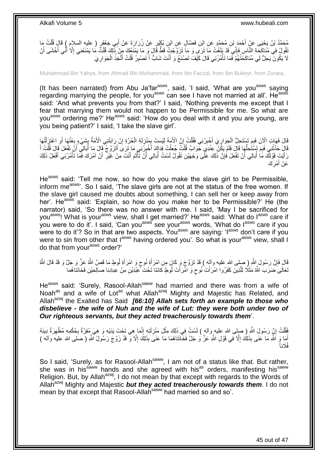مُحَمَّدُ بْنُ يَحْيَى عَنْ أَحْمَدَ بْنِ مُحَمَّدٍ عَنِ ابْنِ فَضَّالٍ عَنِ ابْنِ بُكَيْنٍ عَنْ زُرَارَةَ عَنْ أَبِي جَعْفَرٍ ( عليه السلام ) قَالَ قُلْتُ مَا<br>مُرِينَ مُنْ يَحْيَى عَنْ أَحْمَدَ بْنِ مُحَمَّدٍ مِن ابْنِ ف َ ْ تُقُولُ فِي مُنَاكَكَةِ النَّاسِ فَإِنِّي َقَدْ يَلْغُتُ مَا تَرَى َى مَا تَزَوَّجْتُ قَطُّ قَالَ وَ مَا يَمْنَعُكَ مِنْ ذَٰلِكَ قُلْتً مُا يَمْنَعُنِي إِلَّا أَنِّي أَخْشَى أَنْ ∣اٍ<br>∶ َ َ َ ِ ْ لَا يَكُونَ ۖ يَحِلُّ لِي مُنَاكَحَتُٰهُمْ فَّمَا تَأْمُرُنِي قَالَ كَيْفَ تَصْنَعُ وَ أَنْتَ شَابٌّ أَ تَصْبِرُ قُلْتُ أَتَّخِذُ الْجَوَارِيَ َ ْ ِ َ **ٔ** ِ ْ

Muhammad Bin Yahya, from Ahmad Bin Muhammad, from Ibn Fazzal, from Ibn Bukeyr, from Zurara,

(It has been narrated) from Abu Ja'far<sup>asws</sup>, said, 'I said, 'What are you<sup>asws</sup> saying regarding marrying the people, for you<sup>asws</sup> can see I have not married at all'. He<sup>asws</sup> said: 'And what prevents you from that?' I said, 'Nothing prevents me except that I fear that marrying them would not happen to be Permissible for me. So what are you<sup>asws</sup> ordering me?' He<sup>asws</sup> said: 'How do you deal with it and you are young, are you being patient?' I said, 'I take the slave girl'.

ِ قَالَ فَهَاتِ الْآنَ فَبِمَ تَسْتَحِلُّ الْجَوَارِيَ أَخْبِرْنِي فَقُلْتُ إِنَّ الْأُمَةَ لَيْسَتْ بِمَنْزِلَةِ الْحُرَّةِ إِنْ رِاَبَتْنِي الْأُمَةُ بِشَيْءٍ بِعْتُهَا أَوِ اعْتَزَلْتُهَا ْ لَ ِ ِ ِ ْ ِ ِ ْ ِ ْ ِ َ ِ قَالَ حَذِّثْنِي فَبِمَ تَسْتَحِلُّهَا قَالَ فَلَمْ يَكُنْ عِنْدِي جَوَابٌ قُلْتُ جُعِلْتُ فِذَاكَ أَخْبِرُنِنِي مَا تَرَى أَتَزَوَّجُ قَالَ مَا أَبَالِي أَنَّ تَفْعَلَ قَالَ قُلْتُ أَ ُّ ْ َ ْ َ أ َ ِ َ ْ ْ رَأَيْتَ قَوْلَكَ مَا أَبَالِي أَنْ نَفْعَلَ فَإِنَّ ذَلِكَ عَلَٰى وَجْهَيْنِ نَقُولُ لَسْتُ أَبَالِي أَنْ تَأْثَمَ أَنْتَ مِنْ غَيْرِ أَنْ آمُرَكَ فَمَا تَأْمُرُنِي أَفْعَلُ ذَلِكَ َ َ ْ أ ُ ِ اً ُ َ َ ْ َ ِ عَنْ أَمْرِكَ ِ َ

He<sup>asws</sup> said: 'Tell me now, so how do you make the slave girl to be Permissible, inform me<sup>asws</sup>. So I said, 'The slave girls are not at the status of the free women. If the slave girl caused me doubts about something, I can sell her or keep away from her'. He<sup>asws</sup> said: 'Explain, so how do you make her to be Permissible?' He (the narrator) said, 'So there was no answer with me. I said, 'May I be sacrificed for you<sup>asws</sup>! What is your<sup>asws</sup> view, shall I get married?' He<sup>asws</sup> said: 'What do I<sup>asws</sup> care if you were to do it'. I said, 'Can you<sup>asws'</sup> see your<sup>asws</sup> words, 'What do I<sup>asws</sup> care if you were to do it'? So in that are two aspects. You<sup>asws</sup> are saying: 'l<sup>asws</sup> don't care if you were to sin from other that lasws having ordered you'. So what is your<sup>asws</sup> view, shall I do that from your<sup>asws</sup> order?'

َّقَالَ فَإِنَّ رَسُولَ اللَّهِ ( صلى الله عليه وآله ) قَدْ تَزَوَّجَ وَ كَانٍ مِنِ امْرَأَةِ نُوحٍ وَ امْرَأَةِ لُوطٍ مَا قَصَّ اللَّهُ عَزَّ وَ جَلَّ وَ قَدْ قَالَ اللَّهُ َ ٍ َ ِ نَعَالَى َضَرَبَ اللَّهُ مَثَلًا لِلَّذِينَ كَفَرُوا امْرَأَتَ نُوحٍ وَ امْرَأَتَ لُوطٍ كَانَتا تَحْتَ كَمُبْدَيْنِ مِنْ عِبادِنا صـالِحَيْنِ فَخانَتاهُما َ ٍ َ َّ

He<sup>asws</sup> said: 'Surely, Rasool-Allah<sup>saww</sup> had married and there was from a wife of Noah<sup>as</sup> and a wife of Lot<sup>as</sup> what Allah<sup>azwj</sup> Mighty and Majestic has Related, and Allah<sup>azwj</sup> the Exalted has Said **[66:10] Allah sets forth an example to those who** *disbelieve - the wife of Nuh and the wife of Lut: they were both under two of Our righteous servants, but they acted treacherously towards them*'.

نَظُٰلْتُ إِنَّ رَسُولَ اللَّهِ ( صلِّى الله عليه ِوآله ) لَسْتُ فِي ذَلِكَ مِثْلَ مَنْزِلَتِهِ إِنَّمَا هِيَ تَحْتَ يَدَيْهِ وَ هِيَ مُقْرَةٌ بِحُكْمِهِ مُظْهِرَةٌ دِينَهُ ِ لَ ِ ْ ِ ْ ِ **∶** أَمَا وَ اللَّهِ مَا عَنَى بِذَٰلِكَ إِلَّا فِي قَوْلِ اللَّهِ عَزَّ وَ جَلَّ فَخَانَتَاهُمَا مَا عَنَى بِذَلِكَ إِلَّا وَّ قَدْ زَوَّجَ رَسُولُ اللَّهِ ( صلى الله عليه وآله ) ِ ا<br>ا فُلَاناً

So I said, 'Surely, as for Rasool-Allah<sup>saww</sup>, I am not of a status like that. But rather, she was in his<sup>saww</sup> hands and she agreed with his<sup>as</sup> orders, manifesting his<sup>saww</sup> Religion. But, by Allah<sup>azwj</sup>, I do not mean by that except with regards to the Words of Allah<sup>azwj</sup> Mighty and Majestic **but they acted treacherously towards them**. I do not mean by that except that Rasool-Allahsaww had married so and so'.

45 out of 47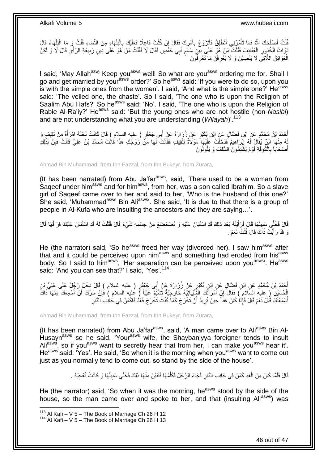ْ فُلْتُ أَصْلَحَكَ اللَّهُ فَمَا تَأْمُرُنِي أَنْطَلِقُ فَأَتَزَوَّجُ بِأَمْرِكَ فَقَالَ إِنْ كُنْتَ فَاعِلَا فَعَلِنَّكَ بِالْبَلْهَاءِ مِنَ النِّسَاءِ قُلْتُ وَ مَا الْبَلْهَاءُ قَالَ ِ ِ ِ َ ِ َ َ ْ َ ْ ْ ْ ْ ْ نَوَاتُ الْخُذُورِ الْعَفَائِفُ فَقُلْتُ مَنْ هُوَ عَلَى ِدِينٍ سَالِمٍ أَبِي حَفْصٍ فَقَالَ لَا فَقُلْتُ مَنْ هُوَ عَلَى دِينِ رَبِيعَةِ الرَّأْيِ قَالَ لَا وَ لَكِنَّ ْ ْ **∶**  $\frac{1}{2}$ ْ ِ ْ َ ֧֖֖֖֧֖֧֧֧֧֧֧֧֧֧֧֧֚֚֚֚֓֝֝֝֝֟֓֟֓֝֬֝֓֝֬֟֓֟֓֬֝֓֟֓֟֓֝֬֝֓֝֓֟֓֝֬֝֬֝֓֝֬֝֓֝֬ الْعَوَاتِقَ اللَّاتِي لَا يَنْصِبْنَ وَ لَا يَعْرِفْنَ مَا تَعْرِفُوَنَ ِ ِ ْ

I said, 'May Allah<sup>azwj</sup> Keep you<sup>asws</sup> well! So what are you<sup>asws</sup> ordering me for. Shall I go and get married by your<sup>asws</sup> order?' So he<sup>asws</sup> said: 'If you were to do so, upon you is with the simple ones from the women'. I said, 'And what is the simple one?' He<sup>asws</sup> said: 'The veiled one, the chaste'. So I said, 'The one who is upon the Religion of Saalim Abu Hafs?' So he<sup>asws</sup> said: 'No'. I said, 'The one who is upon the Religion of Rabie Al-Ra'iy?' He<sup>asws</sup> said: 'But the young ones who are not hostile (non-Nasibi) and are not understanding what you are understanding (*Wilayah*)<sup>'.113</sup>

أَحْمَدُ بْنُ مُحَمَّدٍ عَنِ ابْنِ فَضَّالٍ عَنِ ابْنِ بُكَيْرٍ عَنْ زُرِارَةَ عَنْ أَبِي جَعْفَرٍ ( عليه السلام ) قَالَ كَانَتْ تَحْنَهُ امْرَأَةٌ مِنْ ثَقِيفٍ وَ<br>أَمْسَلَمَ بِنَ مُحَمَّدٍ عَنِ ابْنِ فَضَّالٍ عَنِ ابْنِ َ َ َ لِّهُ مِنْهَا ابْنٌ يُقَالُ لَهُ إِبْرَاهِيمُ فَدَخِلَتْ عَلَيْهَا مَوْلَاةٌ لِتَقِيفٍ فَقَالَتْ لَهَا مَنَّ زَوْجُكِ هَذَا قَالَتْ مُحَمَّدُ بْنُ عَلِيٍّ قَالَتْ فَإِنَّ لِذَلِكِ َ ِ ِ أَصْحَاباً بِالْكُوفَةِ قَوْمٌ يَشْتِمُونَ السَّلَفَ وَ يَقُولُونَ **∶** َ

Ahmad Bin Muhammad, from Ibn Fazzal, from Ibn Bukeyr, from Zurara,

(It has been narrated) from Abu Ja'far<sup>asws</sup>, said, 'There used to be a woman from Saqeef under him<sup>asws</sup> and for him<sup>asws</sup>, from her, was a son called Ibrahim. So a slave girl of Saqeef came over to her and said to her, 'Who is the husband of this one?' She said. 'Muhammad<sup>asws</sup> Bin Ali<sup>asws</sup>'. She said. 'It is due to that there is a group of people in Al-Kufa who are insulting the ancestors and they are saying…'.

قَالَ فَخَلِّي سَبِبِلَهَا قَالَ فَرَأَيْتُهُ بَعْدَ ذَلِكَ قَدِ اسْتَبَانَ عَلَيْهِ وَ تَضَعْضَعَ مِنْ جِسْمِهِ شَيْءٌ قَالَ فَقُلْتُ لَهُ قَدِ اسْتَبَانَ عَلَيْكَ فِرَاقُهَا قَالَ َ ِ ْ وَ قَدْ رَأَيْتَ ذَاكَ قَالَ قُلْتُ نَعَمْ . ْ َ

He (the narrator) said, 'So he<sup>asws</sup> freed her way (divorced her). I saw him<sup>asws</sup> after that and it could be perceived upon him<sup>asws</sup> and something had eroded from his<sup>asws</sup> body. So I said to him<sup>asws</sup>, 'Her separation can be perceived upon you<sup>asws</sup>'. He<sup>asws</sup> said: 'And you can see that?' I said, 'Yes'.<sup>114</sup>

أَحْمَدُ بْنُ مُحَمَّدٍ عَنِ ابْنِ فَضَّالٍ عَنِ ابْنِ بُكَيْرٍ عَنْ زُرَارَةَ عَنْ أَبِي جَعْفَرٍ ( عليه السلام ) قَالَ دَخَلَ رَجُلٌ عَلَى عَلِيٍّ بْنِ<br>أَحْمَدُ بْنُ مُحَمَّدٍ عَنِ ابْنِ فَصَلَّالٍ عَنِ ابْنِ بُكَيْرٍ ع َ َ الْحُسَيْنِ ( عليه السَلام ) فَقَالَ إِنَّ اَمْرَأَتُكَ الشَّيْبَانِيَّةَ خَارِجِيَّةٌ تَشْتَمُ عَلِيّاً ( عليه السلام ) فَإِنْ سَرَّكَ أَنْ أُسْمِعَكَ مِنْهَا ذَاكَ<br>نَصْحُمُنَ مَنْ السَّلَامِ ) فَقَالَ إِنَّ امْرَأَتُكَ ِ َ ֧<u>׀</u> ُ َ أَسْمَعْتُكَ قَالَ نَعَمْ قَالَ فَإِذَاْ كَانَ غَدَاً حِينَ تُرِيدُ أَنْ تَخْرُجَ كَمَا كُنْتَ تَخْرُجُ فَعُدُ فَاكْمُنْ فِي جَانِبِ الدَّارِ َ ِ َ **∶** 

Ahmad Bin Muhammad, from Ibn Fazzal, from Ibn Bukeyr, from Zurara,

(It has been narrated) from Abu Ja'far<sup>asws</sup>, said, 'A man came over to Ali<sup>asws</sup> Bin Al-Husayn<sup>asws</sup> so he said, 'Your<sup>asws</sup> wife, the Shaybaniyya foreigner tends to insult Ali<sup>asws</sup>, so if you<sup>asws</sup> want to secretly hear that from her, I can make you<sup>asws</sup> hear it'. He<sup>asws</sup> said: 'Yes'. He said, 'So when it is the morning when you<sup>asws</sup> want to come out just as you normally tend to come out, so stand by the side of the house'.

> َّ قَالَ فَلَمَّا كَانَ مِنَ الْغَدِ كَمَنَ فِي جَانِبِ الدَّارِ فَجَاءَ الرَّجُلُ فَكَلَّمَهَا فَثَبَيَّنَ مِنْهَا ذَلِكَ فَخَلَّى سَبِيلَهَا وَ كَانَتْ تُعْجِبُهُ . َّ **∶** ْ ِ

He (the narrator) said, 'So when it was the morning, he<sup>asws</sup> stood by the side of the house, so the man came over and spoke to her, and that (insulting Aliasws) was

 $113$  Al Kafi – V 5 – The Book of Marriage Ch 26 H 12

 $114$  Al Kafi – V 5 – The Book of Marriage Ch 26 H 13